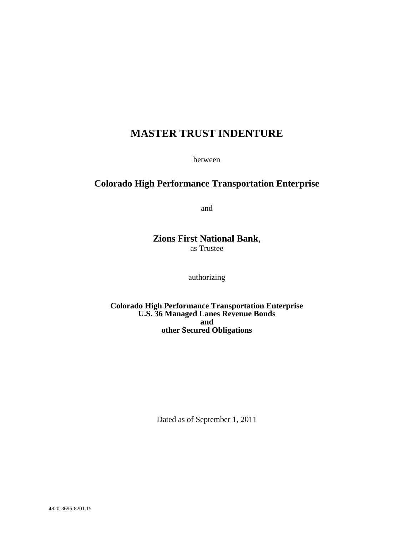# **MASTER TRUST INDENTURE**

between

## **Colorado High Performance Transportation Enterprise**

and

## **Zions First National Bank**, as Trustee

authorizing

**Colorado High Performance Transportation Enterprise U.S. 36 Managed Lanes Revenue Bonds and other Secured Obligations**

Dated as of September 1, 2011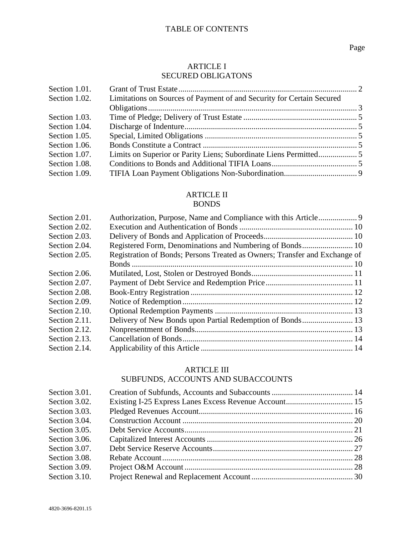## ARTICLE I SECURED OBLIGATONS

| Section 1.01. |                                                                       |  |
|---------------|-----------------------------------------------------------------------|--|
| Section 1.02. | Limitations on Sources of Payment of and Security for Certain Secured |  |
|               |                                                                       |  |
| Section 1.03. |                                                                       |  |
| Section 1.04. |                                                                       |  |
| Section 1.05. |                                                                       |  |
| Section 1.06. |                                                                       |  |
| Section 1.07. |                                                                       |  |
| Section 1.08. |                                                                       |  |
| Section 1.09. |                                                                       |  |

# ARTICLE II

## BONDS

| Section 2.01. |                                                                            |  |
|---------------|----------------------------------------------------------------------------|--|
| Section 2.02. |                                                                            |  |
| Section 2.03. |                                                                            |  |
| Section 2.04. |                                                                            |  |
| Section 2.05. | Registration of Bonds; Persons Treated as Owners; Transfer and Exchange of |  |
|               |                                                                            |  |
| Section 2.06. |                                                                            |  |
| Section 2.07. |                                                                            |  |
| Section 2.08. |                                                                            |  |
| Section 2.09. |                                                                            |  |
| Section 2.10. |                                                                            |  |
| Section 2.11. | Delivery of New Bonds upon Partial Redemption of Bonds 13                  |  |
| Section 2.12. |                                                                            |  |
| Section 2.13. |                                                                            |  |
| Section 2.14. |                                                                            |  |
|               |                                                                            |  |

## ARTICLE III

## SUBFUNDS, ACCOUNTS AND SUBACCOUNTS

| Section 3.01. |  |
|---------------|--|
| Section 3.02. |  |
| Section 3.03. |  |
| Section 3.04. |  |
| Section 3.05. |  |
| Section 3.06. |  |
| Section 3.07. |  |
| Section 3.08. |  |
| Section 3.09. |  |
| Section 3.10. |  |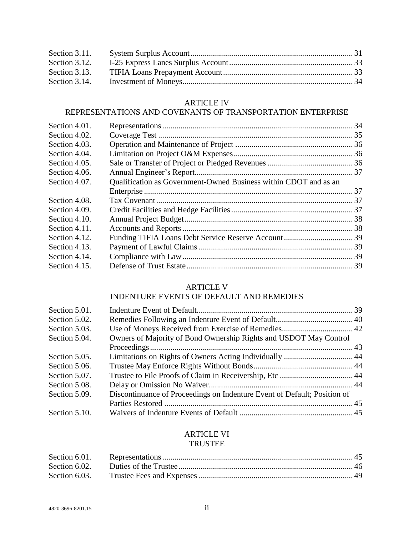| Section 3.11. |  |
|---------------|--|
| Section 3.12. |  |
| Section 3.13. |  |
| Section 3.14. |  |

## ARTICLE IV

## REPRESENTATIONS AND COVENANTS OF TRANSPORTATION ENTERPRISE

| Section 4.01. |                                                                  |  |
|---------------|------------------------------------------------------------------|--|
| Section 4.02. |                                                                  |  |
| Section 4.03. |                                                                  |  |
| Section 4.04. |                                                                  |  |
| Section 4.05. |                                                                  |  |
| Section 4.06. |                                                                  |  |
| Section 4.07. | Qualification as Government-Owned Business within CDOT and as an |  |
|               |                                                                  |  |
| Section 4.08. |                                                                  |  |
| Section 4.09. |                                                                  |  |
| Section 4.10. |                                                                  |  |
| Section 4.11. |                                                                  |  |
| Section 4.12. |                                                                  |  |
| Section 4.13. |                                                                  |  |
| Section 4.14. |                                                                  |  |
| Section 4.15. |                                                                  |  |
|               |                                                                  |  |

## ARTICLE V

## INDENTURE EVENTS OF DEFAULT AND REMEDIES

| Section 5.01. |                                                                          |  |
|---------------|--------------------------------------------------------------------------|--|
| Section 5.02. |                                                                          |  |
| Section 5.03. |                                                                          |  |
| Section 5.04. | Owners of Majority of Bond Ownership Rights and USDOT May Control        |  |
|               |                                                                          |  |
| Section 5.05. |                                                                          |  |
| Section 5.06. |                                                                          |  |
| Section 5.07. |                                                                          |  |
| Section 5.08. |                                                                          |  |
| Section 5.09. | Discontinuance of Proceedings on Indenture Event of Default; Position of |  |
|               |                                                                          |  |
| Section 5.10. |                                                                          |  |

## ARTICLE VI TRUSTEE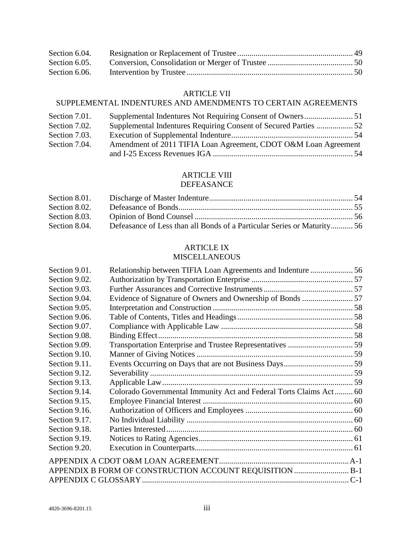| Section 6.04. |  |
|---------------|--|
| Section 6.05. |  |
| Section 6.06. |  |

## ARTICLE VII

## SUPPLEMENTAL INDENTURES AND AMENDMENTS TO CERTAIN AGREEMENTS

| Section 7.01. |                                                                  |  |
|---------------|------------------------------------------------------------------|--|
| Section 7.02. | Supplemental Indentures Requiring Consent of Secured Parties  52 |  |
| Section 7.03. |                                                                  |  |
| Section 7.04. | Amendment of 2011 TIFIA Loan Agreement, CDOT O&M Loan Agreement  |  |
|               |                                                                  |  |

## ARTICLE VIII

## DEFEASANCE

| Section 8.02. |                                                                         |  |
|---------------|-------------------------------------------------------------------------|--|
| Section 8.03. |                                                                         |  |
| Section 8.04. | Defeasance of Less than all Bonds of a Particular Series or Maturity 56 |  |

## ARTICLE IX

## MISCELLANEOUS

| Evidence of Signature of Owners and Ownership of Bonds  57<br>Colorado Governmental Immunity Act and Federal Torts Claims Act 60<br>APPENDIX B FORM OF CONSTRUCTION ACCOUNT REQUISITION  B-1 |
|----------------------------------------------------------------------------------------------------------------------------------------------------------------------------------------------|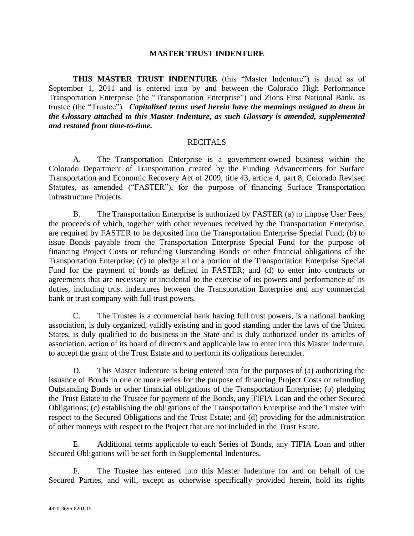### **MASTER TRUST INDENTURE**

**THIS MASTER TRUST INDENTURE** (this "Master Indenture") is dated as of September 1, 2011 and is entered into by and between the Colorado High Performance Transportation Enterprise (the "Transportation Enterprise") and Zions First National Bank, as trustee (the "Trustee"). *Capitalized terms used herein have the meanings assigned to them in the Glossary attached to this Master Indenture, as such Glossary is amended, supplemented and restated from time-to-time.*

#### RECITALS

A. The Transportation Enterprise is a government-owned business within the Colorado Department of Transportation created by the Funding Advancements for Surface Transportation and Economic Recovery Act of 2009, title 43, article 4, part 8, Colorado Revised Statutes, as amended ("FASTER"), for the purpose of financing Surface Transportation Infrastructure Projects.

B. The Transportation Enterprise is authorized by FASTER (a) to impose User Fees, the proceeds of which, together with other revenues received by the Transportation Enterprise, are required by FASTER to be deposited into the Transportation Enterprise Special Fund; (b) to issue Bonds payable from the Transportation Enterprise Special Fund for the purpose of financing Project Costs or refunding Outstanding Bonds or other financial obligations of the Transportation Enterprise; (c) to pledge all or a portion of the Transportation Enterprise Special Fund for the payment of bonds as defined in FASTER; and (d) to enter into contracts or agreements that are necessary or incidental to the exercise of its powers and performance of its duties, including trust indentures between the Transportation Enterprise and any commercial bank or trust company with full trust powers.

C. The Trustee is a commercial bank having full trust powers, is a national banking association, is duly organized, validly existing and in good standing under the laws of the United States, is duly qualified to do business in the State and is duly authorized under its articles of association, action of its board of directors and applicable law to enter into this Master Indenture, to accept the grant of the Trust Estate and to perform its obligations hereunder.

D. This Master Indenture is being entered into for the purposes of (a) authorizing the issuance of Bonds in one or more series for the purpose of financing Project Costs or refunding Outstanding Bonds or other financial obligations of the Transportation Enterprise; (b) pledging the Trust Estate to the Trustee for payment of the Bonds, any TIFIA Loan and the other Secured Obligations; (c) establishing the obligations of the Transportation Enterprise and the Trustee with respect to the Secured Obligations and the Trust Estate; and (d) providing for the administration of other moneys with respect to the Project that are not included in the Trust Estate.

E. Additional terms applicable to each Series of Bonds, any TIFIA Loan and other Secured Obligations will be set forth in Supplemental Indentures.

F. The Trustee has entered into this Master Indenture for and on behalf of the Secured Parties, and will, except as otherwise specifically provided herein, hold its rights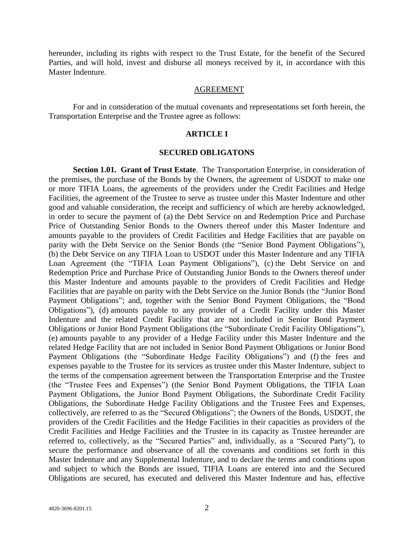hereunder, including its rights with respect to the Trust Estate, for the benefit of the Secured Parties, and will hold, invest and disburse all moneys received by it, in accordance with this Master Indenture.

#### AGREEMENT

For and in consideration of the mutual covenants and representations set forth herein, the Transportation Enterprise and the Trustee agree as follows:

#### **ARTICLE I**

#### **SECURED OBLIGATONS**

**Section 1.01. Grant of Trust Estate**. The Transportation Enterprise, in consideration of the premises, the purchase of the Bonds by the Owners, the agreement of USDOT to make one or more TIFIA Loans, the agreements of the providers under the Credit Facilities and Hedge Facilities, the agreement of the Trustee to serve as trustee under this Master Indenture and other good and valuable consideration, the receipt and sufficiency of which are hereby acknowledged, in order to secure the payment of (a) the Debt Service on and Redemption Price and Purchase Price of Outstanding Senior Bonds to the Owners thereof under this Master Indenture and amounts payable to the providers of Credit Facilities and Hedge Facilities that are payable on parity with the Debt Service on the Senior Bonds (the "Senior Bond Payment Obligations"), (b) the Debt Service on any TIFIA Loan to USDOT under this Master Indenture and any TIFIA Loan Agreement (the "TIFIA Loan Payment Obligations"), (c) the Debt Service on and Redemption Price and Purchase Price of Outstanding Junior Bonds to the Owners thereof under this Master Indenture and amounts payable to the providers of Credit Facilities and Hedge Facilities that are payable on parity with the Debt Service on the Junior Bonds (the "Junior Bond Payment Obligations"; and, together with the Senior Bond Payment Obligations, the "Bond Obligations‖), (d) amounts payable to any provider of a Credit Facility under this Master Indenture and the related Credit Facility that are not included in Senior Bond Payment Obligations or Junior Bond Payment Obligations (the "Subordinate Credit Facility Obligations"), (e) amounts payable to any provider of a Hedge Facility under this Master Indenture and the related Hedge Facility that are not included in Senior Bond Payment Obligations or Junior Bond Payment Obligations (the "Subordinate Hedge Facility Obligations") and (f) the fees and expenses payable to the Trustee for its services as trustee under this Master Indenture, subject to the terms of the compensation agreement between the Transportation Enterprise and the Trustee (the "Trustee Fees and Expenses") (the Senior Bond Payment Obligations, the TIFIA Loan Payment Obligations, the Junior Bond Payment Obligations, the Subordinate Credit Facility Obligations, the Subordinate Hedge Facility Obligations and the Trustee Fees and Expenses, collectively, are referred to as the "Secured Obligations"; the Owners of the Bonds, USDOT, the providers of the Credit Facilities and the Hedge Facilities in their capacities as providers of the Credit Facilities and Hedge Facilities and the Trustee in its capacity as Trustee hereunder are referred to, collectively, as the "Secured Parties" and, individually, as a "Secured Party"), to secure the performance and observance of all the covenants and conditions set forth in this Master Indenture and any Supplemental Indenture, and to declare the terms and conditions upon and subject to which the Bonds are issued, TIFIA Loans are entered into and the Secured Obligations are secured, has executed and delivered this Master Indenture and has, effective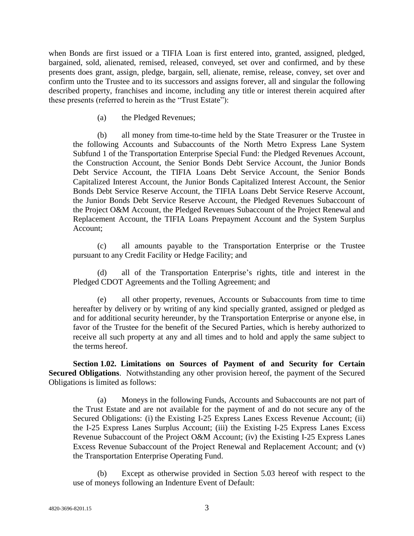when Bonds are first issued or a TIFIA Loan is first entered into, granted, assigned, pledged, bargained, sold, alienated, remised, released, conveyed, set over and confirmed, and by these presents does grant, assign, pledge, bargain, sell, alienate, remise, release, convey, set over and confirm unto the Trustee and to its successors and assigns forever, all and singular the following described property, franchises and income, including any title or interest therein acquired after these presents (referred to herein as the "Trust Estate"):

(a) the Pledged Revenues;

(b) all money from time-to-time held by the State Treasurer or the Trustee in the following Accounts and Subaccounts of the North Metro Express Lane System Subfund 1 of the Transportation Enterprise Special Fund: the Pledged Revenues Account, the Construction Account, the Senior Bonds Debt Service Account, the Junior Bonds Debt Service Account, the TIFIA Loans Debt Service Account, the Senior Bonds Capitalized Interest Account, the Junior Bonds Capitalized Interest Account, the Senior Bonds Debt Service Reserve Account, the TIFIA Loans Debt Service Reserve Account, the Junior Bonds Debt Service Reserve Account, the Pledged Revenues Subaccount of the Project O&M Account, the Pledged Revenues Subaccount of the Project Renewal and Replacement Account, the TIFIA Loans Prepayment Account and the System Surplus Account;

(c) all amounts payable to the Transportation Enterprise or the Trustee pursuant to any Credit Facility or Hedge Facility; and

(d) all of the Transportation Enterprise's rights, title and interest in the Pledged CDOT Agreements and the Tolling Agreement; and

(e) all other property, revenues, Accounts or Subaccounts from time to time hereafter by delivery or by writing of any kind specially granted, assigned or pledged as and for additional security hereunder, by the Transportation Enterprise or anyone else, in favor of the Trustee for the benefit of the Secured Parties, which is hereby authorized to receive all such property at any and all times and to hold and apply the same subject to the terms hereof.

**Section 1.02. Limitations on Sources of Payment of and Security for Certain Secured Obligations**. Notwithstanding any other provision hereof, the payment of the Secured Obligations is limited as follows:

(a) Moneys in the following Funds, Accounts and Subaccounts are not part of the Trust Estate and are not available for the payment of and do not secure any of the Secured Obligations: (i) the Existing I-25 Express Lanes Excess Revenue Account; (ii) the I-25 Express Lanes Surplus Account; (iii) the Existing I-25 Express Lanes Excess Revenue Subaccount of the Project O&M Account; (iv) the Existing I-25 Express Lanes Excess Revenue Subaccount of the Project Renewal and Replacement Account; and (v) the Transportation Enterprise Operating Fund.

(b) Except as otherwise provided in Section 5.03 hereof with respect to the use of moneys following an Indenture Event of Default: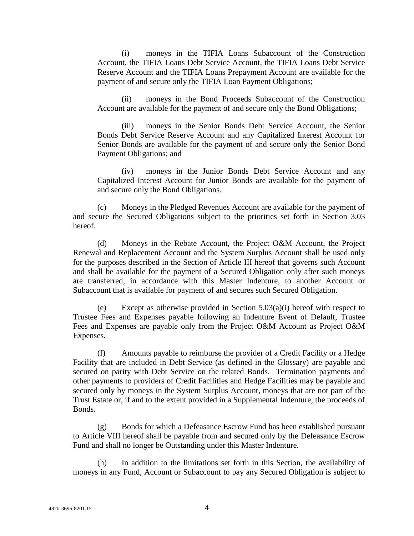(i) moneys in the TIFIA Loans Subaccount of the Construction Account, the TIFIA Loans Debt Service Account, the TIFIA Loans Debt Service Reserve Account and the TIFIA Loans Prepayment Account are available for the payment of and secure only the TIFIA Loan Payment Obligations;

(ii) moneys in the Bond Proceeds Subaccount of the Construction Account are available for the payment of and secure only the Bond Obligations;

(iii) moneys in the Senior Bonds Debt Service Account, the Senior Bonds Debt Service Reserve Account and any Capitalized Interest Account for Senior Bonds are available for the payment of and secure only the Senior Bond Payment Obligations; and

(iv) moneys in the Junior Bonds Debt Service Account and any Capitalized Interest Account for Junior Bonds are available for the payment of and secure only the Bond Obligations.

(c) Moneys in the Pledged Revenues Account are available for the payment of and secure the Secured Obligations subject to the priorities set forth in Section 3.03 hereof.

(d) Moneys in the Rebate Account, the Project O&M Account, the Project Renewal and Replacement Account and the System Surplus Account shall be used only for the purposes described in the Section of Article III hereof that governs such Account and shall be available for the payment of a Secured Obligation only after such moneys are transferred, in accordance with this Master Indenture, to another Account or Subaccount that is available for payment of and secures such Secured Obligation.

(e) Except as otherwise provided in Section 5.03(a)(i) hereof with respect to Trustee Fees and Expenses payable following an Indenture Event of Default, Trustee Fees and Expenses are payable only from the Project O&M Account as Project O&M Expenses.

(f) Amounts payable to reimburse the provider of a Credit Facility or a Hedge Facility that are included in Debt Service (as defined in the Glossary) are payable and secured on parity with Debt Service on the related Bonds. Termination payments and other payments to providers of Credit Facilities and Hedge Facilities may be payable and secured only by moneys in the System Surplus Account, moneys that are not part of the Trust Estate or, if and to the extent provided in a Supplemental Indenture, the proceeds of Bonds.

(g) Bonds for which a Defeasance Escrow Fund has been established pursuant to Article VIII hereof shall be payable from and secured only by the Defeasance Escrow Fund and shall no longer be Outstanding under this Master Indenture.

(h) In addition to the limitations set forth in this Section, the availability of moneys in any Fund, Account or Subaccount to pay any Secured Obligation is subject to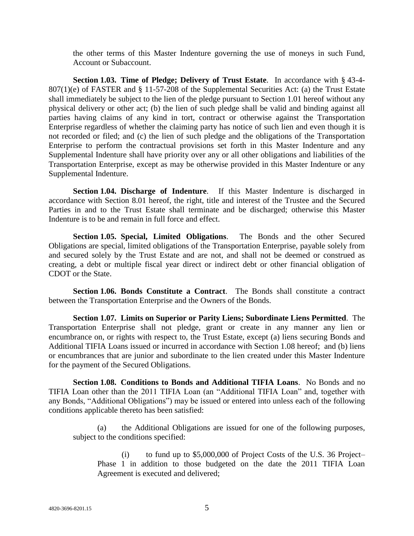the other terms of this Master Indenture governing the use of moneys in such Fund, Account or Subaccount.

**Section 1.03. Time of Pledge; Delivery of Trust Estate**. In accordance with § 43-4- 807(1)(e) of FASTER and § 11-57-208 of the Supplemental Securities Act: (a) the Trust Estate shall immediately be subject to the lien of the pledge pursuant to Section 1.01 hereof without any physical delivery or other act; (b) the lien of such pledge shall be valid and binding against all parties having claims of any kind in tort, contract or otherwise against the Transportation Enterprise regardless of whether the claiming party has notice of such lien and even though it is not recorded or filed; and (c) the lien of such pledge and the obligations of the Transportation Enterprise to perform the contractual provisions set forth in this Master Indenture and any Supplemental Indenture shall have priority over any or all other obligations and liabilities of the Transportation Enterprise, except as may be otherwise provided in this Master Indenture or any Supplemental Indenture.

**Section 1.04. Discharge of Indenture**. If this Master Indenture is discharged in accordance with Section 8.01 hereof, the right, title and interest of the Trustee and the Secured Parties in and to the Trust Estate shall terminate and be discharged; otherwise this Master Indenture is to be and remain in full force and effect.

**Section 1.05. Special, Limited Obligations**. The Bonds and the other Secured Obligations are special, limited obligations of the Transportation Enterprise, payable solely from and secured solely by the Trust Estate and are not, and shall not be deemed or construed as creating, a debt or multiple fiscal year direct or indirect debt or other financial obligation of CDOT or the State.

**Section 1.06. Bonds Constitute a Contract**. The Bonds shall constitute a contract between the Transportation Enterprise and the Owners of the Bonds.

**Section 1.07. Limits on Superior or Parity Liens; Subordinate Liens Permitted**. The Transportation Enterprise shall not pledge, grant or create in any manner any lien or encumbrance on, or rights with respect to, the Trust Estate, except (a) liens securing Bonds and Additional TIFIA Loans issued or incurred in accordance with Section 1.08 hereof; and (b) liens or encumbrances that are junior and subordinate to the lien created under this Master Indenture for the payment of the Secured Obligations.

**Section 1.08. Conditions to Bonds and Additional TIFIA Loans**. No Bonds and no TIFIA Loan other than the 2011 TIFIA Loan (an "Additional TIFIA Loan" and, together with any Bonds, "Additional Obligations") may be issued or entered into unless each of the following conditions applicable thereto has been satisfied:

(a) the Additional Obligations are issued for one of the following purposes, subject to the conditions specified:

(i) to fund up to \$5,000,000 of Project Costs of the U.S. 36 Project– Phase 1 in addition to those budgeted on the date the 2011 TIFIA Loan Agreement is executed and delivered;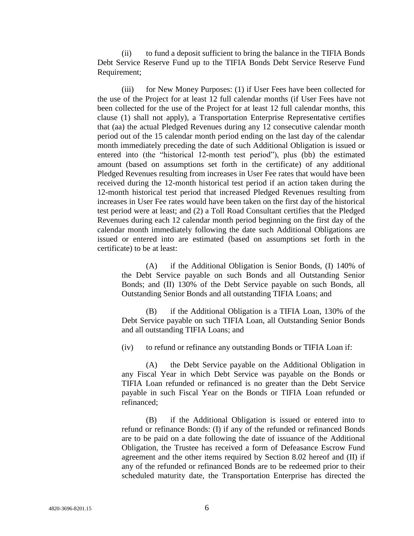(ii) to fund a deposit sufficient to bring the balance in the TIFIA Bonds Debt Service Reserve Fund up to the TIFIA Bonds Debt Service Reserve Fund Requirement;

(iii) for New Money Purposes: (1) if User Fees have been collected for the use of the Project for at least 12 full calendar months (if User Fees have not been collected for the use of the Project for at least 12 full calendar months, this clause (1) shall not apply), a Transportation Enterprise Representative certifies that (aa) the actual Pledged Revenues during any 12 consecutive calendar month period out of the 15 calendar month period ending on the last day of the calendar month immediately preceding the date of such Additional Obligation is issued or entered into (the "historical 12-month test period"), plus (bb) the estimated amount (based on assumptions set forth in the certificate) of any additional Pledged Revenues resulting from increases in User Fee rates that would have been received during the 12-month historical test period if an action taken during the 12-month historical test period that increased Pledged Revenues resulting from increases in User Fee rates would have been taken on the first day of the historical test period were at least; and (2) a Toll Road Consultant certifies that the Pledged Revenues during each 12 calendar month period beginning on the first day of the calendar month immediately following the date such Additional Obligations are issued or entered into are estimated (based on assumptions set forth in the certificate) to be at least:

(A) if the Additional Obligation is Senior Bonds, (I) 140% of the Debt Service payable on such Bonds and all Outstanding Senior Bonds; and (II) 130% of the Debt Service payable on such Bonds, all Outstanding Senior Bonds and all outstanding TIFIA Loans; and

(B) if the Additional Obligation is a TIFIA Loan, 130% of the Debt Service payable on such TIFIA Loan, all Outstanding Senior Bonds and all outstanding TIFIA Loans; and

(iv) to refund or refinance any outstanding Bonds or TIFIA Loan if:

(A) the Debt Service payable on the Additional Obligation in any Fiscal Year in which Debt Service was payable on the Bonds or TIFIA Loan refunded or refinanced is no greater than the Debt Service payable in such Fiscal Year on the Bonds or TIFIA Loan refunded or refinanced;

(B) if the Additional Obligation is issued or entered into to refund or refinance Bonds: (I) if any of the refunded or refinanced Bonds are to be paid on a date following the date of issuance of the Additional Obligation, the Trustee has received a form of Defeasance Escrow Fund agreement and the other items required by Section 8.02 hereof and (II) if any of the refunded or refinanced Bonds are to be redeemed prior to their scheduled maturity date, the Transportation Enterprise has directed the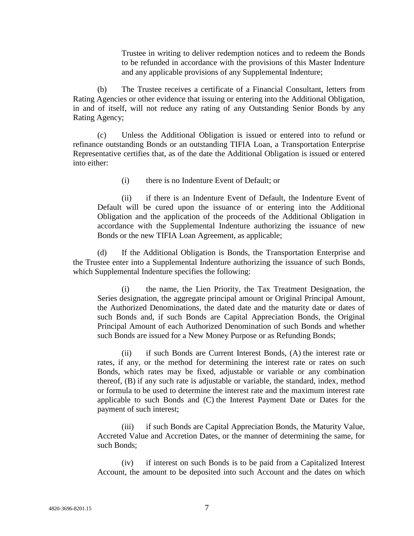Trustee in writing to deliver redemption notices and to redeem the Bonds to be refunded in accordance with the provisions of this Master Indenture and any applicable provisions of any Supplemental Indenture;

(b) The Trustee receives a certificate of a Financial Consultant, letters from Rating Agencies or other evidence that issuing or entering into the Additional Obligation, in and of itself, will not reduce any rating of any Outstanding Senior Bonds by any Rating Agency;

(c) Unless the Additional Obligation is issued or entered into to refund or refinance outstanding Bonds or an outstanding TIFIA Loan, a Transportation Enterprise Representative certifies that, as of the date the Additional Obligation is issued or entered into either:

(i) there is no Indenture Event of Default; or

(ii) if there is an Indenture Event of Default, the Indenture Event of Default will be cured upon the issuance of or entering into the Additional Obligation and the application of the proceeds of the Additional Obligation in accordance with the Supplemental Indenture authorizing the issuance of new Bonds or the new TIFIA Loan Agreement, as applicable;

(d) If the Additional Obligation is Bonds, the Transportation Enterprise and the Trustee enter into a Supplemental Indenture authorizing the issuance of such Bonds, which Supplemental Indenture specifies the following:

(i) the name, the Lien Priority, the Tax Treatment Designation, the Series designation, the aggregate principal amount or Original Principal Amount, the Authorized Denominations, the dated date and the maturity date or dates of such Bonds and, if such Bonds are Capital Appreciation Bonds, the Original Principal Amount of each Authorized Denomination of such Bonds and whether such Bonds are issued for a New Money Purpose or as Refunding Bonds;

(ii) if such Bonds are Current Interest Bonds, (A) the interest rate or rates, if any, or the method for determining the interest rate or rates on such Bonds, which rates may be fixed, adjustable or variable or any combination thereof, (B) if any such rate is adjustable or variable, the standard, index, method or formula to be used to determine the interest rate and the maximum interest rate applicable to such Bonds and (C) the Interest Payment Date or Dates for the payment of such interest;

(iii) if such Bonds are Capital Appreciation Bonds, the Maturity Value, Accreted Value and Accretion Dates, or the manner of determining the same, for such Bonds;

(iv) if interest on such Bonds is to be paid from a Capitalized Interest Account, the amount to be deposited into such Account and the dates on which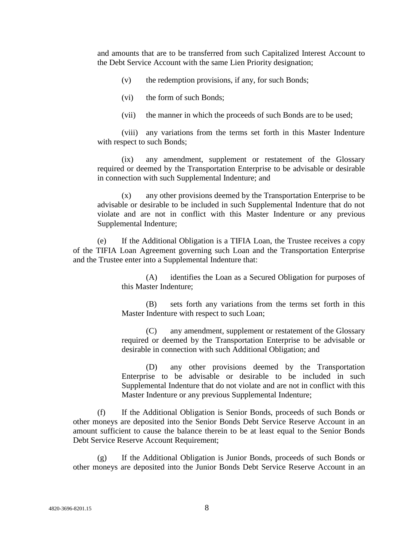and amounts that are to be transferred from such Capitalized Interest Account to the Debt Service Account with the same Lien Priority designation;

- (v) the redemption provisions, if any, for such Bonds;
- (vi) the form of such Bonds;
- (vii) the manner in which the proceeds of such Bonds are to be used;

(viii) any variations from the terms set forth in this Master Indenture with respect to such Bonds;

(ix) any amendment, supplement or restatement of the Glossary required or deemed by the Transportation Enterprise to be advisable or desirable in connection with such Supplemental Indenture; and

(x) any other provisions deemed by the Transportation Enterprise to be advisable or desirable to be included in such Supplemental Indenture that do not violate and are not in conflict with this Master Indenture or any previous Supplemental Indenture;

If the Additional Obligation is a TIFIA Loan, the Trustee receives a copy of the TIFIA Loan Agreement governing such Loan and the Transportation Enterprise and the Trustee enter into a Supplemental Indenture that:

> (A) identifies the Loan as a Secured Obligation for purposes of this Master Indenture;

> (B) sets forth any variations from the terms set forth in this Master Indenture with respect to such Loan;

> (C) any amendment, supplement or restatement of the Glossary required or deemed by the Transportation Enterprise to be advisable or desirable in connection with such Additional Obligation; and

> (D) any other provisions deemed by the Transportation Enterprise to be advisable or desirable to be included in such Supplemental Indenture that do not violate and are not in conflict with this Master Indenture or any previous Supplemental Indenture;

(f) If the Additional Obligation is Senior Bonds, proceeds of such Bonds or other moneys are deposited into the Senior Bonds Debt Service Reserve Account in an amount sufficient to cause the balance therein to be at least equal to the Senior Bonds Debt Service Reserve Account Requirement;

(g) If the Additional Obligation is Junior Bonds, proceeds of such Bonds or other moneys are deposited into the Junior Bonds Debt Service Reserve Account in an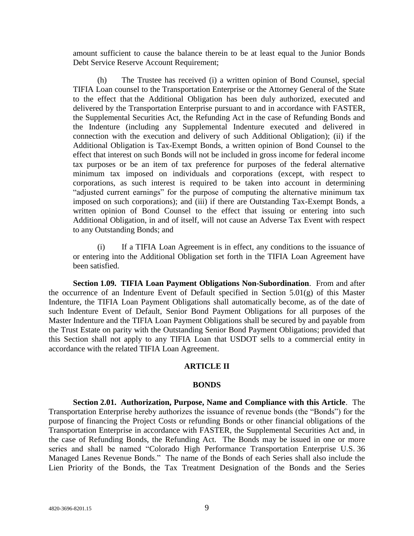amount sufficient to cause the balance therein to be at least equal to the Junior Bonds Debt Service Reserve Account Requirement;

(h) The Trustee has received (i) a written opinion of Bond Counsel, special TIFIA Loan counsel to the Transportation Enterprise or the Attorney General of the State to the effect that the Additional Obligation has been duly authorized, executed and delivered by the Transportation Enterprise pursuant to and in accordance with FASTER, the Supplemental Securities Act, the Refunding Act in the case of Refunding Bonds and the Indenture (including any Supplemental Indenture executed and delivered in connection with the execution and delivery of such Additional Obligation); (ii) if the Additional Obligation is Tax-Exempt Bonds, a written opinion of Bond Counsel to the effect that interest on such Bonds will not be included in gross income for federal income tax purposes or be an item of tax preference for purposes of the federal alternative minimum tax imposed on individuals and corporations (except, with respect to corporations, as such interest is required to be taken into account in determining "adjusted current earnings" for the purpose of computing the alternative minimum tax imposed on such corporations); and (iii) if there are Outstanding Tax-Exempt Bonds, a written opinion of Bond Counsel to the effect that issuing or entering into such Additional Obligation, in and of itself, will not cause an Adverse Tax Event with respect to any Outstanding Bonds; and

(i) If a TIFIA Loan Agreement is in effect, any conditions to the issuance of or entering into the Additional Obligation set forth in the TIFIA Loan Agreement have been satisfied.

**Section 1.09. TIFIA Loan Payment Obligations Non-Subordination**. From and after the occurrence of an Indenture Event of Default specified in Section 5.01(g) of this Master Indenture, the TIFIA Loan Payment Obligations shall automatically become, as of the date of such Indenture Event of Default, Senior Bond Payment Obligations for all purposes of the Master Indenture and the TIFIA Loan Payment Obligations shall be secured by and payable from the Trust Estate on parity with the Outstanding Senior Bond Payment Obligations; provided that this Section shall not apply to any TIFIA Loan that USDOT sells to a commercial entity in accordance with the related TIFIA Loan Agreement.

#### **ARTICLE II**

#### **BONDS**

**Section 2.01. Authorization, Purpose, Name and Compliance with this Article**. The Transportation Enterprise hereby authorizes the issuance of revenue bonds (the "Bonds") for the purpose of financing the Project Costs or refunding Bonds or other financial obligations of the Transportation Enterprise in accordance with FASTER, the Supplemental Securities Act and, in the case of Refunding Bonds, the Refunding Act. The Bonds may be issued in one or more series and shall be named "Colorado High Performance Transportation Enterprise U.S. 36 Managed Lanes Revenue Bonds." The name of the Bonds of each Series shall also include the Lien Priority of the Bonds, the Tax Treatment Designation of the Bonds and the Series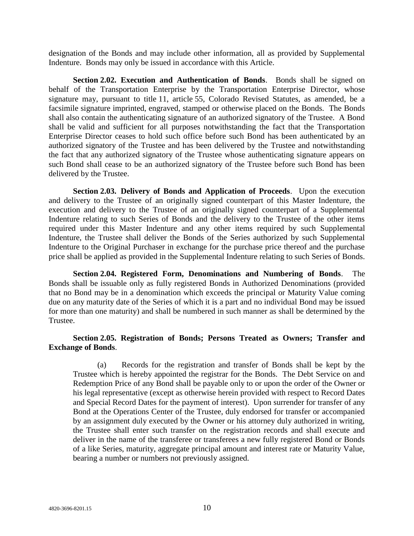designation of the Bonds and may include other information, all as provided by Supplemental Indenture. Bonds may only be issued in accordance with this Article.

**Section 2.02. Execution and Authentication of Bonds**. Bonds shall be signed on behalf of the Transportation Enterprise by the Transportation Enterprise Director, whose signature may, pursuant to title 11, article 55, Colorado Revised Statutes, as amended, be a facsimile signature imprinted, engraved, stamped or otherwise placed on the Bonds. The Bonds shall also contain the authenticating signature of an authorized signatory of the Trustee. A Bond shall be valid and sufficient for all purposes notwithstanding the fact that the Transportation Enterprise Director ceases to hold such office before such Bond has been authenticated by an authorized signatory of the Trustee and has been delivered by the Trustee and notwithstanding the fact that any authorized signatory of the Trustee whose authenticating signature appears on such Bond shall cease to be an authorized signatory of the Trustee before such Bond has been delivered by the Trustee.

**Section 2.03. Delivery of Bonds and Application of Proceeds**. Upon the execution and delivery to the Trustee of an originally signed counterpart of this Master Indenture, the execution and delivery to the Trustee of an originally signed counterpart of a Supplemental Indenture relating to such Series of Bonds and the delivery to the Trustee of the other items required under this Master Indenture and any other items required by such Supplemental Indenture, the Trustee shall deliver the Bonds of the Series authorized by such Supplemental Indenture to the Original Purchaser in exchange for the purchase price thereof and the purchase price shall be applied as provided in the Supplemental Indenture relating to such Series of Bonds.

**Section 2.04. Registered Form, Denominations and Numbering of Bonds**. The Bonds shall be issuable only as fully registered Bonds in Authorized Denominations (provided that no Bond may be in a denomination which exceeds the principal or Maturity Value coming due on any maturity date of the Series of which it is a part and no individual Bond may be issued for more than one maturity) and shall be numbered in such manner as shall be determined by the Trustee.

## **Section 2.05. Registration of Bonds; Persons Treated as Owners; Transfer and Exchange of Bonds**.

(a) Records for the registration and transfer of Bonds shall be kept by the Trustee which is hereby appointed the registrar for the Bonds. The Debt Service on and Redemption Price of any Bond shall be payable only to or upon the order of the Owner or his legal representative (except as otherwise herein provided with respect to Record Dates and Special Record Dates for the payment of interest). Upon surrender for transfer of any Bond at the Operations Center of the Trustee, duly endorsed for transfer or accompanied by an assignment duly executed by the Owner or his attorney duly authorized in writing, the Trustee shall enter such transfer on the registration records and shall execute and deliver in the name of the transferee or transferees a new fully registered Bond or Bonds of a like Series, maturity, aggregate principal amount and interest rate or Maturity Value, bearing a number or numbers not previously assigned.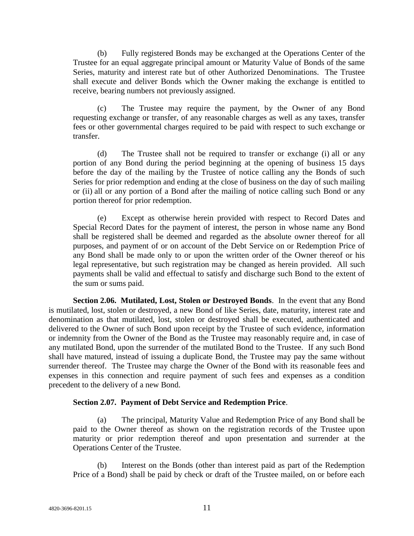(b) Fully registered Bonds may be exchanged at the Operations Center of the Trustee for an equal aggregate principal amount or Maturity Value of Bonds of the same Series, maturity and interest rate but of other Authorized Denominations. The Trustee shall execute and deliver Bonds which the Owner making the exchange is entitled to receive, bearing numbers not previously assigned.

(c) The Trustee may require the payment, by the Owner of any Bond requesting exchange or transfer, of any reasonable charges as well as any taxes, transfer fees or other governmental charges required to be paid with respect to such exchange or transfer.

(d) The Trustee shall not be required to transfer or exchange (i) all or any portion of any Bond during the period beginning at the opening of business 15 days before the day of the mailing by the Trustee of notice calling any the Bonds of such Series for prior redemption and ending at the close of business on the day of such mailing or (ii) all or any portion of a Bond after the mailing of notice calling such Bond or any portion thereof for prior redemption.

(e) Except as otherwise herein provided with respect to Record Dates and Special Record Dates for the payment of interest, the person in whose name any Bond shall be registered shall be deemed and regarded as the absolute owner thereof for all purposes, and payment of or on account of the Debt Service on or Redemption Price of any Bond shall be made only to or upon the written order of the Owner thereof or his legal representative, but such registration may be changed as herein provided. All such payments shall be valid and effectual to satisfy and discharge such Bond to the extent of the sum or sums paid.

**Section 2.06. Mutilated, Lost, Stolen or Destroyed Bonds**. In the event that any Bond is mutilated, lost, stolen or destroyed, a new Bond of like Series, date, maturity, interest rate and denomination as that mutilated, lost, stolen or destroyed shall be executed, authenticated and delivered to the Owner of such Bond upon receipt by the Trustee of such evidence, information or indemnity from the Owner of the Bond as the Trustee may reasonably require and, in case of any mutilated Bond, upon the surrender of the mutilated Bond to the Trustee. If any such Bond shall have matured, instead of issuing a duplicate Bond, the Trustee may pay the same without surrender thereof. The Trustee may charge the Owner of the Bond with its reasonable fees and expenses in this connection and require payment of such fees and expenses as a condition precedent to the delivery of a new Bond.

## **Section 2.07. Payment of Debt Service and Redemption Price**.

(a) The principal, Maturity Value and Redemption Price of any Bond shall be paid to the Owner thereof as shown on the registration records of the Trustee upon maturity or prior redemption thereof and upon presentation and surrender at the Operations Center of the Trustee.

(b) Interest on the Bonds (other than interest paid as part of the Redemption Price of a Bond) shall be paid by check or draft of the Trustee mailed, on or before each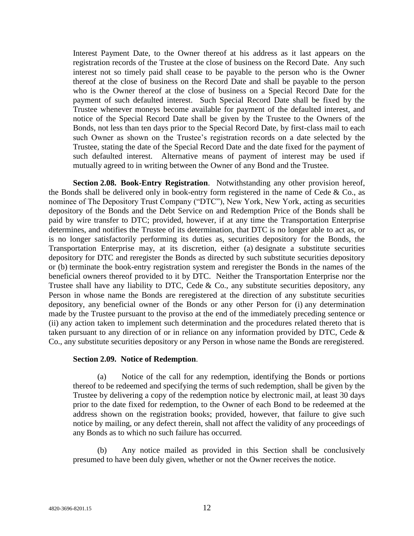Interest Payment Date, to the Owner thereof at his address as it last appears on the registration records of the Trustee at the close of business on the Record Date. Any such interest not so timely paid shall cease to be payable to the person who is the Owner thereof at the close of business on the Record Date and shall be payable to the person who is the Owner thereof at the close of business on a Special Record Date for the payment of such defaulted interest. Such Special Record Date shall be fixed by the Trustee whenever moneys become available for payment of the defaulted interest, and notice of the Special Record Date shall be given by the Trustee to the Owners of the Bonds, not less than ten days prior to the Special Record Date, by first-class mail to each such Owner as shown on the Trustee's registration records on a date selected by the Trustee, stating the date of the Special Record Date and the date fixed for the payment of such defaulted interest. Alternative means of payment of interest may be used if mutually agreed to in writing between the Owner of any Bond and the Trustee.

**Section 2.08. Book-Entry Registration**. Notwithstanding any other provision hereof, the Bonds shall be delivered only in book-entry form registered in the name of Cede & Co., as nominee of The Depository Trust Company ("DTC"), New York, New York, acting as securities depository of the Bonds and the Debt Service on and Redemption Price of the Bonds shall be paid by wire transfer to DTC; provided, however, if at any time the Transportation Enterprise determines, and notifies the Trustee of its determination, that DTC is no longer able to act as, or is no longer satisfactorily performing its duties as, securities depository for the Bonds, the Transportation Enterprise may, at its discretion, either (a) designate a substitute securities depository for DTC and reregister the Bonds as directed by such substitute securities depository or (b) terminate the book-entry registration system and reregister the Bonds in the names of the beneficial owners thereof provided to it by DTC. Neither the Transportation Enterprise nor the Trustee shall have any liability to DTC, Cede & Co., any substitute securities depository, any Person in whose name the Bonds are reregistered at the direction of any substitute securities depository, any beneficial owner of the Bonds or any other Person for (i) any determination made by the Trustee pursuant to the proviso at the end of the immediately preceding sentence or (ii) any action taken to implement such determination and the procedures related thereto that is taken pursuant to any direction of or in reliance on any information provided by DTC, Cede & Co., any substitute securities depository or any Person in whose name the Bonds are reregistered.

#### **Section 2.09. Notice of Redemption**.

(a) Notice of the call for any redemption, identifying the Bonds or portions thereof to be redeemed and specifying the terms of such redemption, shall be given by the Trustee by delivering a copy of the redemption notice by electronic mail, at least 30 days prior to the date fixed for redemption, to the Owner of each Bond to be redeemed at the address shown on the registration books; provided, however, that failure to give such notice by mailing, or any defect therein, shall not affect the validity of any proceedings of any Bonds as to which no such failure has occurred.

(b) Any notice mailed as provided in this Section shall be conclusively presumed to have been duly given, whether or not the Owner receives the notice.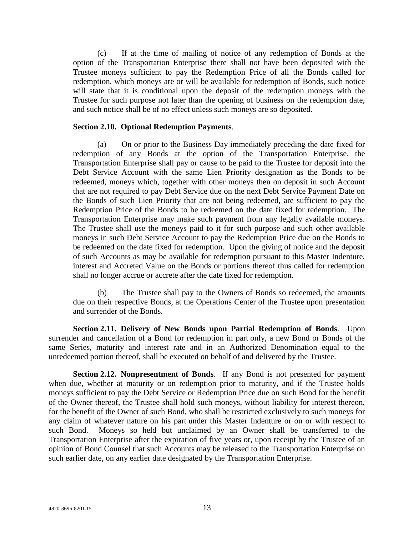(c) If at the time of mailing of notice of any redemption of Bonds at the option of the Transportation Enterprise there shall not have been deposited with the Trustee moneys sufficient to pay the Redemption Price of all the Bonds called for redemption, which moneys are or will be available for redemption of Bonds, such notice will state that it is conditional upon the deposit of the redemption moneys with the Trustee for such purpose not later than the opening of business on the redemption date, and such notice shall be of no effect unless such moneys are so deposited.

#### **Section 2.10. Optional Redemption Payments**.

(a) On or prior to the Business Day immediately preceding the date fixed for redemption of any Bonds at the option of the Transportation Enterprise, the Transportation Enterprise shall pay or cause to be paid to the Trustee for deposit into the Debt Service Account with the same Lien Priority designation as the Bonds to be redeemed, moneys which, together with other moneys then on deposit in such Account that are not required to pay Debt Service due on the next Debt Service Payment Date on the Bonds of such Lien Priority that are not being redeemed, are sufficient to pay the Redemption Price of the Bonds to be redeemed on the date fixed for redemption. The Transportation Enterprise may make such payment from any legally available moneys. The Trustee shall use the moneys paid to it for such purpose and such other available moneys in such Debt Service Account to pay the Redemption Price due on the Bonds to be redeemed on the date fixed for redemption. Upon the giving of notice and the deposit of such Accounts as may be available for redemption pursuant to this Master Indenture, interest and Accreted Value on the Bonds or portions thereof thus called for redemption shall no longer accrue or accrete after the date fixed for redemption.

(b) The Trustee shall pay to the Owners of Bonds so redeemed, the amounts due on their respective Bonds, at the Operations Center of the Trustee upon presentation and surrender of the Bonds.

**Section 2.11. Delivery of New Bonds upon Partial Redemption of Bonds**. Upon surrender and cancellation of a Bond for redemption in part only, a new Bond or Bonds of the same Series, maturity and interest rate and in an Authorized Denomination equal to the unredeemed portion thereof, shall be executed on behalf of and delivered by the Trustee.

**Section 2.12. Nonpresentment of Bonds**. If any Bond is not presented for payment when due, whether at maturity or on redemption prior to maturity, and if the Trustee holds moneys sufficient to pay the Debt Service or Redemption Price due on such Bond for the benefit of the Owner thereof, the Trustee shall hold such moneys, without liability for interest thereon, for the benefit of the Owner of such Bond, who shall be restricted exclusively to such moneys for any claim of whatever nature on his part under this Master Indenture or on or with respect to such Bond. Moneys so held but unclaimed by an Owner shall be transferred to the Transportation Enterprise after the expiration of five years or, upon receipt by the Trustee of an opinion of Bond Counsel that such Accounts may be released to the Transportation Enterprise on such earlier date, on any earlier date designated by the Transportation Enterprise.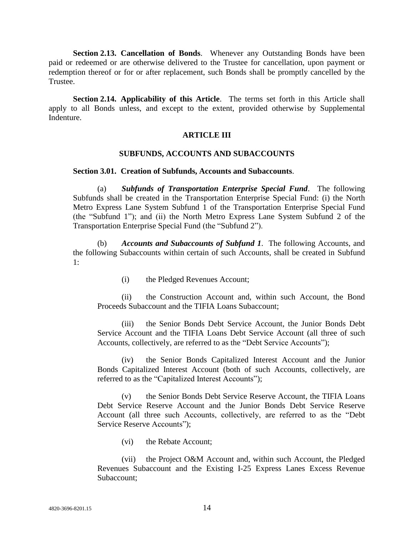**Section 2.13. Cancellation of Bonds**. Whenever any Outstanding Bonds have been paid or redeemed or are otherwise delivered to the Trustee for cancellation, upon payment or redemption thereof or for or after replacement, such Bonds shall be promptly cancelled by the Trustee.

**Section 2.14. Applicability of this Article**. The terms set forth in this Article shall apply to all Bonds unless, and except to the extent, provided otherwise by Supplemental Indenture.

#### **ARTICLE III**

#### **SUBFUNDS, ACCOUNTS AND SUBACCOUNTS**

#### **Section 3.01. Creation of Subfunds, Accounts and Subaccounts**.

(a) *Subfunds of Transportation Enterprise Special Fund*. The following Subfunds shall be created in the Transportation Enterprise Special Fund: (i) the North Metro Express Lane System Subfund 1 of the Transportation Enterprise Special Fund (the "Subfund 1"); and (ii) the North Metro Express Lane System Subfund 2 of the Transportation Enterprise Special Fund (the "Subfund 2").

(b) *Accounts and Subaccounts of Subfund 1*. The following Accounts, and the following Subaccounts within certain of such Accounts, shall be created in Subfund 1:

(i) the Pledged Revenues Account;

(ii) the Construction Account and, within such Account, the Bond Proceeds Subaccount and the TIFIA Loans Subaccount;

(iii) the Senior Bonds Debt Service Account, the Junior Bonds Debt Service Account and the TIFIA Loans Debt Service Account (all three of such Accounts, collectively, are referred to as the "Debt Service Accounts");

(iv) the Senior Bonds Capitalized Interest Account and the Junior Bonds Capitalized Interest Account (both of such Accounts, collectively, are referred to as the "Capitalized Interest Accounts");

(v) the Senior Bonds Debt Service Reserve Account, the TIFIA Loans Debt Service Reserve Account and the Junior Bonds Debt Service Reserve Account (all three such Accounts, collectively, are referred to as the "Debt Service Reserve Accounts");

(vi) the Rebate Account;

(vii) the Project O&M Account and, within such Account, the Pledged Revenues Subaccount and the Existing I-25 Express Lanes Excess Revenue Subaccount;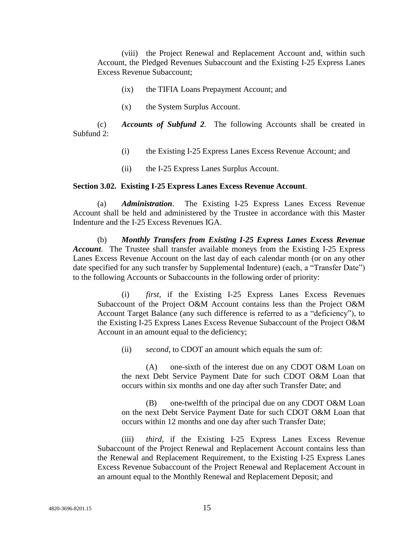(viii) the Project Renewal and Replacement Account and, within such Account, the Pledged Revenues Subaccount and the Existing I-25 Express Lanes Excess Revenue Subaccount;

- (ix) the TIFIA Loans Prepayment Account; and
- (x) the System Surplus Account.

(c) *Accounts of Subfund 2*. The following Accounts shall be created in Subfund 2:

- (i) the Existing I-25 Express Lanes Excess Revenue Account; and
- (ii) the I-25 Express Lanes Surplus Account.

#### **Section 3.02. Existing I-25 Express Lanes Excess Revenue Account**.

(a) *Administration*. The Existing I-25 Express Lanes Excess Revenue Account shall be held and administered by the Trustee in accordance with this Master Indenture and the I-25 Excess Revenues IGA.

(b) *Monthly Transfers from Existing I-25 Express Lanes Excess Revenue Account*. The Trustee shall transfer available moneys from the Existing I-25 Express Lanes Excess Revenue Account on the last day of each calendar month (or on any other date specified for any such transfer by Supplemental Indenture) (each, a "Transfer Date") to the following Accounts or Subaccounts in the following order of priority:

(i) *first*, if the Existing I-25 Express Lanes Excess Revenues Subaccount of the Project O&M Account contains less than the Project O&M Account Target Balance (any such difference is referred to as a "deficiency"), to the Existing I-25 Express Lanes Excess Revenue Subaccount of the Project O&M Account in an amount equal to the deficiency;

(ii) *second*, to CDOT an amount which equals the sum of:

(A) one-sixth of the interest due on any CDOT O&M Loan on the next Debt Service Payment Date for such CDOT O&M Loan that occurs within six months and one day after such Transfer Date; and

(B) one-twelfth of the principal due on any CDOT O&M Loan on the next Debt Service Payment Date for such CDOT O&M Loan that occurs within 12 months and one day after such Transfer Date;

(iii) *third*, if the Existing I-25 Express Lanes Excess Revenue Subaccount of the Project Renewal and Replacement Account contains less than the Renewal and Replacement Requirement, to the Existing I-25 Express Lanes Excess Revenue Subaccount of the Project Renewal and Replacement Account in an amount equal to the Monthly Renewal and Replacement Deposit; and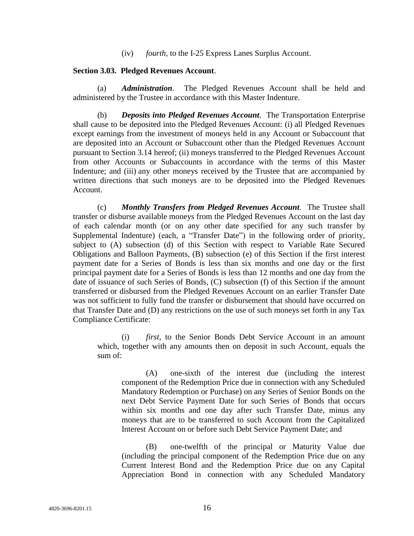(iv) *fourth*, to the I-25 Express Lanes Surplus Account.

#### **Section 3.03. Pledged Revenues Account**.

(a) *Administration*. The Pledged Revenues Account shall be held and administered by the Trustee in accordance with this Master Indenture.

(b) *Deposits into Pledged Revenues Account*. The Transportation Enterprise shall cause to be deposited into the Pledged Revenues Account: (i) all Pledged Revenues except earnings from the investment of moneys held in any Account or Subaccount that are deposited into an Account or Subaccount other than the Pledged Revenues Account pursuant to Section 3.14 hereof; (ii) moneys transferred to the Pledged Revenues Account from other Accounts or Subaccounts in accordance with the terms of this Master Indenture; and (iii) any other moneys received by the Trustee that are accompanied by written directions that such moneys are to be deposited into the Pledged Revenues Account.

(c) *Monthly Transfers from Pledged Revenues Account*. The Trustee shall transfer or disburse available moneys from the Pledged Revenues Account on the last day of each calendar month (or on any other date specified for any such transfer by Supplemental Indenture) (each, a "Transfer Date") in the following order of priority, subject to (A) subsection (d) of this Section with respect to Variable Rate Secured Obligations and Balloon Payments, (B) subsection (e) of this Section if the first interest payment date for a Series of Bonds is less than six months and one day or the first principal payment date for a Series of Bonds is less than 12 months and one day from the date of issuance of such Series of Bonds, (C) subsection (f) of this Section if the amount transferred or disbursed from the Pledged Revenues Account on an earlier Transfer Date was not sufficient to fully fund the transfer or disbursement that should have occurred on that Transfer Date and (D) any restrictions on the use of such moneys set forth in any Tax Compliance Certificate:

(i) *first*, to the Senior Bonds Debt Service Account in an amount which, together with any amounts then on deposit in such Account, equals the sum of:

(A) one-sixth of the interest due (including the interest component of the Redemption Price due in connection with any Scheduled Mandatory Redemption or Purchase) on any Series of Senior Bonds on the next Debt Service Payment Date for such Series of Bonds that occurs within six months and one day after such Transfer Date, minus any moneys that are to be transferred to such Account from the Capitalized Interest Account on or before such Debt Service Payment Date; and

(B) one-twelfth of the principal or Maturity Value due (including the principal component of the Redemption Price due on any Current Interest Bond and the Redemption Price due on any Capital Appreciation Bond in connection with any Scheduled Mandatory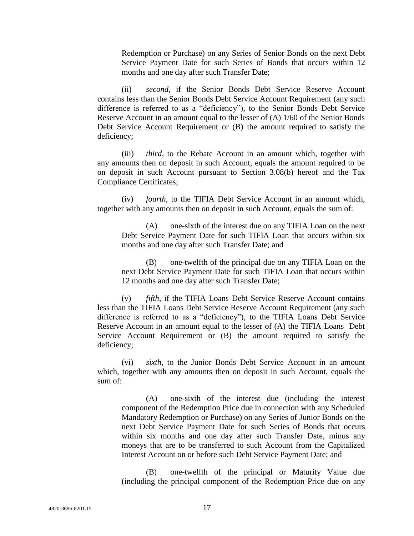Redemption or Purchase) on any Series of Senior Bonds on the next Debt Service Payment Date for such Series of Bonds that occurs within 12 months and one day after such Transfer Date;

(ii) *second*, if the Senior Bonds Debt Service Reserve Account contains less than the Senior Bonds Debt Service Account Requirement (any such difference is referred to as a "deficiency"), to the Senior Bonds Debt Service Reserve Account in an amount equal to the lesser of (A) 1/60 of the Senior Bonds Debt Service Account Requirement or (B) the amount required to satisfy the deficiency;

(iii) *third*, to the Rebate Account in an amount which, together with any amounts then on deposit in such Account, equals the amount required to be on deposit in such Account pursuant to Section 3.08(b) hereof and the Tax Compliance Certificates;

(iv) *fourth*, to the TIFIA Debt Service Account in an amount which, together with any amounts then on deposit in such Account, equals the sum of:

(A) one-sixth of the interest due on any TIFIA Loan on the next Debt Service Payment Date for such TIFIA Loan that occurs within six months and one day after such Transfer Date; and

(B) one-twelfth of the principal due on any TIFIA Loan on the next Debt Service Payment Date for such TIFIA Loan that occurs within 12 months and one day after such Transfer Date;

(v) *fifth*, if the TIFIA Loans Debt Service Reserve Account contains less than the TIFIA Loans Debt Service Reserve Account Requirement (any such difference is referred to as a "deficiency"), to the TIFIA Loans Debt Service Reserve Account in an amount equal to the lesser of (A) the TIFIA Loans Debt Service Account Requirement or (B) the amount required to satisfy the deficiency;

(vi) *sixth*, to the Junior Bonds Debt Service Account in an amount which, together with any amounts then on deposit in such Account, equals the sum of:

(A) one-sixth of the interest due (including the interest component of the Redemption Price due in connection with any Scheduled Mandatory Redemption or Purchase) on any Series of Junior Bonds on the next Debt Service Payment Date for such Series of Bonds that occurs within six months and one day after such Transfer Date, minus any moneys that are to be transferred to such Account from the Capitalized Interest Account on or before such Debt Service Payment Date; and

(B) one-twelfth of the principal or Maturity Value due (including the principal component of the Redemption Price due on any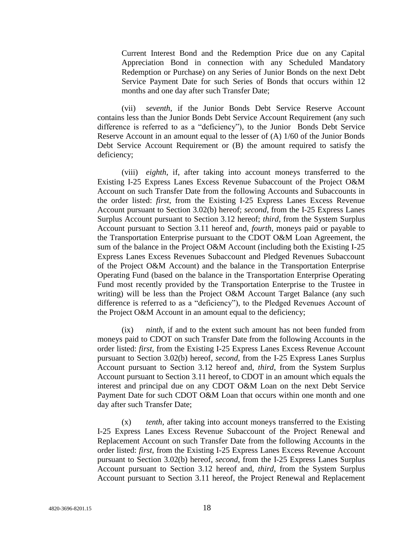Current Interest Bond and the Redemption Price due on any Capital Appreciation Bond in connection with any Scheduled Mandatory Redemption or Purchase) on any Series of Junior Bonds on the next Debt Service Payment Date for such Series of Bonds that occurs within 12 months and one day after such Transfer Date;

(vii) *seventh*, if the Junior Bonds Debt Service Reserve Account contains less than the Junior Bonds Debt Service Account Requirement (any such difference is referred to as a "deficiency"), to the Junior Bonds Debt Service Reserve Account in an amount equal to the lesser of (A) 1/60 of the Junior Bonds Debt Service Account Requirement or (B) the amount required to satisfy the deficiency;

(viii) *eighth*, if, after taking into account moneys transferred to the Existing I-25 Express Lanes Excess Revenue Subaccount of the Project O&M Account on such Transfer Date from the following Accounts and Subaccounts in the order listed: *first*, from the Existing I-25 Express Lanes Excess Revenue Account pursuant to Section 3.02(b) hereof; *second*, from the I-25 Express Lanes Surplus Account pursuant to Section 3.12 hereof; *third*, from the System Surplus Account pursuant to Section 3.11 hereof and, *fourth*, moneys paid or payable to the Transportation Enterprise pursuant to the CDOT O&M Loan Agreement, the sum of the balance in the Project O&M Account (including both the Existing I-25 Express Lanes Excess Revenues Subaccount and Pledged Revenues Subaccount of the Project O&M Account) and the balance in the Transportation Enterprise Operating Fund (based on the balance in the Transportation Enterprise Operating Fund most recently provided by the Transportation Enterprise to the Trustee in writing) will be less than the Project O&M Account Target Balance (any such difference is referred to as a "deficiency"), to the Pledged Revenues Account of the Project O&M Account in an amount equal to the deficiency;

(ix) *ninth*, if and to the extent such amount has not been funded from moneys paid to CDOT on such Transfer Date from the following Accounts in the order listed: *first*, from the Existing I-25 Express Lanes Excess Revenue Account pursuant to Section 3.02(b) hereof, *second*, from the I-25 Express Lanes Surplus Account pursuant to Section 3.12 hereof and, *third*, from the System Surplus Account pursuant to Section 3.11 hereof, to CDOT in an amount which equals the interest and principal due on any CDOT O&M Loan on the next Debt Service Payment Date for such CDOT O&M Loan that occurs within one month and one day after such Transfer Date;

(x) *tenth*, after taking into account moneys transferred to the Existing I-25 Express Lanes Excess Revenue Subaccount of the Project Renewal and Replacement Account on such Transfer Date from the following Accounts in the order listed: *first*, from the Existing I-25 Express Lanes Excess Revenue Account pursuant to Section 3.02(b) hereof, *second*, from the I-25 Express Lanes Surplus Account pursuant to Section 3.12 hereof and, *third*, from the System Surplus Account pursuant to Section 3.11 hereof, the Project Renewal and Replacement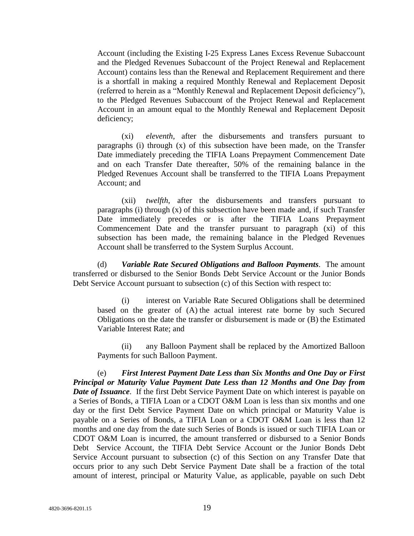Account (including the Existing I-25 Express Lanes Excess Revenue Subaccount and the Pledged Revenues Subaccount of the Project Renewal and Replacement Account) contains less than the Renewal and Replacement Requirement and there is a shortfall in making a required Monthly Renewal and Replacement Deposit (referred to herein as a "Monthly Renewal and Replacement Deposit deficiency"), to the Pledged Revenues Subaccount of the Project Renewal and Replacement Account in an amount equal to the Monthly Renewal and Replacement Deposit deficiency;

(xi) *eleventh*, after the disbursements and transfers pursuant to paragraphs (i) through (x) of this subsection have been made, on the Transfer Date immediately preceding the TIFIA Loans Prepayment Commencement Date and on each Transfer Date thereafter, 50% of the remaining balance in the Pledged Revenues Account shall be transferred to the TIFIA Loans Prepayment Account; and

(xii) *twelfth*, after the disbursements and transfers pursuant to paragraphs (i) through (x) of this subsection have been made and, if such Transfer Date immediately precedes or is after the TIFIA Loans Prepayment Commencement Date and the transfer pursuant to paragraph (xi) of this subsection has been made, the remaining balance in the Pledged Revenues Account shall be transferred to the System Surplus Account.

(d) *Variable Rate Secured Obligations and Balloon Payments*. The amount transferred or disbursed to the Senior Bonds Debt Service Account or the Junior Bonds Debt Service Account pursuant to subsection (c) of this Section with respect to:

(i) interest on Variable Rate Secured Obligations shall be determined based on the greater of (A) the actual interest rate borne by such Secured Obligations on the date the transfer or disbursement is made or (B) the Estimated Variable Interest Rate; and

(ii) any Balloon Payment shall be replaced by the Amortized Balloon Payments for such Balloon Payment.

(e) *First Interest Payment Date Less than Six Months and One Day or First Principal or Maturity Value Payment Date Less than 12 Months and One Day from Date of Issuance*. If the first Debt Service Payment Date on which interest is payable on a Series of Bonds, a TIFIA Loan or a CDOT O&M Loan is less than six months and one day or the first Debt Service Payment Date on which principal or Maturity Value is payable on a Series of Bonds, a TIFIA Loan or a CDOT O&M Loan is less than 12 months and one day from the date such Series of Bonds is issued or such TIFIA Loan or CDOT O&M Loan is incurred, the amount transferred or disbursed to a Senior Bonds Debt Service Account, the TIFIA Debt Service Account or the Junior Bonds Debt Service Account pursuant to subsection (c) of this Section on any Transfer Date that occurs prior to any such Debt Service Payment Date shall be a fraction of the total amount of interest, principal or Maturity Value, as applicable, payable on such Debt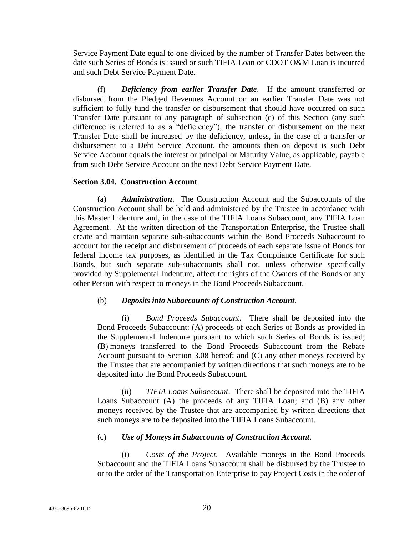Service Payment Date equal to one divided by the number of Transfer Dates between the date such Series of Bonds is issued or such TIFIA Loan or CDOT O&M Loan is incurred and such Debt Service Payment Date.

(f) *Deficiency from earlier Transfer Date*. If the amount transferred or disbursed from the Pledged Revenues Account on an earlier Transfer Date was not sufficient to fully fund the transfer or disbursement that should have occurred on such Transfer Date pursuant to any paragraph of subsection (c) of this Section (any such difference is referred to as a "deficiency"), the transfer or disbursement on the next Transfer Date shall be increased by the deficiency, unless, in the case of a transfer or disbursement to a Debt Service Account, the amounts then on deposit is such Debt Service Account equals the interest or principal or Maturity Value, as applicable, payable from such Debt Service Account on the next Debt Service Payment Date.

## **Section 3.04. Construction Account**.

(a) *Administration*. The Construction Account and the Subaccounts of the Construction Account shall be held and administered by the Trustee in accordance with this Master Indenture and, in the case of the TIFIA Loans Subaccount, any TIFIA Loan Agreement. At the written direction of the Transportation Enterprise, the Trustee shall create and maintain separate sub-subaccounts within the Bond Proceeds Subaccount to account for the receipt and disbursement of proceeds of each separate issue of Bonds for federal income tax purposes, as identified in the Tax Compliance Certificate for such Bonds, but such separate sub-subaccounts shall not, unless otherwise specifically provided by Supplemental Indenture, affect the rights of the Owners of the Bonds or any other Person with respect to moneys in the Bond Proceeds Subaccount.

## (b) *Deposits into Subaccounts of Construction Account*.

(i) *Bond Proceeds Subaccount*. There shall be deposited into the Bond Proceeds Subaccount: (A) proceeds of each Series of Bonds as provided in the Supplemental Indenture pursuant to which such Series of Bonds is issued; (B) moneys transferred to the Bond Proceeds Subaccount from the Rebate Account pursuant to Section 3.08 hereof; and (C) any other moneys received by the Trustee that are accompanied by written directions that such moneys are to be deposited into the Bond Proceeds Subaccount.

(ii) *TIFIA Loans Subaccount*. There shall be deposited into the TIFIA Loans Subaccount (A) the proceeds of any TIFIA Loan; and (B) any other moneys received by the Trustee that are accompanied by written directions that such moneys are to be deposited into the TIFIA Loans Subaccount.

## (c) *Use of Moneys in Subaccounts of Construction Account*.

(i) *Costs of the Project*. Available moneys in the Bond Proceeds Subaccount and the TIFIA Loans Subaccount shall be disbursed by the Trustee to or to the order of the Transportation Enterprise to pay Project Costs in the order of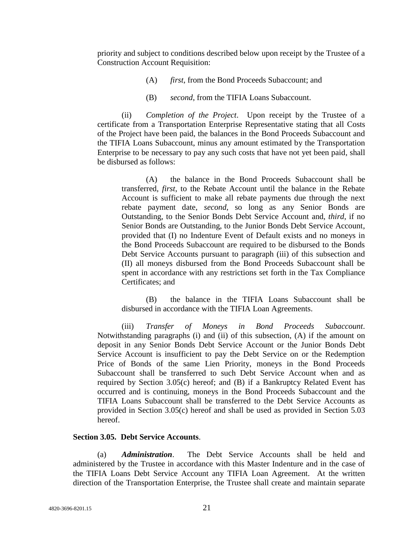priority and subject to conditions described below upon receipt by the Trustee of a Construction Account Requisition:

- (A) *first*, from the Bond Proceeds Subaccount; and
- (B) *second*, from the TIFIA Loans Subaccount.

(ii) *Completion of the Project*. Upon receipt by the Trustee of a certificate from a Transportation Enterprise Representative stating that all Costs of the Project have been paid, the balances in the Bond Proceeds Subaccount and the TIFIA Loans Subaccount, minus any amount estimated by the Transportation Enterprise to be necessary to pay any such costs that have not yet been paid, shall be disbursed as follows:

(A) the balance in the Bond Proceeds Subaccount shall be transferred, *first*, to the Rebate Account until the balance in the Rebate Account is sufficient to make all rebate payments due through the next rebate payment date, *second*, so long as any Senior Bonds are Outstanding, to the Senior Bonds Debt Service Account and, *third*, if no Senior Bonds are Outstanding, to the Junior Bonds Debt Service Account, provided that (I) no Indenture Event of Default exists and no moneys in the Bond Proceeds Subaccount are required to be disbursed to the Bonds Debt Service Accounts pursuant to paragraph (iii) of this subsection and (II) all moneys disbursed from the Bond Proceeds Subaccount shall be spent in accordance with any restrictions set forth in the Tax Compliance Certificates; and

(B) the balance in the TIFIA Loans Subaccount shall be disbursed in accordance with the TIFIA Loan Agreements.

(iii) *Transfer of Moneys in Bond Proceeds Subaccount*. Notwithstanding paragraphs (i) and (ii) of this subsection, (A) if the amount on deposit in any Senior Bonds Debt Service Account or the Junior Bonds Debt Service Account is insufficient to pay the Debt Service on or the Redemption Price of Bonds of the same Lien Priority, moneys in the Bond Proceeds Subaccount shall be transferred to such Debt Service Account when and as required by Section 3.05(c) hereof; and (B) if a Bankruptcy Related Event has occurred and is continuing, moneys in the Bond Proceeds Subaccount and the TIFIA Loans Subaccount shall be transferred to the Debt Service Accounts as provided in Section 3.05(c) hereof and shall be used as provided in Section 5.03 hereof.

## **Section 3.05. Debt Service Accounts**.

(a) *Administration*. The Debt Service Accounts shall be held and administered by the Trustee in accordance with this Master Indenture and in the case of the TIFIA Loans Debt Service Account any TIFIA Loan Agreement. At the written direction of the Transportation Enterprise, the Trustee shall create and maintain separate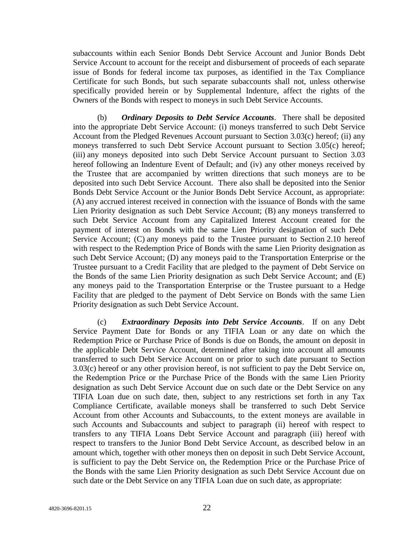subaccounts within each Senior Bonds Debt Service Account and Junior Bonds Debt Service Account to account for the receipt and disbursement of proceeds of each separate issue of Bonds for federal income tax purposes, as identified in the Tax Compliance Certificate for such Bonds, but such separate subaccounts shall not, unless otherwise specifically provided herein or by Supplemental Indenture, affect the rights of the Owners of the Bonds with respect to moneys in such Debt Service Accounts.

(b) *Ordinary Deposits to Debt Service Accounts*. There shall be deposited into the appropriate Debt Service Account: (i) moneys transferred to such Debt Service Account from the Pledged Revenues Account pursuant to Section 3.03(c) hereof; (ii) any moneys transferred to such Debt Service Account pursuant to Section 3.05(c) hereof; (iii) any moneys deposited into such Debt Service Account pursuant to Section 3.03 hereof following an Indenture Event of Default; and (iv) any other moneys received by the Trustee that are accompanied by written directions that such moneys are to be deposited into such Debt Service Account. There also shall be deposited into the Senior Bonds Debt Service Account or the Junior Bonds Debt Service Account, as appropriate: (A) any accrued interest received in connection with the issuance of Bonds with the same Lien Priority designation as such Debt Service Account; (B) any moneys transferred to such Debt Service Account from any Capitalized Interest Account created for the payment of interest on Bonds with the same Lien Priority designation of such Debt Service Account; (C) any moneys paid to the Trustee pursuant to Section 2.10 hereof with respect to the Redemption Price of Bonds with the same Lien Priority designation as such Debt Service Account; (D) any moneys paid to the Transportation Enterprise or the Trustee pursuant to a Credit Facility that are pledged to the payment of Debt Service on the Bonds of the same Lien Priority designation as such Debt Service Account; and (E) any moneys paid to the Transportation Enterprise or the Trustee pursuant to a Hedge Facility that are pledged to the payment of Debt Service on Bonds with the same Lien Priority designation as such Debt Service Account.

(c) *Extraordinary Deposits into Debt Service Accounts*. If on any Debt Service Payment Date for Bonds or any TIFIA Loan or any date on which the Redemption Price or Purchase Price of Bonds is due on Bonds, the amount on deposit in the applicable Debt Service Account, determined after taking into account all amounts transferred to such Debt Service Account on or prior to such date pursuant to Section 3.03(c) hereof or any other provision hereof, is not sufficient to pay the Debt Service on, the Redemption Price or the Purchase Price of the Bonds with the same Lien Priority designation as such Debt Service Account due on such date or the Debt Service on any TIFIA Loan due on such date, then, subject to any restrictions set forth in any Tax Compliance Certificate, available moneys shall be transferred to such Debt Service Account from other Accounts and Subaccounts, to the extent moneys are available in such Accounts and Subaccounts and subject to paragraph (ii) hereof with respect to transfers to any TIFIA Loans Debt Service Account and paragraph (iii) hereof with respect to transfers to the Junior Bond Debt Service Account, as described below in an amount which, together with other moneys then on deposit in such Debt Service Account, is sufficient to pay the Debt Service on, the Redemption Price or the Purchase Price of the Bonds with the same Lien Priority designation as such Debt Service Account due on such date or the Debt Service on any TIFIA Loan due on such date, as appropriate: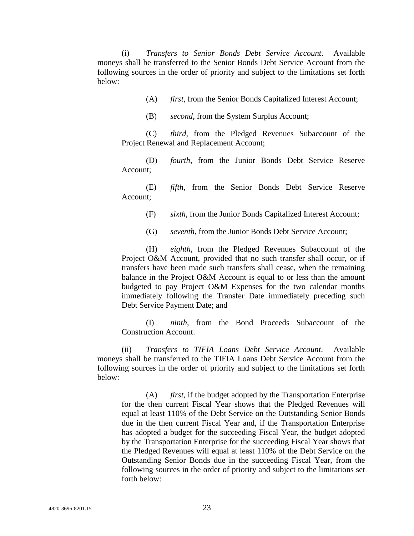(i) *Transfers to Senior Bonds Debt Service Account*. Available moneys shall be transferred to the Senior Bonds Debt Service Account from the following sources in the order of priority and subject to the limitations set forth below:

(A) *first*, from the Senior Bonds Capitalized Interest Account;

(B) *second*, from the System Surplus Account;

(C) *third*, from the Pledged Revenues Subaccount of the Project Renewal and Replacement Account;

(D) *fourth*, from the Junior Bonds Debt Service Reserve Account;

(E) *fifth*, from the Senior Bonds Debt Service Reserve Account;

(F) *sixth*, from the Junior Bonds Capitalized Interest Account;

(G) *seventh*, from the Junior Bonds Debt Service Account;

(H) *eighth*, from the Pledged Revenues Subaccount of the Project O&M Account, provided that no such transfer shall occur, or if transfers have been made such transfers shall cease, when the remaining balance in the Project O&M Account is equal to or less than the amount budgeted to pay Project O&M Expenses for the two calendar months immediately following the Transfer Date immediately preceding such Debt Service Payment Date; and

(I) *ninth*, from the Bond Proceeds Subaccount of the Construction Account.

(ii) *Transfers to TIFIA Loans Debt Service Account*. Available moneys shall be transferred to the TIFIA Loans Debt Service Account from the following sources in the order of priority and subject to the limitations set forth below:

(A) *first*, if the budget adopted by the Transportation Enterprise for the then current Fiscal Year shows that the Pledged Revenues will equal at least 110% of the Debt Service on the Outstanding Senior Bonds due in the then current Fiscal Year and, if the Transportation Enterprise has adopted a budget for the succeeding Fiscal Year, the budget adopted by the Transportation Enterprise for the succeeding Fiscal Year shows that the Pledged Revenues will equal at least 110% of the Debt Service on the Outstanding Senior Bonds due in the succeeding Fiscal Year, from the following sources in the order of priority and subject to the limitations set forth below: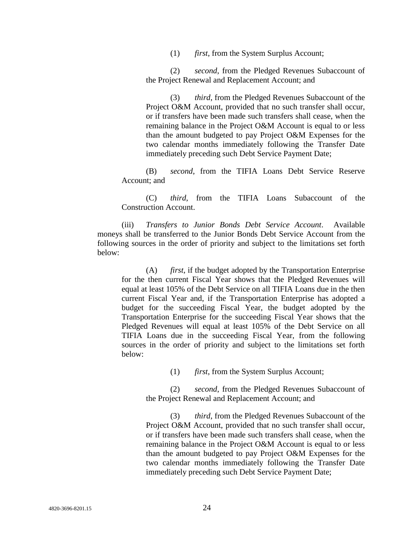(1) *first*, from the System Surplus Account;

(2) *second*, from the Pledged Revenues Subaccount of the Project Renewal and Replacement Account; and

(3) *third*, from the Pledged Revenues Subaccount of the Project O&M Account, provided that no such transfer shall occur, or if transfers have been made such transfers shall cease, when the remaining balance in the Project O&M Account is equal to or less than the amount budgeted to pay Project O&M Expenses for the two calendar months immediately following the Transfer Date immediately preceding such Debt Service Payment Date;

(B) *second*, from the TIFIA Loans Debt Service Reserve Account; and

(C) *third*, from the TIFIA Loans Subaccount of the Construction Account.

(iii) *Transfers to Junior Bonds Debt Service Account*. Available moneys shall be transferred to the Junior Bonds Debt Service Account from the following sources in the order of priority and subject to the limitations set forth below:

(A) *first*, if the budget adopted by the Transportation Enterprise for the then current Fiscal Year shows that the Pledged Revenues will equal at least 105% of the Debt Service on all TIFIA Loans due in the then current Fiscal Year and, if the Transportation Enterprise has adopted a budget for the succeeding Fiscal Year, the budget adopted by the Transportation Enterprise for the succeeding Fiscal Year shows that the Pledged Revenues will equal at least 105% of the Debt Service on all TIFIA Loans due in the succeeding Fiscal Year, from the following sources in the order of priority and subject to the limitations set forth below:

(1) *first*, from the System Surplus Account;

(2) *second*, from the Pledged Revenues Subaccount of the Project Renewal and Replacement Account; and

(3) *third*, from the Pledged Revenues Subaccount of the Project O&M Account, provided that no such transfer shall occur, or if transfers have been made such transfers shall cease, when the remaining balance in the Project O&M Account is equal to or less than the amount budgeted to pay Project O&M Expenses for the two calendar months immediately following the Transfer Date immediately preceding such Debt Service Payment Date;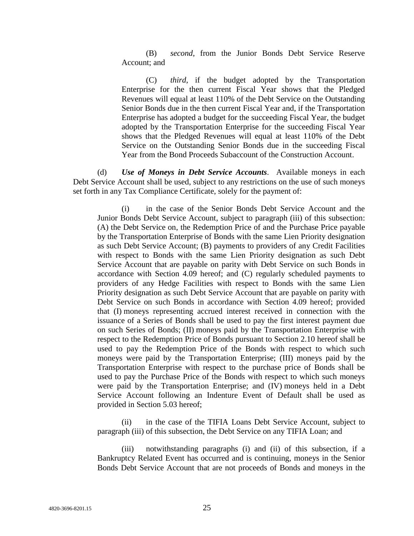(B) *second*, from the Junior Bonds Debt Service Reserve Account; and

(C) *third*, if the budget adopted by the Transportation Enterprise for the then current Fiscal Year shows that the Pledged Revenues will equal at least 110% of the Debt Service on the Outstanding Senior Bonds due in the then current Fiscal Year and, if the Transportation Enterprise has adopted a budget for the succeeding Fiscal Year, the budget adopted by the Transportation Enterprise for the succeeding Fiscal Year shows that the Pledged Revenues will equal at least 110% of the Debt Service on the Outstanding Senior Bonds due in the succeeding Fiscal Year from the Bond Proceeds Subaccount of the Construction Account.

(d) *Use of Moneys in Debt Service Accounts*. Available moneys in each Debt Service Account shall be used, subject to any restrictions on the use of such moneys set forth in any Tax Compliance Certificate, solely for the payment of:

(i) in the case of the Senior Bonds Debt Service Account and the Junior Bonds Debt Service Account, subject to paragraph (iii) of this subsection: (A) the Debt Service on, the Redemption Price of and the Purchase Price payable by the Transportation Enterprise of Bonds with the same Lien Priority designation as such Debt Service Account; (B) payments to providers of any Credit Facilities with respect to Bonds with the same Lien Priority designation as such Debt Service Account that are payable on parity with Debt Service on such Bonds in accordance with Section 4.09 hereof; and (C) regularly scheduled payments to providers of any Hedge Facilities with respect to Bonds with the same Lien Priority designation as such Debt Service Account that are payable on parity with Debt Service on such Bonds in accordance with Section 4.09 hereof; provided that (I) moneys representing accrued interest received in connection with the issuance of a Series of Bonds shall be used to pay the first interest payment due on such Series of Bonds; (II) moneys paid by the Transportation Enterprise with respect to the Redemption Price of Bonds pursuant to Section 2.10 hereof shall be used to pay the Redemption Price of the Bonds with respect to which such moneys were paid by the Transportation Enterprise; (III) moneys paid by the Transportation Enterprise with respect to the purchase price of Bonds shall be used to pay the Purchase Price of the Bonds with respect to which such moneys were paid by the Transportation Enterprise; and (IV) moneys held in a Debt Service Account following an Indenture Event of Default shall be used as provided in Section 5.03 hereof;

(ii) in the case of the TIFIA Loans Debt Service Account, subject to paragraph (iii) of this subsection, the Debt Service on any TIFIA Loan; and

(iii) notwithstanding paragraphs (i) and (ii) of this subsection, if a Bankruptcy Related Event has occurred and is continuing, moneys in the Senior Bonds Debt Service Account that are not proceeds of Bonds and moneys in the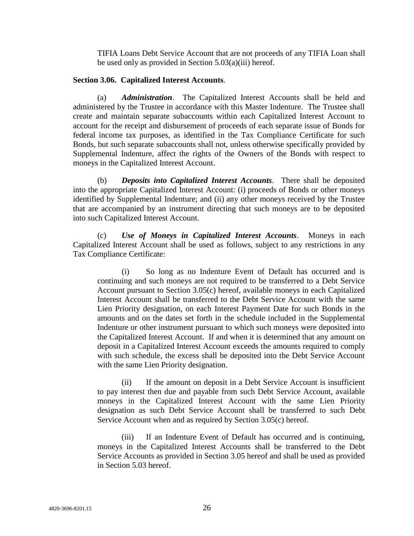TIFIA Loans Debt Service Account that are not proceeds of any TIFIA Loan shall be used only as provided in Section 5.03(a)(iii) hereof.

### **Section 3.06. Capitalized Interest Accounts**.

(a) *Administration*. The Capitalized Interest Accounts shall be held and administered by the Trustee in accordance with this Master Indenture. The Trustee shall create and maintain separate subaccounts within each Capitalized Interest Account to account for the receipt and disbursement of proceeds of each separate issue of Bonds for federal income tax purposes, as identified in the Tax Compliance Certificate for such Bonds, but such separate subaccounts shall not, unless otherwise specifically provided by Supplemental Indenture, affect the rights of the Owners of the Bonds with respect to moneys in the Capitalized Interest Account.

(b) *Deposits into Capitalized Interest Accounts*. There shall be deposited into the appropriate Capitalized Interest Account: (i) proceeds of Bonds or other moneys identified by Supplemental Indenture; and (ii) any other moneys received by the Trustee that are accompanied by an instrument directing that such moneys are to be deposited into such Capitalized Interest Account.

(c) *Use of Moneys in Capitalized Interest Accounts*. Moneys in each Capitalized Interest Account shall be used as follows, subject to any restrictions in any Tax Compliance Certificate:

(i) So long as no Indenture Event of Default has occurred and is continuing and such moneys are not required to be transferred to a Debt Service Account pursuant to Section 3.05(c) hereof, available moneys in each Capitalized Interest Account shall be transferred to the Debt Service Account with the same Lien Priority designation, on each Interest Payment Date for such Bonds in the amounts and on the dates set forth in the schedule included in the Supplemental Indenture or other instrument pursuant to which such moneys were deposited into the Capitalized Interest Account. If and when it is determined that any amount on deposit in a Capitalized Interest Account exceeds the amounts required to comply with such schedule, the excess shall be deposited into the Debt Service Account with the same Lien Priority designation.

(ii) If the amount on deposit in a Debt Service Account is insufficient to pay interest then due and payable from such Debt Service Account, available moneys in the Capitalized Interest Account with the same Lien Priority designation as such Debt Service Account shall be transferred to such Debt Service Account when and as required by Section 3.05(c) hereof.

(iii) If an Indenture Event of Default has occurred and is continuing, moneys in the Capitalized Interest Accounts shall be transferred to the Debt Service Accounts as provided in Section 3.05 hereof and shall be used as provided in Section 5.03 hereof.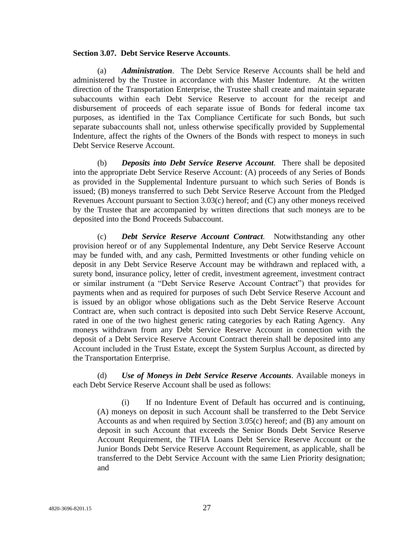#### **Section 3.07. Debt Service Reserve Accounts**.

(a) *Administration*. The Debt Service Reserve Accounts shall be held and administered by the Trustee in accordance with this Master Indenture. At the written direction of the Transportation Enterprise, the Trustee shall create and maintain separate subaccounts within each Debt Service Reserve to account for the receipt and disbursement of proceeds of each separate issue of Bonds for federal income tax purposes, as identified in the Tax Compliance Certificate for such Bonds, but such separate subaccounts shall not, unless otherwise specifically provided by Supplemental Indenture, affect the rights of the Owners of the Bonds with respect to moneys in such Debt Service Reserve Account.

(b) *Deposits into Debt Service Reserve Account*. There shall be deposited into the appropriate Debt Service Reserve Account: (A) proceeds of any Series of Bonds as provided in the Supplemental Indenture pursuant to which such Series of Bonds is issued; (B) moneys transferred to such Debt Service Reserve Account from the Pledged Revenues Account pursuant to Section 3.03(c) hereof; and (C) any other moneys received by the Trustee that are accompanied by written directions that such moneys are to be deposited into the Bond Proceeds Subaccount.

(c) *Debt Service Reserve Account Contract*. Notwithstanding any other provision hereof or of any Supplemental Indenture, any Debt Service Reserve Account may be funded with, and any cash, Permitted Investments or other funding vehicle on deposit in any Debt Service Reserve Account may be withdrawn and replaced with, a surety bond, insurance policy, letter of credit, investment agreement, investment contract or similar instrument (a "Debt Service Reserve Account Contract") that provides for payments when and as required for purposes of such Debt Service Reserve Account and is issued by an obligor whose obligations such as the Debt Service Reserve Account Contract are, when such contract is deposited into such Debt Service Reserve Account, rated in one of the two highest generic rating categories by each Rating Agency. Any moneys withdrawn from any Debt Service Reserve Account in connection with the deposit of a Debt Service Reserve Account Contract therein shall be deposited into any Account included in the Trust Estate, except the System Surplus Account, as directed by the Transportation Enterprise.

(d) *Use of Moneys in Debt Service Reserve Accounts*. Available moneys in each Debt Service Reserve Account shall be used as follows:

(i) If no Indenture Event of Default has occurred and is continuing, (A) moneys on deposit in such Account shall be transferred to the Debt Service Accounts as and when required by Section 3.05(c) hereof; and (B) any amount on deposit in such Account that exceeds the Senior Bonds Debt Service Reserve Account Requirement, the TIFIA Loans Debt Service Reserve Account or the Junior Bonds Debt Service Reserve Account Requirement, as applicable, shall be transferred to the Debt Service Account with the same Lien Priority designation; and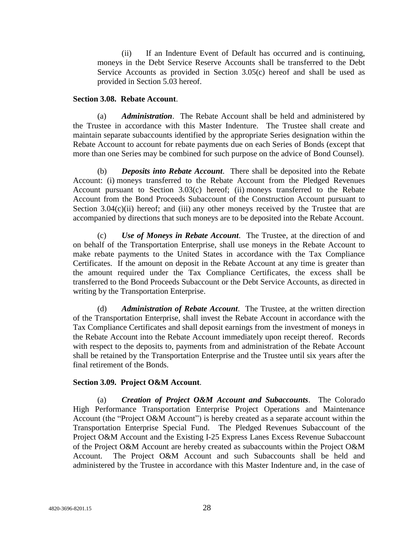(ii) If an Indenture Event of Default has occurred and is continuing, moneys in the Debt Service Reserve Accounts shall be transferred to the Debt Service Accounts as provided in Section 3.05(c) hereof and shall be used as provided in Section 5.03 hereof.

#### **Section 3.08. Rebate Account**.

(a) *Administration*. The Rebate Account shall be held and administered by the Trustee in accordance with this Master Indenture. The Trustee shall create and maintain separate subaccounts identified by the appropriate Series designation within the Rebate Account to account for rebate payments due on each Series of Bonds (except that more than one Series may be combined for such purpose on the advice of Bond Counsel).

(b) *Deposits into Rebate Account*. There shall be deposited into the Rebate Account: (i) moneys transferred to the Rebate Account from the Pledged Revenues Account pursuant to Section 3.03(c) hereof; (ii) moneys transferred to the Rebate Account from the Bond Proceeds Subaccount of the Construction Account pursuant to Section  $3.04(c)(ii)$  hereof; and (iii) any other moneys received by the Trustee that are accompanied by directions that such moneys are to be deposited into the Rebate Account.

(c) *Use of Moneys in Rebate Account*. The Trustee, at the direction of and on behalf of the Transportation Enterprise, shall use moneys in the Rebate Account to make rebate payments to the United States in accordance with the Tax Compliance Certificates. If the amount on deposit in the Rebate Account at any time is greater than the amount required under the Tax Compliance Certificates, the excess shall be transferred to the Bond Proceeds Subaccount or the Debt Service Accounts, as directed in writing by the Transportation Enterprise.

(d) *Administration of Rebate Account*. The Trustee, at the written direction of the Transportation Enterprise, shall invest the Rebate Account in accordance with the Tax Compliance Certificates and shall deposit earnings from the investment of moneys in the Rebate Account into the Rebate Account immediately upon receipt thereof. Records with respect to the deposits to, payments from and administration of the Rebate Account shall be retained by the Transportation Enterprise and the Trustee until six years after the final retirement of the Bonds.

## **Section 3.09. Project O&M Account**.

(a) *Creation of Project O&M Account and Subaccounts*. The Colorado High Performance Transportation Enterprise Project Operations and Maintenance Account (the "Project O&M Account") is hereby created as a separate account within the Transportation Enterprise Special Fund. The Pledged Revenues Subaccount of the Project O&M Account and the Existing I-25 Express Lanes Excess Revenue Subaccount of the Project O&M Account are hereby created as subaccounts within the Project O&M Account. The Project O&M Account and such Subaccounts shall be held and administered by the Trustee in accordance with this Master Indenture and, in the case of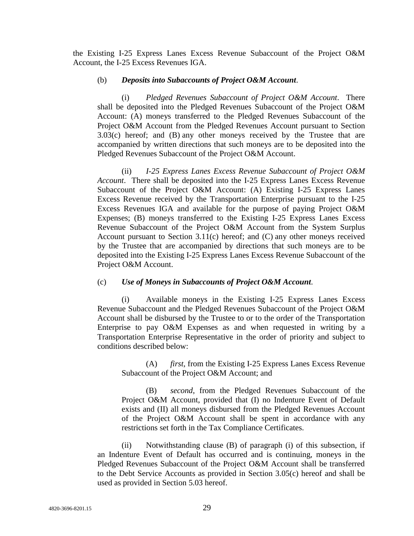the Existing I-25 Express Lanes Excess Revenue Subaccount of the Project O&M Account, the I-25 Excess Revenues IGA.

#### (b) *Deposits into Subaccounts of Project O&M Account*.

(i) *Pledged Revenues Subaccount of Project O&M Account*. There shall be deposited into the Pledged Revenues Subaccount of the Project O&M Account: (A) moneys transferred to the Pledged Revenues Subaccount of the Project O&M Account from the Pledged Revenues Account pursuant to Section 3.03(c) hereof; and (B) any other moneys received by the Trustee that are accompanied by written directions that such moneys are to be deposited into the Pledged Revenues Subaccount of the Project O&M Account.

(ii) *I-25 Express Lanes Excess Revenue Subaccount of Project O&M Account*. There shall be deposited into the I-25 Express Lanes Excess Revenue Subaccount of the Project O&M Account: (A) Existing I-25 Express Lanes Excess Revenue received by the Transportation Enterprise pursuant to the I-25 Excess Revenues IGA and available for the purpose of paying Project O&M Expenses; (B) moneys transferred to the Existing I-25 Express Lanes Excess Revenue Subaccount of the Project O&M Account from the System Surplus Account pursuant to Section 3.11(c) hereof; and (C) any other moneys received by the Trustee that are accompanied by directions that such moneys are to be deposited into the Existing I-25 Express Lanes Excess Revenue Subaccount of the Project O&M Account.

## (c) *Use of Moneys in Subaccounts of Project O&M Account*.

(i) Available moneys in the Existing I-25 Express Lanes Excess Revenue Subaccount and the Pledged Revenues Subaccount of the Project O&M Account shall be disbursed by the Trustee to or to the order of the Transportation Enterprise to pay O&M Expenses as and when requested in writing by a Transportation Enterprise Representative in the order of priority and subject to conditions described below:

(A) *first*, from the Existing I-25 Express Lanes Excess Revenue Subaccount of the Project O&M Account; and

(B) *second*, from the Pledged Revenues Subaccount of the Project O&M Account, provided that (I) no Indenture Event of Default exists and (II) all moneys disbursed from the Pledged Revenues Account of the Project O&M Account shall be spent in accordance with any restrictions set forth in the Tax Compliance Certificates.

(ii) Notwithstanding clause (B) of paragraph (i) of this subsection, if an Indenture Event of Default has occurred and is continuing, moneys in the Pledged Revenues Subaccount of the Project O&M Account shall be transferred to the Debt Service Accounts as provided in Section 3.05(c) hereof and shall be used as provided in Section 5.03 hereof.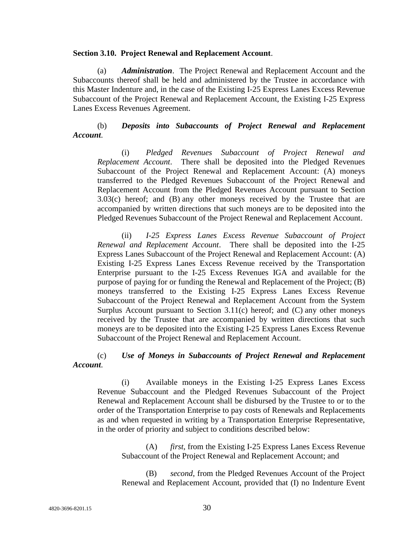#### **Section 3.10. Project Renewal and Replacement Account**.

(a) *Administration*. The Project Renewal and Replacement Account and the Subaccounts thereof shall be held and administered by the Trustee in accordance with this Master Indenture and, in the case of the Existing I-25 Express Lanes Excess Revenue Subaccount of the Project Renewal and Replacement Account, the Existing I-25 Express Lanes Excess Revenues Agreement.

## (b) *Deposits into Subaccounts of Project Renewal and Replacement Account*.

(i) *Pledged Revenues Subaccount of Project Renewal and Replacement Account*. There shall be deposited into the Pledged Revenues Subaccount of the Project Renewal and Replacement Account: (A) moneys transferred to the Pledged Revenues Subaccount of the Project Renewal and Replacement Account from the Pledged Revenues Account pursuant to Section 3.03(c) hereof; and (B) any other moneys received by the Trustee that are accompanied by written directions that such moneys are to be deposited into the Pledged Revenues Subaccount of the Project Renewal and Replacement Account.

(ii) *I-25 Express Lanes Excess Revenue Subaccount of Project Renewal and Replacement Account*. There shall be deposited into the I-25 Express Lanes Subaccount of the Project Renewal and Replacement Account: (A) Existing I-25 Express Lanes Excess Revenue received by the Transportation Enterprise pursuant to the I-25 Excess Revenues IGA and available for the purpose of paying for or funding the Renewal and Replacement of the Project; (B) moneys transferred to the Existing I-25 Express Lanes Excess Revenue Subaccount of the Project Renewal and Replacement Account from the System Surplus Account pursuant to Section  $3.11(c)$  hereof; and  $(C)$  any other moneys received by the Trustee that are accompanied by written directions that such moneys are to be deposited into the Existing I-25 Express Lanes Excess Revenue Subaccount of the Project Renewal and Replacement Account.

#### (c) *Use of Moneys in Subaccounts of Project Renewal and Replacement Account*.

(i) Available moneys in the Existing I-25 Express Lanes Excess Revenue Subaccount and the Pledged Revenues Subaccount of the Project Renewal and Replacement Account shall be disbursed by the Trustee to or to the order of the Transportation Enterprise to pay costs of Renewals and Replacements as and when requested in writing by a Transportation Enterprise Representative, in the order of priority and subject to conditions described below:

(A) *first*, from the Existing I-25 Express Lanes Excess Revenue Subaccount of the Project Renewal and Replacement Account; and

(B) *second*, from the Pledged Revenues Account of the Project Renewal and Replacement Account, provided that (I) no Indenture Event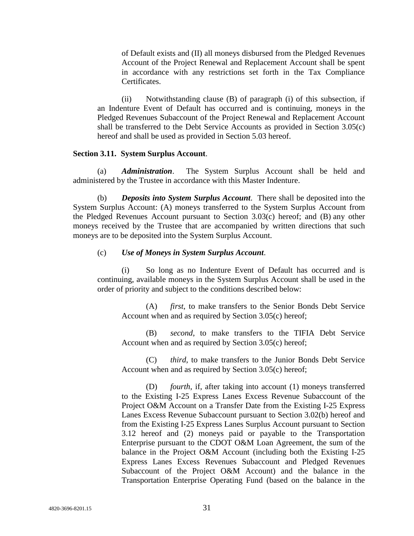of Default exists and (II) all moneys disbursed from the Pledged Revenues Account of the Project Renewal and Replacement Account shall be spent in accordance with any restrictions set forth in the Tax Compliance Certificates.

(ii) Notwithstanding clause (B) of paragraph (i) of this subsection, if an Indenture Event of Default has occurred and is continuing, moneys in the Pledged Revenues Subaccount of the Project Renewal and Replacement Account shall be transferred to the Debt Service Accounts as provided in Section 3.05(c) hereof and shall be used as provided in Section 5.03 hereof.

#### **Section 3.11. System Surplus Account**.

(a) *Administration*. The System Surplus Account shall be held and administered by the Trustee in accordance with this Master Indenture.

(b) *Deposits into System Surplus Account*. There shall be deposited into the System Surplus Account: (A) moneys transferred to the System Surplus Account from the Pledged Revenues Account pursuant to Section 3.03(c) hereof; and (B) any other moneys received by the Trustee that are accompanied by written directions that such moneys are to be deposited into the System Surplus Account.

#### (c) *Use of Moneys in System Surplus Account*.

(i) So long as no Indenture Event of Default has occurred and is continuing, available moneys in the System Surplus Account shall be used in the order of priority and subject to the conditions described below:

(A) *first*, to make transfers to the Senior Bonds Debt Service Account when and as required by Section 3.05(c) hereof;

(B) *second*, to make transfers to the TIFIA Debt Service Account when and as required by Section 3.05(c) hereof;

(C) *third*, to make transfers to the Junior Bonds Debt Service Account when and as required by Section 3.05(c) hereof;

(D) *fourth*, if, after taking into account (1) moneys transferred to the Existing I-25 Express Lanes Excess Revenue Subaccount of the Project O&M Account on a Transfer Date from the Existing I-25 Express Lanes Excess Revenue Subaccount pursuant to Section 3.02(b) hereof and from the Existing I-25 Express Lanes Surplus Account pursuant to Section 3.12 hereof and (2) moneys paid or payable to the Transportation Enterprise pursuant to the CDOT O&M Loan Agreement, the sum of the balance in the Project O&M Account (including both the Existing I-25 Express Lanes Excess Revenues Subaccount and Pledged Revenues Subaccount of the Project O&M Account) and the balance in the Transportation Enterprise Operating Fund (based on the balance in the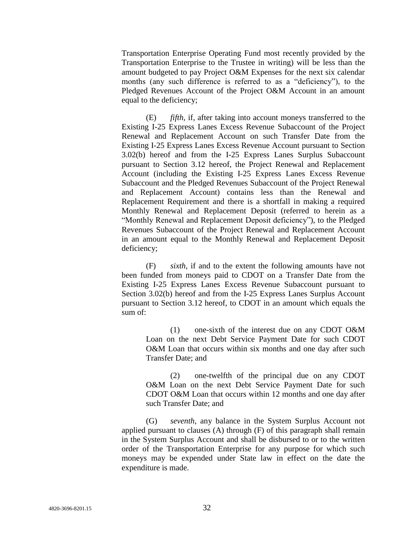Transportation Enterprise Operating Fund most recently provided by the Transportation Enterprise to the Trustee in writing) will be less than the amount budgeted to pay Project O&M Expenses for the next six calendar months (any such difference is referred to as a "deficiency"), to the Pledged Revenues Account of the Project O&M Account in an amount equal to the deficiency;

(E) *fifth*, if, after taking into account moneys transferred to the Existing I-25 Express Lanes Excess Revenue Subaccount of the Project Renewal and Replacement Account on such Transfer Date from the Existing I-25 Express Lanes Excess Revenue Account pursuant to Section 3.02(b) hereof and from the I-25 Express Lanes Surplus Subaccount pursuant to Section 3.12 hereof, the Project Renewal and Replacement Account (including the Existing I-25 Express Lanes Excess Revenue Subaccount and the Pledged Revenues Subaccount of the Project Renewal and Replacement Account) contains less than the Renewal and Replacement Requirement and there is a shortfall in making a required Monthly Renewal and Replacement Deposit (referred to herein as a ―Monthly Renewal and Replacement Deposit deficiency‖), to the Pledged Revenues Subaccount of the Project Renewal and Replacement Account in an amount equal to the Monthly Renewal and Replacement Deposit deficiency;

(F) *sixth*, if and to the extent the following amounts have not been funded from moneys paid to CDOT on a Transfer Date from the Existing I-25 Express Lanes Excess Revenue Subaccount pursuant to Section 3.02(b) hereof and from the I-25 Express Lanes Surplus Account pursuant to Section 3.12 hereof, to CDOT in an amount which equals the sum of:

(1) one-sixth of the interest due on any CDOT O&M Loan on the next Debt Service Payment Date for such CDOT O&M Loan that occurs within six months and one day after such Transfer Date; and

(2) one-twelfth of the principal due on any CDOT O&M Loan on the next Debt Service Payment Date for such CDOT O&M Loan that occurs within 12 months and one day after such Transfer Date; and

(G) *seventh*, any balance in the System Surplus Account not applied pursuant to clauses (A) through (F) of this paragraph shall remain in the System Surplus Account and shall be disbursed to or to the written order of the Transportation Enterprise for any purpose for which such moneys may be expended under State law in effect on the date the expenditure is made.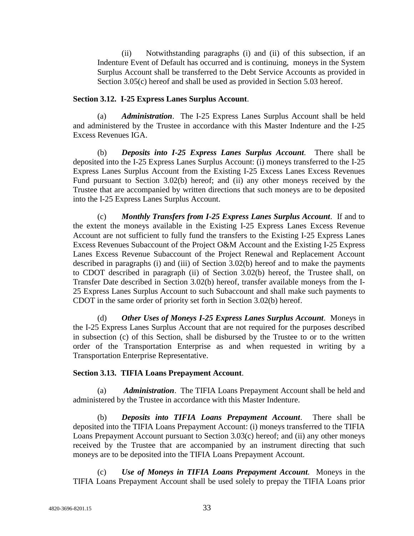(ii) Notwithstanding paragraphs (i) and (ii) of this subsection, if an Indenture Event of Default has occurred and is continuing, moneys in the System Surplus Account shall be transferred to the Debt Service Accounts as provided in Section 3.05(c) hereof and shall be used as provided in Section 5.03 hereof.

## **Section 3.12. I-25 Express Lanes Surplus Account**.

(a) *Administration*. The I-25 Express Lanes Surplus Account shall be held and administered by the Trustee in accordance with this Master Indenture and the I-25 Excess Revenues IGA.

(b) *Deposits into I-25 Express Lanes Surplus Account*. There shall be deposited into the I-25 Express Lanes Surplus Account: (i) moneys transferred to the I-25 Express Lanes Surplus Account from the Existing I-25 Excess Lanes Excess Revenues Fund pursuant to Section 3.02(b) hereof; and (ii) any other moneys received by the Trustee that are accompanied by written directions that such moneys are to be deposited into the I-25 Express Lanes Surplus Account.

(c) *Monthly Transfers from I-25 Express Lanes Surplus Account*. If and to the extent the moneys available in the Existing I-25 Express Lanes Excess Revenue Account are not sufficient to fully fund the transfers to the Existing I-25 Express Lanes Excess Revenues Subaccount of the Project O&M Account and the Existing I-25 Express Lanes Excess Revenue Subaccount of the Project Renewal and Replacement Account described in paragraphs (i) and (iii) of Section 3.02(b) hereof and to make the payments to CDOT described in paragraph (ii) of Section 3.02(b) hereof, the Trustee shall, on Transfer Date described in Section 3.02(b) hereof, transfer available moneys from the I-25 Express Lanes Surplus Account to such Subaccount and shall make such payments to CDOT in the same order of priority set forth in Section 3.02(b) hereof.

(d) *Other Uses of Moneys I-25 Express Lanes Surplus Account*. Moneys in the I-25 Express Lanes Surplus Account that are not required for the purposes described in subsection (c) of this Section, shall be disbursed by the Trustee to or to the written order of the Transportation Enterprise as and when requested in writing by a Transportation Enterprise Representative.

## **Section 3.13. TIFIA Loans Prepayment Account**.

(a) *Administration*. The TIFIA Loans Prepayment Account shall be held and administered by the Trustee in accordance with this Master Indenture.

(b) *Deposits into TIFIA Loans Prepayment Account*. There shall be deposited into the TIFIA Loans Prepayment Account: (i) moneys transferred to the TIFIA Loans Prepayment Account pursuant to Section 3.03(c) hereof; and (ii) any other moneys received by the Trustee that are accompanied by an instrument directing that such moneys are to be deposited into the TIFIA Loans Prepayment Account.

(c) *Use of Moneys in TIFIA Loans Prepayment Account*. Moneys in the TIFIA Loans Prepayment Account shall be used solely to prepay the TIFIA Loans prior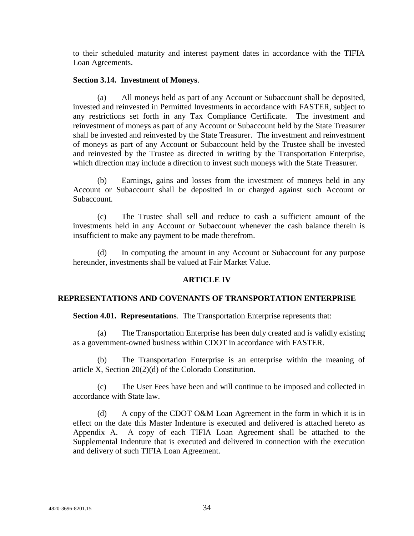to their scheduled maturity and interest payment dates in accordance with the TIFIA Loan Agreements.

### **Section 3.14. Investment of Moneys**.

All moneys held as part of any Account or Subaccount shall be deposited, invested and reinvested in Permitted Investments in accordance with FASTER, subject to any restrictions set forth in any Tax Compliance Certificate. The investment and reinvestment of moneys as part of any Account or Subaccount held by the State Treasurer shall be invested and reinvested by the State Treasurer. The investment and reinvestment of moneys as part of any Account or Subaccount held by the Trustee shall be invested and reinvested by the Trustee as directed in writing by the Transportation Enterprise, which direction may include a direction to invest such moneys with the State Treasurer.

(b) Earnings, gains and losses from the investment of moneys held in any Account or Subaccount shall be deposited in or charged against such Account or Subaccount.

(c) The Trustee shall sell and reduce to cash a sufficient amount of the investments held in any Account or Subaccount whenever the cash balance therein is insufficient to make any payment to be made therefrom.

(d) In computing the amount in any Account or Subaccount for any purpose hereunder, investments shall be valued at Fair Market Value.

## **ARTICLE IV**

## **REPRESENTATIONS AND COVENANTS OF TRANSPORTATION ENTERPRISE**

**Section 4.01. Representations**. The Transportation Enterprise represents that:

(a) The Transportation Enterprise has been duly created and is validly existing as a government-owned business within CDOT in accordance with FASTER.

(b) The Transportation Enterprise is an enterprise within the meaning of article X, Section 20(2)(d) of the Colorado Constitution.

(c) The User Fees have been and will continue to be imposed and collected in accordance with State law.

(d) A copy of the CDOT O&M Loan Agreement in the form in which it is in effect on the date this Master Indenture is executed and delivered is attached hereto as Appendix A. A copy of each TIFIA Loan Agreement shall be attached to the Supplemental Indenture that is executed and delivered in connection with the execution and delivery of such TIFIA Loan Agreement.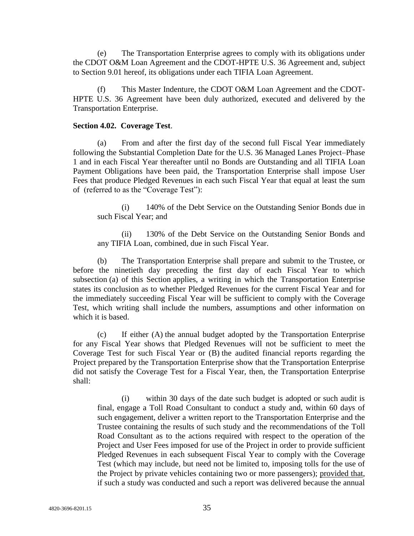(e) The Transportation Enterprise agrees to comply with its obligations under the CDOT O&M Loan Agreement and the CDOT-HPTE U.S. 36 Agreement and, subject to Section 9.01 hereof, its obligations under each TIFIA Loan Agreement.

(f) This Master Indenture, the CDOT O&M Loan Agreement and the CDOT-HPTE U.S. 36 Agreement have been duly authorized, executed and delivered by the Transportation Enterprise.

#### **Section 4.02. Coverage Test**.

(a) From and after the first day of the second full Fiscal Year immediately following the Substantial Completion Date for the U.S. 36 Managed Lanes Project–Phase 1 and in each Fiscal Year thereafter until no Bonds are Outstanding and all TIFIA Loan Payment Obligations have been paid, the Transportation Enterprise shall impose User Fees that produce Pledged Revenues in each such Fiscal Year that equal at least the sum of (referred to as the "Coverage Test"):

(i) 140% of the Debt Service on the Outstanding Senior Bonds due in such Fiscal Year; and

(ii) 130% of the Debt Service on the Outstanding Senior Bonds and any TIFIA Loan, combined, due in such Fiscal Year.

(b) The Transportation Enterprise shall prepare and submit to the Trustee, or before the ninetieth day preceding the first day of each Fiscal Year to which subsection (a) of this Section applies, a writing in which the Transportation Enterprise states its conclusion as to whether Pledged Revenues for the current Fiscal Year and for the immediately succeeding Fiscal Year will be sufficient to comply with the Coverage Test, which writing shall include the numbers, assumptions and other information on which it is based.

(c) If either (A) the annual budget adopted by the Transportation Enterprise for any Fiscal Year shows that Pledged Revenues will not be sufficient to meet the Coverage Test for such Fiscal Year or (B) the audited financial reports regarding the Project prepared by the Transportation Enterprise show that the Transportation Enterprise did not satisfy the Coverage Test for a Fiscal Year, then, the Transportation Enterprise shall:

(i) within 30 days of the date such budget is adopted or such audit is final, engage a Toll Road Consultant to conduct a study and, within 60 days of such engagement, deliver a written report to the Transportation Enterprise and the Trustee containing the results of such study and the recommendations of the Toll Road Consultant as to the actions required with respect to the operation of the Project and User Fees imposed for use of the Project in order to provide sufficient Pledged Revenues in each subsequent Fiscal Year to comply with the Coverage Test (which may include, but need not be limited to, imposing tolls for the use of the Project by private vehicles containing two or more passengers); provided that, if such a study was conducted and such a report was delivered because the annual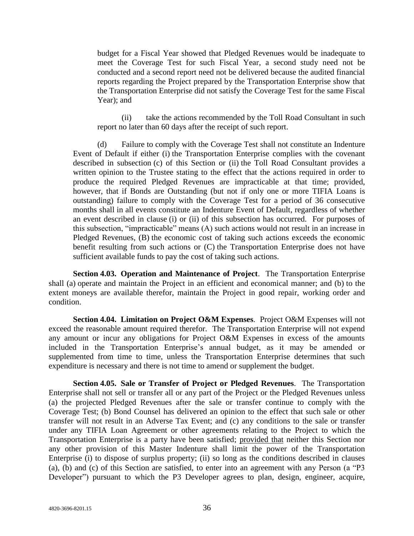budget for a Fiscal Year showed that Pledged Revenues would be inadequate to meet the Coverage Test for such Fiscal Year, a second study need not be conducted and a second report need not be delivered because the audited financial reports regarding the Project prepared by the Transportation Enterprise show that the Transportation Enterprise did not satisfy the Coverage Test for the same Fiscal Year); and

(ii) take the actions recommended by the Toll Road Consultant in such report no later than 60 days after the receipt of such report.

(d) Failure to comply with the Coverage Test shall not constitute an Indenture Event of Default if either (i) the Transportation Enterprise complies with the covenant described in subsection (c) of this Section or (ii) the Toll Road Consultant provides a written opinion to the Trustee stating to the effect that the actions required in order to produce the required Pledged Revenues are impracticable at that time; provided, however, that if Bonds are Outstanding (but not if only one or more TIFIA Loans is outstanding) failure to comply with the Coverage Test for a period of 36 consecutive months shall in all events constitute an Indenture Event of Default, regardless of whether an event described in clause (i) or (ii) of this subsection has occurred. For purposes of this subsection, "impracticable" means (A) such actions would not result in an increase in Pledged Revenues, (B) the economic cost of taking such actions exceeds the economic benefit resulting from such actions or (C) the Transportation Enterprise does not have sufficient available funds to pay the cost of taking such actions.

**Section 4.03. Operation and Maintenance of Project**. The Transportation Enterprise shall (a) operate and maintain the Project in an efficient and economical manner; and (b) to the extent moneys are available therefor, maintain the Project in good repair, working order and condition.

**Section 4.04. Limitation on Project O&M Expenses**. Project O&M Expenses will not exceed the reasonable amount required therefor. The Transportation Enterprise will not expend any amount or incur any obligations for Project O&M Expenses in excess of the amounts included in the Transportation Enterprise's annual budget, as it may be amended or supplemented from time to time, unless the Transportation Enterprise determines that such expenditure is necessary and there is not time to amend or supplement the budget.

**Section 4.05. Sale or Transfer of Project or Pledged Revenues**. The Transportation Enterprise shall not sell or transfer all or any part of the Project or the Pledged Revenues unless (a) the projected Pledged Revenues after the sale or transfer continue to comply with the Coverage Test; (b) Bond Counsel has delivered an opinion to the effect that such sale or other transfer will not result in an Adverse Tax Event; and (c) any conditions to the sale or transfer under any TIFIA Loan Agreement or other agreements relating to the Project to which the Transportation Enterprise is a party have been satisfied; provided that neither this Section nor any other provision of this Master Indenture shall limit the power of the Transportation Enterprise (i) to dispose of surplus property; (ii) so long as the conditions described in clauses  $(a)$ ,  $(b)$  and  $(c)$  of this Section are satisfied, to enter into an agreement with any Person  $(a \text{``P3})$ Developer") pursuant to which the P3 Developer agrees to plan, design, engineer, acquire,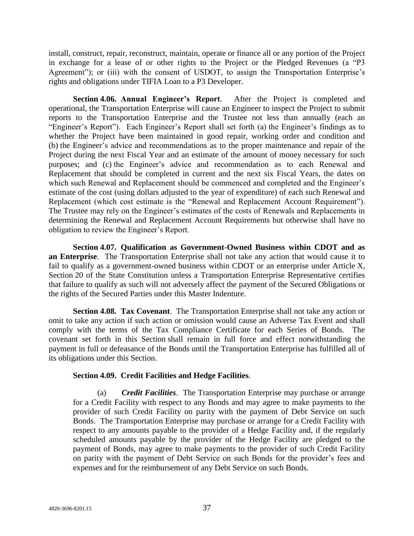install, construct, repair, reconstruct, maintain, operate or finance all or any portion of the Project in exchange for a lease of or other rights to the Project or the Pledged Revenues (a "P3 Agreement"); or (iii) with the consent of USDOT, to assign the Transportation Enterprise's rights and obligations under TIFIA Loan to a P3 Developer.

**Section 4.06. Annual Engineer's Report**. After the Project is completed and operational, the Transportation Enterprise will cause an Engineer to inspect the Project to submit reports to the Transportation Enterprise and the Trustee not less than annually (each an "Engineer's Report"). Each Engineer's Report shall set forth (a) the Engineer's findings as to whether the Project have been maintained in good repair, working order and condition and (b) the Engineer's advice and recommendations as to the proper maintenance and repair of the Project during the next Fiscal Year and an estimate of the amount of money necessary for such purposes; and (c) the Engineer's advice and recommendation as to each Renewal and Replacement that should be completed in current and the next six Fiscal Years, the dates on which such Renewal and Replacement should be commenced and completed and the Engineer's estimate of the cost (using dollars adjusted to the year of expenditure) of each such Renewal and Replacement (which cost estimate is the "Renewal and Replacement Account Requirement"). The Trustee may rely on the Engineer's estimates of the costs of Renewals and Replacements in determining the Renewal and Replacement Account Requirements but otherwise shall have no obligation to review the Engineer's Report.

**Section 4.07. Qualification as Government-Owned Business within CDOT and as an Enterprise**. The Transportation Enterprise shall not take any action that would cause it to fail to qualify as a government-owned business within CDOT or an enterprise under Article X, Section 20 of the State Constitution unless a Transportation Enterprise Representative certifies that failure to qualify as such will not adversely affect the payment of the Secured Obligations or the rights of the Secured Parties under this Master Indenture.

**Section 4.08. Tax Covenant**. The Transportation Enterprise shall not take any action or omit to take any action if such action or omission would cause an Adverse Tax Event and shall comply with the terms of the Tax Compliance Certificate for each Series of Bonds. The covenant set forth in this Section shall remain in full force and effect notwithstanding the payment in full or defeasance of the Bonds until the Transportation Enterprise has fulfilled all of its obligations under this Section.

## **Section 4.09. Credit Facilities and Hedge Facilities**.

(a) *Credit Facilities*. The Transportation Enterprise may purchase or arrange for a Credit Facility with respect to any Bonds and may agree to make payments to the provider of such Credit Facility on parity with the payment of Debt Service on such Bonds. The Transportation Enterprise may purchase or arrange for a Credit Facility with respect to any amounts payable to the provider of a Hedge Facility and, if the regularly scheduled amounts payable by the provider of the Hedge Facility are pledged to the payment of Bonds, may agree to make payments to the provider of such Credit Facility on parity with the payment of Debt Service on such Bonds for the provider's fees and expenses and for the reimbursement of any Debt Service on such Bonds.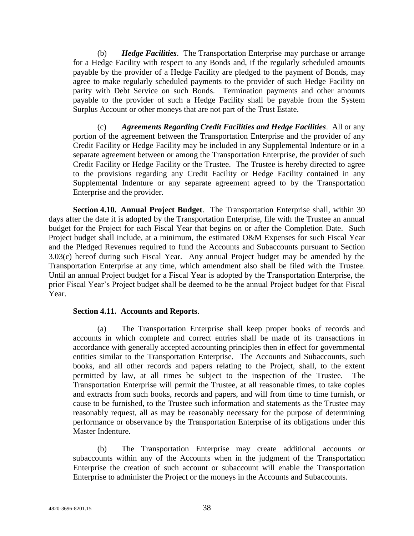(b) *Hedge Facilities*. The Transportation Enterprise may purchase or arrange for a Hedge Facility with respect to any Bonds and, if the regularly scheduled amounts payable by the provider of a Hedge Facility are pledged to the payment of Bonds, may agree to make regularly scheduled payments to the provider of such Hedge Facility on parity with Debt Service on such Bonds. Termination payments and other amounts payable to the provider of such a Hedge Facility shall be payable from the System Surplus Account or other moneys that are not part of the Trust Estate.

(c) *Agreements Regarding Credit Facilities and Hedge Facilities*. All or any portion of the agreement between the Transportation Enterprise and the provider of any Credit Facility or Hedge Facility may be included in any Supplemental Indenture or in a separate agreement between or among the Transportation Enterprise, the provider of such Credit Facility or Hedge Facility or the Trustee. The Trustee is hereby directed to agree to the provisions regarding any Credit Facility or Hedge Facility contained in any Supplemental Indenture or any separate agreement agreed to by the Transportation Enterprise and the provider.

**Section 4.10. Annual Project Budget**. The Transportation Enterprise shall, within 30 days after the date it is adopted by the Transportation Enterprise, file with the Trustee an annual budget for the Project for each Fiscal Year that begins on or after the Completion Date. Such Project budget shall include, at a minimum, the estimated O&M Expenses for such Fiscal Year and the Pledged Revenues required to fund the Accounts and Subaccounts pursuant to Section 3.03(c) hereof during such Fiscal Year. Any annual Project budget may be amended by the Transportation Enterprise at any time, which amendment also shall be filed with the Trustee. Until an annual Project budget for a Fiscal Year is adopted by the Transportation Enterprise, the prior Fiscal Year's Project budget shall be deemed to be the annual Project budget for that Fiscal Year.

#### **Section 4.11. Accounts and Reports**.

(a) The Transportation Enterprise shall keep proper books of records and accounts in which complete and correct entries shall be made of its transactions in accordance with generally accepted accounting principles then in effect for governmental entities similar to the Transportation Enterprise. The Accounts and Subaccounts, such books, and all other records and papers relating to the Project, shall, to the extent permitted by law, at all times be subject to the inspection of the Trustee. The Transportation Enterprise will permit the Trustee, at all reasonable times, to take copies and extracts from such books, records and papers, and will from time to time furnish, or cause to be furnished, to the Trustee such information and statements as the Trustee may reasonably request, all as may be reasonably necessary for the purpose of determining performance or observance by the Transportation Enterprise of its obligations under this Master Indenture.

(b) The Transportation Enterprise may create additional accounts or subaccounts within any of the Accounts when in the judgment of the Transportation Enterprise the creation of such account or subaccount will enable the Transportation Enterprise to administer the Project or the moneys in the Accounts and Subaccounts.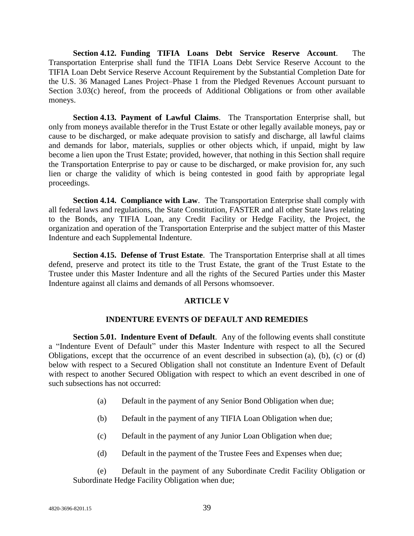**Section 4.12. Funding TIFIA Loans Debt Service Reserve Account**. The Transportation Enterprise shall fund the TIFIA Loans Debt Service Reserve Account to the TIFIA Loan Debt Service Reserve Account Requirement by the Substantial Completion Date for the U.S. 36 Managed Lanes Project–Phase 1 from the Pledged Revenues Account pursuant to Section 3.03(c) hereof, from the proceeds of Additional Obligations or from other available moneys.

**Section 4.13. Payment of Lawful Claims**. The Transportation Enterprise shall, but only from moneys available therefor in the Trust Estate or other legally available moneys, pay or cause to be discharged, or make adequate provision to satisfy and discharge, all lawful claims and demands for labor, materials, supplies or other objects which, if unpaid, might by law become a lien upon the Trust Estate; provided, however, that nothing in this Section shall require the Transportation Enterprise to pay or cause to be discharged, or make provision for, any such lien or charge the validity of which is being contested in good faith by appropriate legal proceedings.

**Section 4.14. Compliance with Law**. The Transportation Enterprise shall comply with all federal laws and regulations, the State Constitution, FASTER and all other State laws relating to the Bonds, any TIFIA Loan, any Credit Facility or Hedge Facility, the Project, the organization and operation of the Transportation Enterprise and the subject matter of this Master Indenture and each Supplemental Indenture.

**Section 4.15. Defense of Trust Estate**. The Transportation Enterprise shall at all times defend, preserve and protect its title to the Trust Estate, the grant of the Trust Estate to the Trustee under this Master Indenture and all the rights of the Secured Parties under this Master Indenture against all claims and demands of all Persons whomsoever.

## **ARTICLE V**

## **INDENTURE EVENTS OF DEFAULT AND REMEDIES**

**Section 5.01. Indenture Event of Default.** Any of the following events shall constitute a "Indenture Event of Default" under this Master Indenture with respect to all the Secured Obligations, except that the occurrence of an event described in subsection (a), (b), (c) or (d) below with respect to a Secured Obligation shall not constitute an Indenture Event of Default with respect to another Secured Obligation with respect to which an event described in one of such subsections has not occurred:

- (a) Default in the payment of any Senior Bond Obligation when due;
- (b) Default in the payment of any TIFIA Loan Obligation when due;
- (c) Default in the payment of any Junior Loan Obligation when due;
- (d) Default in the payment of the Trustee Fees and Expenses when due;

(e) Default in the payment of any Subordinate Credit Facility Obligation or Subordinate Hedge Facility Obligation when due;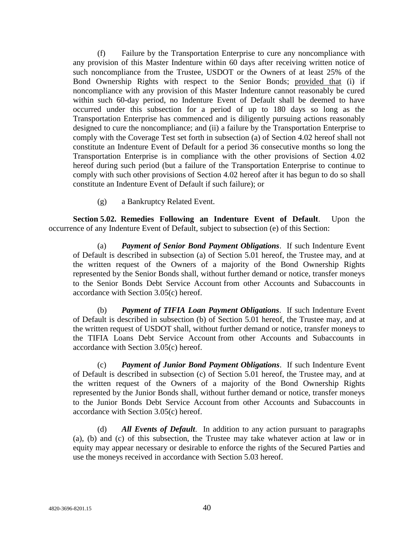(f) Failure by the Transportation Enterprise to cure any noncompliance with any provision of this Master Indenture within 60 days after receiving written notice of such noncompliance from the Trustee, USDOT or the Owners of at least 25% of the Bond Ownership Rights with respect to the Senior Bonds; provided that (i) if noncompliance with any provision of this Master Indenture cannot reasonably be cured within such 60-day period, no Indenture Event of Default shall be deemed to have occurred under this subsection for a period of up to 180 days so long as the Transportation Enterprise has commenced and is diligently pursuing actions reasonably designed to cure the noncompliance; and (ii) a failure by the Transportation Enterprise to comply with the Coverage Test set forth in subsection (a) of Section 4.02 hereof shall not constitute an Indenture Event of Default for a period 36 consecutive months so long the Transportation Enterprise is in compliance with the other provisions of Section 4.02 hereof during such period (but a failure of the Transportation Enterprise to continue to comply with such other provisions of Section 4.02 hereof after it has begun to do so shall constitute an Indenture Event of Default if such failure); or

(g) a Bankruptcy Related Event.

**Section 5.02. Remedies Following an Indenture Event of Default**. Upon the occurrence of any Indenture Event of Default, subject to subsection (e) of this Section:

(a) *Payment of Senior Bond Payment Obligations*. If such Indenture Event of Default is described in subsection (a) of Section 5.01 hereof, the Trustee may, and at the written request of the Owners of a majority of the Bond Ownership Rights represented by the Senior Bonds shall, without further demand or notice, transfer moneys to the Senior Bonds Debt Service Account from other Accounts and Subaccounts in accordance with Section 3.05(c) hereof.

(b) *Payment of TIFIA Loan Payment Obligations*. If such Indenture Event of Default is described in subsection (b) of Section 5.01 hereof, the Trustee may, and at the written request of USDOT shall, without further demand or notice, transfer moneys to the TIFIA Loans Debt Service Account from other Accounts and Subaccounts in accordance with Section 3.05(c) hereof.

(c) *Payment of Junior Bond Payment Obligations*. If such Indenture Event of Default is described in subsection (c) of Section 5.01 hereof, the Trustee may, and at the written request of the Owners of a majority of the Bond Ownership Rights represented by the Junior Bonds shall, without further demand or notice, transfer moneys to the Junior Bonds Debt Service Account from other Accounts and Subaccounts in accordance with Section 3.05(c) hereof.

(d) *All Events of Default*. In addition to any action pursuant to paragraphs (a), (b) and (c) of this subsection, the Trustee may take whatever action at law or in equity may appear necessary or desirable to enforce the rights of the Secured Parties and use the moneys received in accordance with Section 5.03 hereof.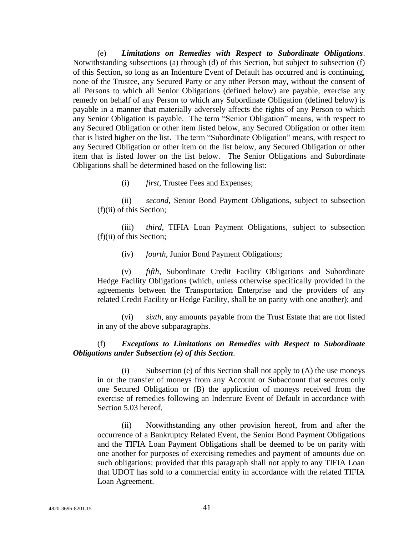(e) *Limitations on Remedies with Respect to Subordinate Obligations*. Notwithstanding subsections (a) through (d) of this Section, but subject to subsection (f) of this Section, so long as an Indenture Event of Default has occurred and is continuing, none of the Trustee, any Secured Party or any other Person may, without the consent of all Persons to which all Senior Obligations (defined below) are payable, exercise any remedy on behalf of any Person to which any Subordinate Obligation (defined below) is payable in a manner that materially adversely affects the rights of any Person to which any Senior Obligation is payable. The term "Senior Obligation" means, with respect to any Secured Obligation or other item listed below, any Secured Obligation or other item that is listed higher on the list. The term "Subordinate Obligation" means, with respect to any Secured Obligation or other item on the list below, any Secured Obligation or other item that is listed lower on the list below. The Senior Obligations and Subordinate Obligations shall be determined based on the following list:

(i) *first*, Trustee Fees and Expenses;

(ii) *second*, Senior Bond Payment Obligations, subject to subsection (f)(ii) of this Section;

(iii) *third*, TIFIA Loan Payment Obligations, subject to subsection (f)(ii) of this Section;

(iv) *fourth*, Junior Bond Payment Obligations;

(v) *fifth*, Subordinate Credit Facility Obligations and Subordinate Hedge Facility Obligations (which, unless otherwise specifically provided in the agreements between the Transportation Enterprise and the providers of any related Credit Facility or Hedge Facility, shall be on parity with one another); and

(vi) *sixth*, any amounts payable from the Trust Estate that are not listed in any of the above subparagraphs.

## (f) *Exceptions to Limitations on Remedies with Respect to Subordinate Obligations under Subsection (e) of this Section*.

(i) Subsection (e) of this Section shall not apply to (A) the use moneys in or the transfer of moneys from any Account or Subaccount that secures only one Secured Obligation or (B) the application of moneys received from the exercise of remedies following an Indenture Event of Default in accordance with Section 5.03 hereof.

(ii) Notwithstanding any other provision hereof, from and after the occurrence of a Bankruptcy Related Event, the Senior Bond Payment Obligations and the TIFIA Loan Payment Obligations shall be deemed to be on parity with one another for purposes of exercising remedies and payment of amounts due on such obligations; provided that this paragraph shall not apply to any TIFIA Loan that UDOT has sold to a commercial entity in accordance with the related TIFIA Loan Agreement.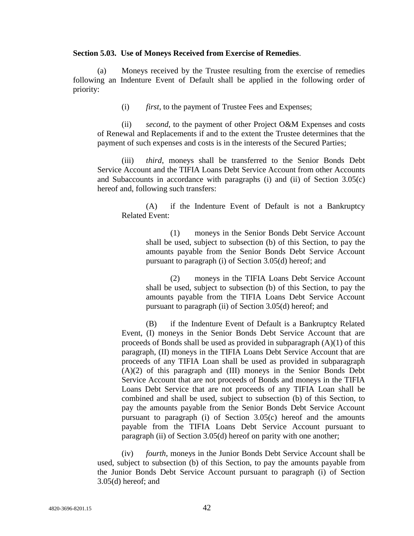#### **Section 5.03. Use of Moneys Received from Exercise of Remedies**.

(a) Moneys received by the Trustee resulting from the exercise of remedies following an Indenture Event of Default shall be applied in the following order of priority:

(i) *first*, to the payment of Trustee Fees and Expenses;

(ii) *second*, to the payment of other Project O&M Expenses and costs of Renewal and Replacements if and to the extent the Trustee determines that the payment of such expenses and costs is in the interests of the Secured Parties;

(iii) *third*, moneys shall be transferred to the Senior Bonds Debt Service Account and the TIFIA Loans Debt Service Account from other Accounts and Subaccounts in accordance with paragraphs (i) and (ii) of Section 3.05(c) hereof and, following such transfers:

(A) if the Indenture Event of Default is not a Bankruptcy Related Event:

(1) moneys in the Senior Bonds Debt Service Account shall be used, subject to subsection (b) of this Section, to pay the amounts payable from the Senior Bonds Debt Service Account pursuant to paragraph (i) of Section 3.05(d) hereof; and

(2) moneys in the TIFIA Loans Debt Service Account shall be used, subject to subsection (b) of this Section, to pay the amounts payable from the TIFIA Loans Debt Service Account pursuant to paragraph (ii) of Section 3.05(d) hereof; and

(B) if the Indenture Event of Default is a Bankruptcy Related Event, (I) moneys in the Senior Bonds Debt Service Account that are proceeds of Bonds shall be used as provided in subparagraph (A)(1) of this paragraph, (II) moneys in the TIFIA Loans Debt Service Account that are proceeds of any TIFIA Loan shall be used as provided in subparagraph (A)(2) of this paragraph and (III) moneys in the Senior Bonds Debt Service Account that are not proceeds of Bonds and moneys in the TIFIA Loans Debt Service that are not proceeds of any TIFIA Loan shall be combined and shall be used, subject to subsection (b) of this Section, to pay the amounts payable from the Senior Bonds Debt Service Account pursuant to paragraph (i) of Section 3.05(c) hereof and the amounts payable from the TIFIA Loans Debt Service Account pursuant to paragraph (ii) of Section 3.05(d) hereof on parity with one another;

(iv) *fourth*, moneys in the Junior Bonds Debt Service Account shall be used, subject to subsection (b) of this Section, to pay the amounts payable from the Junior Bonds Debt Service Account pursuant to paragraph (i) of Section 3.05(d) hereof; and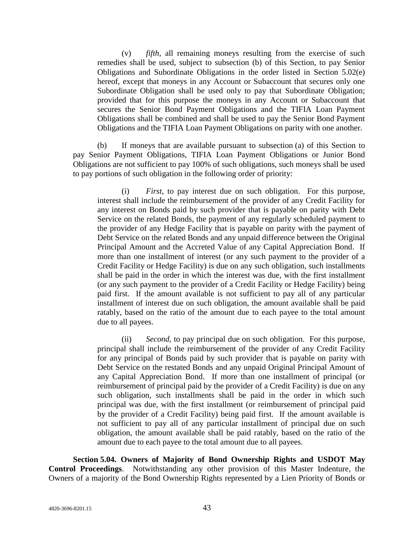(v) *fifth*, all remaining moneys resulting from the exercise of such remedies shall be used, subject to subsection (b) of this Section, to pay Senior Obligations and Subordinate Obligations in the order listed in Section 5.02(e) hereof, except that moneys in any Account or Subaccount that secures only one Subordinate Obligation shall be used only to pay that Subordinate Obligation; provided that for this purpose the moneys in any Account or Subaccount that secures the Senior Bond Payment Obligations and the TIFIA Loan Payment Obligations shall be combined and shall be used to pay the Senior Bond Payment Obligations and the TIFIA Loan Payment Obligations on parity with one another.

(b) If moneys that are available pursuant to subsection (a) of this Section to pay Senior Payment Obligations, TIFIA Loan Payment Obligations or Junior Bond Obligations are not sufficient to pay 100% of such obligations, such moneys shall be used to pay portions of such obligation in the following order of priority:

(i) *First*, to pay interest due on such obligation. For this purpose, interest shall include the reimbursement of the provider of any Credit Facility for any interest on Bonds paid by such provider that is payable on parity with Debt Service on the related Bonds, the payment of any regularly scheduled payment to the provider of any Hedge Facility that is payable on parity with the payment of Debt Service on the related Bonds and any unpaid difference between the Original Principal Amount and the Accreted Value of any Capital Appreciation Bond. If more than one installment of interest (or any such payment to the provider of a Credit Facility or Hedge Facility) is due on any such obligation, such installments shall be paid in the order in which the interest was due, with the first installment (or any such payment to the provider of a Credit Facility or Hedge Facility) being paid first. If the amount available is not sufficient to pay all of any particular installment of interest due on such obligation, the amount available shall be paid ratably, based on the ratio of the amount due to each payee to the total amount due to all payees.

(ii) *Second*, to pay principal due on such obligation. For this purpose, principal shall include the reimbursement of the provider of any Credit Facility for any principal of Bonds paid by such provider that is payable on parity with Debt Service on the restated Bonds and any unpaid Original Principal Amount of any Capital Appreciation Bond. If more than one installment of principal (or reimbursement of principal paid by the provider of a Credit Facility) is due on any such obligation, such installments shall be paid in the order in which such principal was due, with the first installment (or reimbursement of principal paid by the provider of a Credit Facility) being paid first. If the amount available is not sufficient to pay all of any particular installment of principal due on such obligation, the amount available shall be paid ratably, based on the ratio of the amount due to each payee to the total amount due to all payees.

**Section 5.04. Owners of Majority of Bond Ownership Rights and USDOT May Control Proceedings**. Notwithstanding any other provision of this Master Indenture, the Owners of a majority of the Bond Ownership Rights represented by a Lien Priority of Bonds or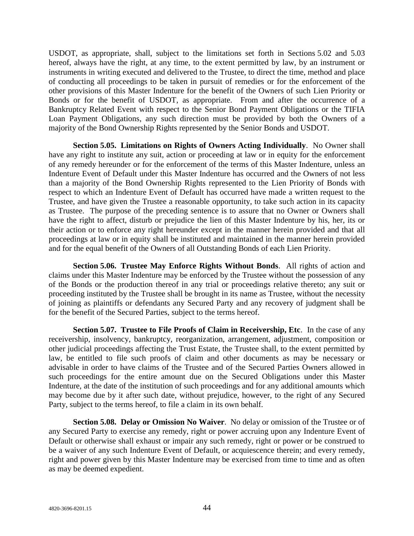USDOT, as appropriate, shall, subject to the limitations set forth in Sections 5.02 and 5.03 hereof, always have the right, at any time, to the extent permitted by law, by an instrument or instruments in writing executed and delivered to the Trustee, to direct the time, method and place of conducting all proceedings to be taken in pursuit of remedies or for the enforcement of the other provisions of this Master Indenture for the benefit of the Owners of such Lien Priority or Bonds or for the benefit of USDOT, as appropriate. From and after the occurrence of a Bankruptcy Related Event with respect to the Senior Bond Payment Obligations or the TIFIA Loan Payment Obligations, any such direction must be provided by both the Owners of a majority of the Bond Ownership Rights represented by the Senior Bonds and USDOT.

**Section 5.05. Limitations on Rights of Owners Acting Individually**. No Owner shall have any right to institute any suit, action or proceeding at law or in equity for the enforcement of any remedy hereunder or for the enforcement of the terms of this Master Indenture, unless an Indenture Event of Default under this Master Indenture has occurred and the Owners of not less than a majority of the Bond Ownership Rights represented to the Lien Priority of Bonds with respect to which an Indenture Event of Default has occurred have made a written request to the Trustee, and have given the Trustee a reasonable opportunity, to take such action in its capacity as Trustee. The purpose of the preceding sentence is to assure that no Owner or Owners shall have the right to affect, disturb or prejudice the lien of this Master Indenture by his, her, its or their action or to enforce any right hereunder except in the manner herein provided and that all proceedings at law or in equity shall be instituted and maintained in the manner herein provided and for the equal benefit of the Owners of all Outstanding Bonds of each Lien Priority.

**Section 5.06. Trustee May Enforce Rights Without Bonds**. All rights of action and claims under this Master Indenture may be enforced by the Trustee without the possession of any of the Bonds or the production thereof in any trial or proceedings relative thereto; any suit or proceeding instituted by the Trustee shall be brought in its name as Trustee, without the necessity of joining as plaintiffs or defendants any Secured Party and any recovery of judgment shall be for the benefit of the Secured Parties, subject to the terms hereof.

**Section 5.07. Trustee to File Proofs of Claim in Receivership, Etc**. In the case of any receivership, insolvency, bankruptcy, reorganization, arrangement, adjustment, composition or other judicial proceedings affecting the Trust Estate, the Trustee shall, to the extent permitted by law, be entitled to file such proofs of claim and other documents as may be necessary or advisable in order to have claims of the Trustee and of the Secured Parties Owners allowed in such proceedings for the entire amount due on the Secured Obligations under this Master Indenture, at the date of the institution of such proceedings and for any additional amounts which may become due by it after such date, without prejudice, however, to the right of any Secured Party, subject to the terms hereof, to file a claim in its own behalf.

**Section 5.08. Delay or Omission No Waiver**. No delay or omission of the Trustee or of any Secured Party to exercise any remedy, right or power accruing upon any Indenture Event of Default or otherwise shall exhaust or impair any such remedy, right or power or be construed to be a waiver of any such Indenture Event of Default, or acquiescence therein; and every remedy, right and power given by this Master Indenture may be exercised from time to time and as often as may be deemed expedient.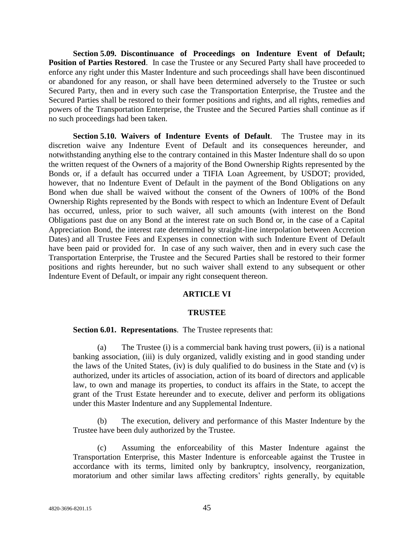**Section 5.09. Discontinuance of Proceedings on Indenture Event of Default; Position of Parties Restored**. In case the Trustee or any Secured Party shall have proceeded to enforce any right under this Master Indenture and such proceedings shall have been discontinued or abandoned for any reason, or shall have been determined adversely to the Trustee or such Secured Party, then and in every such case the Transportation Enterprise, the Trustee and the Secured Parties shall be restored to their former positions and rights, and all rights, remedies and powers of the Transportation Enterprise, the Trustee and the Secured Parties shall continue as if no such proceedings had been taken.

**Section 5.10. Waivers of Indenture Events of Default**. The Trustee may in its discretion waive any Indenture Event of Default and its consequences hereunder, and notwithstanding anything else to the contrary contained in this Master Indenture shall do so upon the written request of the Owners of a majority of the Bond Ownership Rights represented by the Bonds or, if a default has occurred under a TIFIA Loan Agreement, by USDOT; provided, however, that no Indenture Event of Default in the payment of the Bond Obligations on any Bond when due shall be waived without the consent of the Owners of 100% of the Bond Ownership Rights represented by the Bonds with respect to which an Indenture Event of Default has occurred, unless, prior to such waiver, all such amounts (with interest on the Bond Obligations past due on any Bond at the interest rate on such Bond or, in the case of a Capital Appreciation Bond, the interest rate determined by straight-line interpolation between Accretion Dates) and all Trustee Fees and Expenses in connection with such Indenture Event of Default have been paid or provided for. In case of any such waiver, then and in every such case the Transportation Enterprise, the Trustee and the Secured Parties shall be restored to their former positions and rights hereunder, but no such waiver shall extend to any subsequent or other Indenture Event of Default, or impair any right consequent thereon.

#### **ARTICLE VI**

#### **TRUSTEE**

#### **Section 6.01. Representations**. The Trustee represents that:

(a) The Trustee (i) is a commercial bank having trust powers, (ii) is a national banking association, (iii) is duly organized, validly existing and in good standing under the laws of the United States, (iv) is duly qualified to do business in the State and (v) is authorized, under its articles of association, action of its board of directors and applicable law, to own and manage its properties, to conduct its affairs in the State, to accept the grant of the Trust Estate hereunder and to execute, deliver and perform its obligations under this Master Indenture and any Supplemental Indenture.

(b) The execution, delivery and performance of this Master Indenture by the Trustee have been duly authorized by the Trustee.

(c) Assuming the enforceability of this Master Indenture against the Transportation Enterprise, this Master Indenture is enforceable against the Trustee in accordance with its terms, limited only by bankruptcy, insolvency, reorganization, moratorium and other similar laws affecting creditors' rights generally, by equitable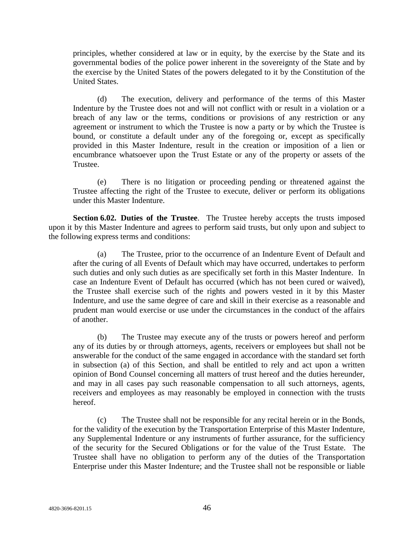principles, whether considered at law or in equity, by the exercise by the State and its governmental bodies of the police power inherent in the sovereignty of the State and by the exercise by the United States of the powers delegated to it by the Constitution of the United States.

(d) The execution, delivery and performance of the terms of this Master Indenture by the Trustee does not and will not conflict with or result in a violation or a breach of any law or the terms, conditions or provisions of any restriction or any agreement or instrument to which the Trustee is now a party or by which the Trustee is bound, or constitute a default under any of the foregoing or, except as specifically provided in this Master Indenture, result in the creation or imposition of a lien or encumbrance whatsoever upon the Trust Estate or any of the property or assets of the Trustee.

(e) There is no litigation or proceeding pending or threatened against the Trustee affecting the right of the Trustee to execute, deliver or perform its obligations under this Master Indenture.

**Section 6.02. Duties of the Trustee**. The Trustee hereby accepts the trusts imposed upon it by this Master Indenture and agrees to perform said trusts, but only upon and subject to the following express terms and conditions:

(a) The Trustee, prior to the occurrence of an Indenture Event of Default and after the curing of all Events of Default which may have occurred, undertakes to perform such duties and only such duties as are specifically set forth in this Master Indenture. In case an Indenture Event of Default has occurred (which has not been cured or waived), the Trustee shall exercise such of the rights and powers vested in it by this Master Indenture, and use the same degree of care and skill in their exercise as a reasonable and prudent man would exercise or use under the circumstances in the conduct of the affairs of another.

(b) The Trustee may execute any of the trusts or powers hereof and perform any of its duties by or through attorneys, agents, receivers or employees but shall not be answerable for the conduct of the same engaged in accordance with the standard set forth in subsection (a) of this Section, and shall be entitled to rely and act upon a written opinion of Bond Counsel concerning all matters of trust hereof and the duties hereunder, and may in all cases pay such reasonable compensation to all such attorneys, agents, receivers and employees as may reasonably be employed in connection with the trusts hereof.

(c) The Trustee shall not be responsible for any recital herein or in the Bonds, for the validity of the execution by the Transportation Enterprise of this Master Indenture, any Supplemental Indenture or any instruments of further assurance, for the sufficiency of the security for the Secured Obligations or for the value of the Trust Estate. The Trustee shall have no obligation to perform any of the duties of the Transportation Enterprise under this Master Indenture; and the Trustee shall not be responsible or liable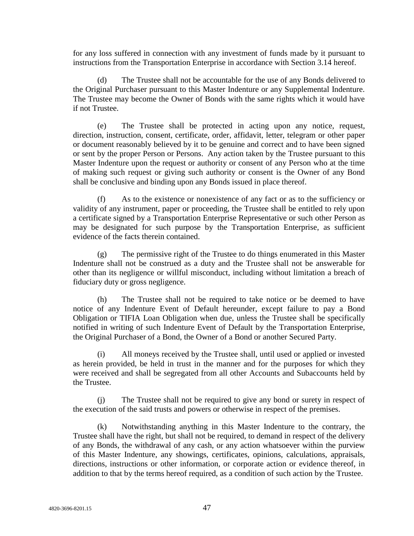for any loss suffered in connection with any investment of funds made by it pursuant to instructions from the Transportation Enterprise in accordance with Section 3.14 hereof.

(d) The Trustee shall not be accountable for the use of any Bonds delivered to the Original Purchaser pursuant to this Master Indenture or any Supplemental Indenture. The Trustee may become the Owner of Bonds with the same rights which it would have if not Trustee.

(e) The Trustee shall be protected in acting upon any notice, request, direction, instruction, consent, certificate, order, affidavit, letter, telegram or other paper or document reasonably believed by it to be genuine and correct and to have been signed or sent by the proper Person or Persons. Any action taken by the Trustee pursuant to this Master Indenture upon the request or authority or consent of any Person who at the time of making such request or giving such authority or consent is the Owner of any Bond shall be conclusive and binding upon any Bonds issued in place thereof.

(f) As to the existence or nonexistence of any fact or as to the sufficiency or validity of any instrument, paper or proceeding, the Trustee shall be entitled to rely upon a certificate signed by a Transportation Enterprise Representative or such other Person as may be designated for such purpose by the Transportation Enterprise, as sufficient evidence of the facts therein contained.

(g) The permissive right of the Trustee to do things enumerated in this Master Indenture shall not be construed as a duty and the Trustee shall not be answerable for other than its negligence or willful misconduct, including without limitation a breach of fiduciary duty or gross negligence.

(h) The Trustee shall not be required to take notice or be deemed to have notice of any Indenture Event of Default hereunder, except failure to pay a Bond Obligation or TIFIA Loan Obligation when due, unless the Trustee shall be specifically notified in writing of such Indenture Event of Default by the Transportation Enterprise, the Original Purchaser of a Bond, the Owner of a Bond or another Secured Party.

All moneys received by the Trustee shall, until used or applied or invested as herein provided, be held in trust in the manner and for the purposes for which they were received and shall be segregated from all other Accounts and Subaccounts held by the Trustee.

(j) The Trustee shall not be required to give any bond or surety in respect of the execution of the said trusts and powers or otherwise in respect of the premises.

(k) Notwithstanding anything in this Master Indenture to the contrary, the Trustee shall have the right, but shall not be required, to demand in respect of the delivery of any Bonds, the withdrawal of any cash, or any action whatsoever within the purview of this Master Indenture, any showings, certificates, opinions, calculations, appraisals, directions, instructions or other information, or corporate action or evidence thereof, in addition to that by the terms hereof required, as a condition of such action by the Trustee.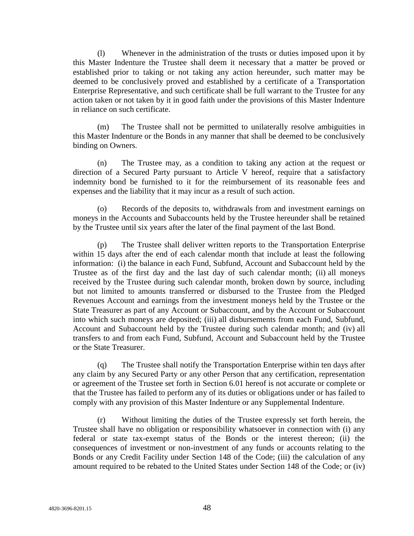(l) Whenever in the administration of the trusts or duties imposed upon it by this Master Indenture the Trustee shall deem it necessary that a matter be proved or established prior to taking or not taking any action hereunder, such matter may be deemed to be conclusively proved and established by a certificate of a Transportation Enterprise Representative, and such certificate shall be full warrant to the Trustee for any action taken or not taken by it in good faith under the provisions of this Master Indenture in reliance on such certificate.

(m) The Trustee shall not be permitted to unilaterally resolve ambiguities in this Master Indenture or the Bonds in any manner that shall be deemed to be conclusively binding on Owners.

(n) The Trustee may, as a condition to taking any action at the request or direction of a Secured Party pursuant to Article V hereof, require that a satisfactory indemnity bond be furnished to it for the reimbursement of its reasonable fees and expenses and the liability that it may incur as a result of such action.

(o) Records of the deposits to, withdrawals from and investment earnings on moneys in the Accounts and Subaccounts held by the Trustee hereunder shall be retained by the Trustee until six years after the later of the final payment of the last Bond.

(p) The Trustee shall deliver written reports to the Transportation Enterprise within 15 days after the end of each calendar month that include at least the following information: (i) the balance in each Fund, Subfund, Account and Subaccount held by the Trustee as of the first day and the last day of such calendar month; (ii) all moneys received by the Trustee during such calendar month, broken down by source, including but not limited to amounts transferred or disbursed to the Trustee from the Pledged Revenues Account and earnings from the investment moneys held by the Trustee or the State Treasurer as part of any Account or Subaccount, and by the Account or Subaccount into which such moneys are deposited; (iii) all disbursements from each Fund, Subfund, Account and Subaccount held by the Trustee during such calendar month; and (iv) all transfers to and from each Fund, Subfund, Account and Subaccount held by the Trustee or the State Treasurer.

(q) The Trustee shall notify the Transportation Enterprise within ten days after any claim by any Secured Party or any other Person that any certification, representation or agreement of the Trustee set forth in Section 6.01 hereof is not accurate or complete or that the Trustee has failed to perform any of its duties or obligations under or has failed to comply with any provision of this Master Indenture or any Supplemental Indenture.

(r) Without limiting the duties of the Trustee expressly set forth herein, the Trustee shall have no obligation or responsibility whatsoever in connection with (i) any federal or state tax-exempt status of the Bonds or the interest thereon; (ii) the consequences of investment or non-investment of any funds or accounts relating to the Bonds or any Credit Facility under Section 148 of the Code; (iii) the calculation of any amount required to be rebated to the United States under Section 148 of the Code; or (iv)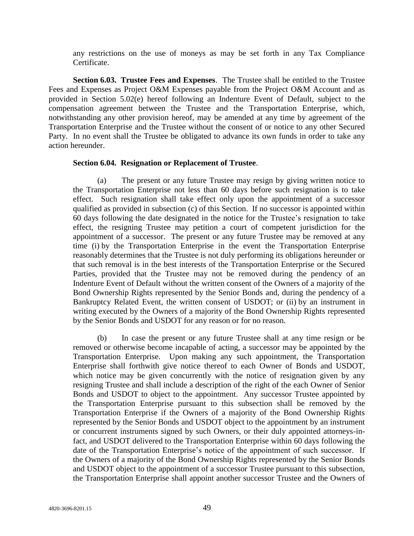any restrictions on the use of moneys as may be set forth in any Tax Compliance Certificate.

**Section 6.03. Trustee Fees and Expenses**. The Trustee shall be entitled to the Trustee Fees and Expenses as Project O&M Expenses payable from the Project O&M Account and as provided in Section 5.02(e) hereof following an Indenture Event of Default, subject to the compensation agreement between the Trustee and the Transportation Enterprise, which, notwithstanding any other provision hereof, may be amended at any time by agreement of the Transportation Enterprise and the Trustee without the consent of or notice to any other Secured Party. In no event shall the Trustee be obligated to advance its own funds in order to take any action hereunder.

#### **Section 6.04. Resignation or Replacement of Trustee**.

(a) The present or any future Trustee may resign by giving written notice to the Transportation Enterprise not less than 60 days before such resignation is to take effect. Such resignation shall take effect only upon the appointment of a successor qualified as provided in subsection (c) of this Section. If no successor is appointed within 60 days following the date designated in the notice for the Trustee's resignation to take effect, the resigning Trustee may petition a court of competent jurisdiction for the appointment of a successor. The present or any future Trustee may be removed at any time (i) by the Transportation Enterprise in the event the Transportation Enterprise reasonably determines that the Trustee is not duly performing its obligations hereunder or that such removal is in the best interests of the Transportation Enterprise or the Secured Parties, provided that the Trustee may not be removed during the pendency of an Indenture Event of Default without the written consent of the Owners of a majority of the Bond Ownership Rights represented by the Senior Bonds and, during the pendency of a Bankruptcy Related Event, the written consent of USDOT; or (ii) by an instrument in writing executed by the Owners of a majority of the Bond Ownership Rights represented by the Senior Bonds and USDOT for any reason or for no reason.

(b) In case the present or any future Trustee shall at any time resign or be removed or otherwise become incapable of acting, a successor may be appointed by the Transportation Enterprise. Upon making any such appointment, the Transportation Enterprise shall forthwith give notice thereof to each Owner of Bonds and USDOT, which notice may be given concurrently with the notice of resignation given by any resigning Trustee and shall include a description of the right of the each Owner of Senior Bonds and USDOT to object to the appointment. Any successor Trustee appointed by the Transportation Enterprise pursuant to this subsection shall be removed by the Transportation Enterprise if the Owners of a majority of the Bond Ownership Rights represented by the Senior Bonds and USDOT object to the appointment by an instrument or concurrent instruments signed by such Owners, or their duly appointed attorneys-infact, and USDOT delivered to the Transportation Enterprise within 60 days following the date of the Transportation Enterprise's notice of the appointment of such successor. If the Owners of a majority of the Bond Ownership Rights represented by the Senior Bonds and USDOT object to the appointment of a successor Trustee pursuant to this subsection, the Transportation Enterprise shall appoint another successor Trustee and the Owners of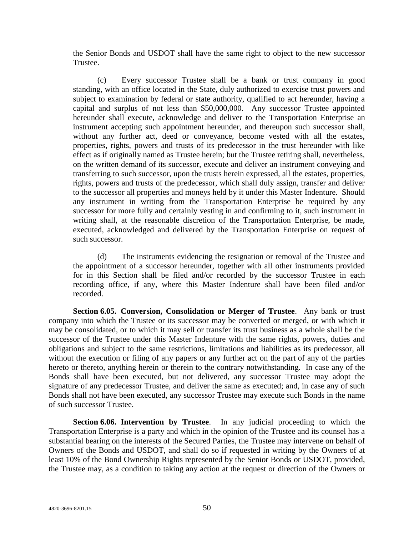the Senior Bonds and USDOT shall have the same right to object to the new successor Trustee.

(c) Every successor Trustee shall be a bank or trust company in good standing, with an office located in the State, duly authorized to exercise trust powers and subject to examination by federal or state authority, qualified to act hereunder, having a capital and surplus of not less than \$50,000,000. Any successor Trustee appointed hereunder shall execute, acknowledge and deliver to the Transportation Enterprise an instrument accepting such appointment hereunder, and thereupon such successor shall, without any further act, deed or conveyance, become vested with all the estates, properties, rights, powers and trusts of its predecessor in the trust hereunder with like effect as if originally named as Trustee herein; but the Trustee retiring shall, nevertheless, on the written demand of its successor, execute and deliver an instrument conveying and transferring to such successor, upon the trusts herein expressed, all the estates, properties, rights, powers and trusts of the predecessor, which shall duly assign, transfer and deliver to the successor all properties and moneys held by it under this Master Indenture. Should any instrument in writing from the Transportation Enterprise be required by any successor for more fully and certainly vesting in and confirming to it, such instrument in writing shall, at the reasonable discretion of the Transportation Enterprise, be made, executed, acknowledged and delivered by the Transportation Enterprise on request of such successor.

(d) The instruments evidencing the resignation or removal of the Trustee and the appointment of a successor hereunder, together with all other instruments provided for in this Section shall be filed and/or recorded by the successor Trustee in each recording office, if any, where this Master Indenture shall have been filed and/or recorded.

**Section 6.05. Conversion, Consolidation or Merger of Trustee**. Any bank or trust company into which the Trustee or its successor may be converted or merged, or with which it may be consolidated, or to which it may sell or transfer its trust business as a whole shall be the successor of the Trustee under this Master Indenture with the same rights, powers, duties and obligations and subject to the same restrictions, limitations and liabilities as its predecessor, all without the execution or filing of any papers or any further act on the part of any of the parties hereto or thereto, anything herein or therein to the contrary notwithstanding. In case any of the Bonds shall have been executed, but not delivered, any successor Trustee may adopt the signature of any predecessor Trustee, and deliver the same as executed; and, in case any of such Bonds shall not have been executed, any successor Trustee may execute such Bonds in the name of such successor Trustee.

**Section 6.06. Intervention by Trustee**. In any judicial proceeding to which the Transportation Enterprise is a party and which in the opinion of the Trustee and its counsel has a substantial bearing on the interests of the Secured Parties, the Trustee may intervene on behalf of Owners of the Bonds and USDOT, and shall do so if requested in writing by the Owners of at least 10% of the Bond Ownership Rights represented by the Senior Bonds or USDOT, provided, the Trustee may, as a condition to taking any action at the request or direction of the Owners or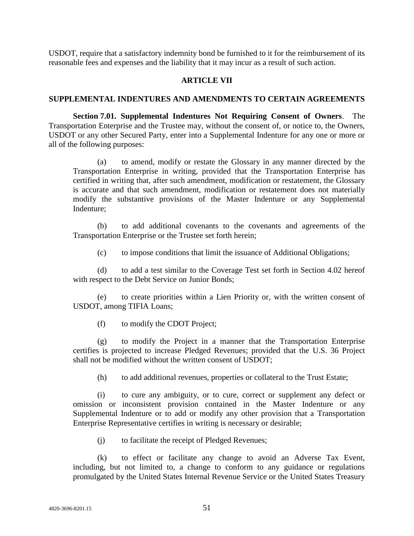USDOT, require that a satisfactory indemnity bond be furnished to it for the reimbursement of its reasonable fees and expenses and the liability that it may incur as a result of such action.

# **ARTICLE VII**

## **SUPPLEMENTAL INDENTURES AND AMENDMENTS TO CERTAIN AGREEMENTS**

**Section 7.01. Supplemental Indentures Not Requiring Consent of Owners**. The Transportation Enterprise and the Trustee may, without the consent of, or notice to, the Owners, USDOT or any other Secured Party, enter into a Supplemental Indenture for any one or more or all of the following purposes:

(a) to amend, modify or restate the Glossary in any manner directed by the Transportation Enterprise in writing, provided that the Transportation Enterprise has certified in writing that, after such amendment, modification or restatement, the Glossary is accurate and that such amendment, modification or restatement does not materially modify the substantive provisions of the Master Indenture or any Supplemental Indenture;

(b) to add additional covenants to the covenants and agreements of the Transportation Enterprise or the Trustee set forth herein;

(c) to impose conditions that limit the issuance of Additional Obligations;

(d) to add a test similar to the Coverage Test set forth in Section 4.02 hereof with respect to the Debt Service on Junior Bonds;

(e) to create priorities within a Lien Priority or, with the written consent of USDOT, among TIFIA Loans;

(f) to modify the CDOT Project;

(g) to modify the Project in a manner that the Transportation Enterprise certifies is projected to increase Pledged Revenues; provided that the U.S. 36 Project shall not be modified without the written consent of USDOT;

(h) to add additional revenues, properties or collateral to the Trust Estate;

(i) to cure any ambiguity, or to cure, correct or supplement any defect or omission or inconsistent provision contained in the Master Indenture or any Supplemental Indenture or to add or modify any other provision that a Transportation Enterprise Representative certifies in writing is necessary or desirable;

(j) to facilitate the receipt of Pledged Revenues;

(k) to effect or facilitate any change to avoid an Adverse Tax Event, including, but not limited to, a change to conform to any guidance or regulations promulgated by the United States Internal Revenue Service or the United States Treasury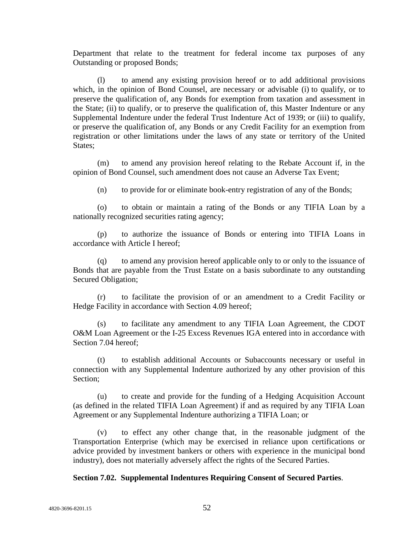Department that relate to the treatment for federal income tax purposes of any Outstanding or proposed Bonds;

(l) to amend any existing provision hereof or to add additional provisions which, in the opinion of Bond Counsel, are necessary or advisable (i) to qualify, or to preserve the qualification of, any Bonds for exemption from taxation and assessment in the State; (ii) to qualify, or to preserve the qualification of, this Master Indenture or any Supplemental Indenture under the federal Trust Indenture Act of 1939; or (iii) to qualify, or preserve the qualification of, any Bonds or any Credit Facility for an exemption from registration or other limitations under the laws of any state or territory of the United States:

(m) to amend any provision hereof relating to the Rebate Account if, in the opinion of Bond Counsel, such amendment does not cause an Adverse Tax Event;

(n) to provide for or eliminate book-entry registration of any of the Bonds;

(o) to obtain or maintain a rating of the Bonds or any TIFIA Loan by a nationally recognized securities rating agency;

(p) to authorize the issuance of Bonds or entering into TIFIA Loans in accordance with Article I hereof;

(q) to amend any provision hereof applicable only to or only to the issuance of Bonds that are payable from the Trust Estate on a basis subordinate to any outstanding Secured Obligation;

(r) to facilitate the provision of or an amendment to a Credit Facility or Hedge Facility in accordance with Section 4.09 hereof;

(s) to facilitate any amendment to any TIFIA Loan Agreement, the CDOT O&M Loan Agreement or the I-25 Excess Revenues IGA entered into in accordance with Section 7.04 hereof;

(t) to establish additional Accounts or Subaccounts necessary or useful in connection with any Supplemental Indenture authorized by any other provision of this Section;

(u) to create and provide for the funding of a Hedging Acquisition Account (as defined in the related TIFIA Loan Agreement) if and as required by any TIFIA Loan Agreement or any Supplemental Indenture authorizing a TIFIA Loan; or

(v) to effect any other change that, in the reasonable judgment of the Transportation Enterprise (which may be exercised in reliance upon certifications or advice provided by investment bankers or others with experience in the municipal bond industry), does not materially adversely affect the rights of the Secured Parties.

## **Section 7.02. Supplemental Indentures Requiring Consent of Secured Parties**.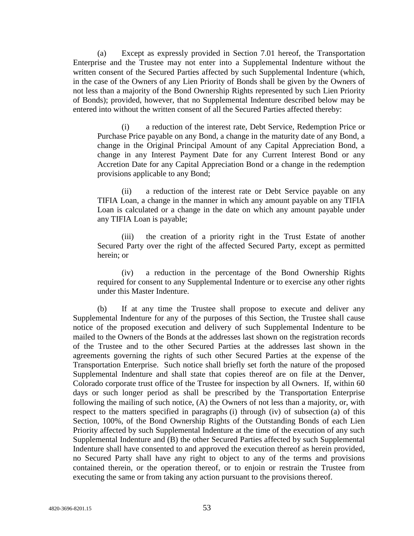(a) Except as expressly provided in Section 7.01 hereof, the Transportation Enterprise and the Trustee may not enter into a Supplemental Indenture without the written consent of the Secured Parties affected by such Supplemental Indenture (which, in the case of the Owners of any Lien Priority of Bonds shall be given by the Owners of not less than a majority of the Bond Ownership Rights represented by such Lien Priority of Bonds); provided, however, that no Supplemental Indenture described below may be entered into without the written consent of all the Secured Parties affected thereby:

(i) a reduction of the interest rate, Debt Service, Redemption Price or Purchase Price payable on any Bond, a change in the maturity date of any Bond, a change in the Original Principal Amount of any Capital Appreciation Bond, a change in any Interest Payment Date for any Current Interest Bond or any Accretion Date for any Capital Appreciation Bond or a change in the redemption provisions applicable to any Bond;

(ii) a reduction of the interest rate or Debt Service payable on any TIFIA Loan, a change in the manner in which any amount payable on any TIFIA Loan is calculated or a change in the date on which any amount payable under any TIFIA Loan is payable;

(iii) the creation of a priority right in the Trust Estate of another Secured Party over the right of the affected Secured Party, except as permitted herein; or

(iv) a reduction in the percentage of the Bond Ownership Rights required for consent to any Supplemental Indenture or to exercise any other rights under this Master Indenture.

(b) If at any time the Trustee shall propose to execute and deliver any Supplemental Indenture for any of the purposes of this Section, the Trustee shall cause notice of the proposed execution and delivery of such Supplemental Indenture to be mailed to the Owners of the Bonds at the addresses last shown on the registration records of the Trustee and to the other Secured Parties at the addresses last shown in the agreements governing the rights of such other Secured Parties at the expense of the Transportation Enterprise. Such notice shall briefly set forth the nature of the proposed Supplemental Indenture and shall state that copies thereof are on file at the Denver, Colorado corporate trust office of the Trustee for inspection by all Owners. If, within 60 days or such longer period as shall be prescribed by the Transportation Enterprise following the mailing of such notice, (A) the Owners of not less than a majority, or, with respect to the matters specified in paragraphs (i) through (iv) of subsection (a) of this Section, 100%, of the Bond Ownership Rights of the Outstanding Bonds of each Lien Priority affected by such Supplemental Indenture at the time of the execution of any such Supplemental Indenture and (B) the other Secured Parties affected by such Supplemental Indenture shall have consented to and approved the execution thereof as herein provided, no Secured Party shall have any right to object to any of the terms and provisions contained therein, or the operation thereof, or to enjoin or restrain the Trustee from executing the same or from taking any action pursuant to the provisions thereof.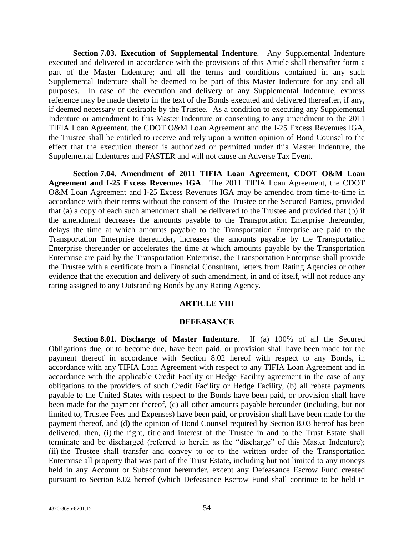**Section 7.03. Execution of Supplemental Indenture**. Any Supplemental Indenture executed and delivered in accordance with the provisions of this Article shall thereafter form a part of the Master Indenture; and all the terms and conditions contained in any such Supplemental Indenture shall be deemed to be part of this Master Indenture for any and all purposes. In case of the execution and delivery of any Supplemental Indenture, express reference may be made thereto in the text of the Bonds executed and delivered thereafter, if any, if deemed necessary or desirable by the Trustee. As a condition to executing any Supplemental Indenture or amendment to this Master Indenture or consenting to any amendment to the 2011 TIFIA Loan Agreement, the CDOT O&M Loan Agreement and the I-25 Excess Revenues IGA, the Trustee shall be entitled to receive and rely upon a written opinion of Bond Counsel to the effect that the execution thereof is authorized or permitted under this Master Indenture, the Supplemental Indentures and FASTER and will not cause an Adverse Tax Event.

**Section 7.04. Amendment of 2011 TIFIA Loan Agreement, CDOT O&M Loan Agreement and I-25 Excess Revenues IGA**. The 2011 TIFIA Loan Agreement, the CDOT O&M Loan Agreement and I-25 Excess Revenues IGA may be amended from time-to-time in accordance with their terms without the consent of the Trustee or the Secured Parties, provided that (a) a copy of each such amendment shall be delivered to the Trustee and provided that (b) if the amendment decreases the amounts payable to the Transportation Enterprise thereunder, delays the time at which amounts payable to the Transportation Enterprise are paid to the Transportation Enterprise thereunder, increases the amounts payable by the Transportation Enterprise thereunder or accelerates the time at which amounts payable by the Transportation Enterprise are paid by the Transportation Enterprise, the Transportation Enterprise shall provide the Trustee with a certificate from a Financial Consultant, letters from Rating Agencies or other evidence that the execution and delivery of such amendment, in and of itself, will not reduce any rating assigned to any Outstanding Bonds by any Rating Agency.

#### **ARTICLE VIII**

#### **DEFEASANCE**

**Section 8.01. Discharge of Master Indenture**. If (a) 100% of all the Secured Obligations due, or to become due, have been paid, or provision shall have been made for the payment thereof in accordance with Section 8.02 hereof with respect to any Bonds, in accordance with any TIFIA Loan Agreement with respect to any TIFIA Loan Agreement and in accordance with the applicable Credit Facility or Hedge Facility agreement in the case of any obligations to the providers of such Credit Facility or Hedge Facility, (b) all rebate payments payable to the United States with respect to the Bonds have been paid, or provision shall have been made for the payment thereof, (c) all other amounts payable hereunder (including, but not limited to, Trustee Fees and Expenses) have been paid, or provision shall have been made for the payment thereof, and (d) the opinion of Bond Counsel required by Section 8.03 hereof has been delivered, then, (i) the right, title and interest of the Trustee in and to the Trust Estate shall terminate and be discharged (referred to herein as the "discharge" of this Master Indenture); (ii) the Trustee shall transfer and convey to or to the written order of the Transportation Enterprise all property that was part of the Trust Estate, including but not limited to any moneys held in any Account or Subaccount hereunder, except any Defeasance Escrow Fund created pursuant to Section 8.02 hereof (which Defeasance Escrow Fund shall continue to be held in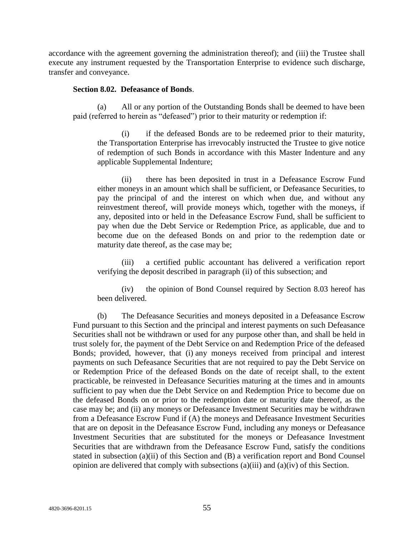accordance with the agreement governing the administration thereof); and (iii) the Trustee shall execute any instrument requested by the Transportation Enterprise to evidence such discharge, transfer and conveyance.

## **Section 8.02. Defeasance of Bonds**.

(a) All or any portion of the Outstanding Bonds shall be deemed to have been paid (referred to herein as "defeased") prior to their maturity or redemption if:

(i) if the defeased Bonds are to be redeemed prior to their maturity, the Transportation Enterprise has irrevocably instructed the Trustee to give notice of redemption of such Bonds in accordance with this Master Indenture and any applicable Supplemental Indenture;

(ii) there has been deposited in trust in a Defeasance Escrow Fund either moneys in an amount which shall be sufficient, or Defeasance Securities, to pay the principal of and the interest on which when due, and without any reinvestment thereof, will provide moneys which, together with the moneys, if any, deposited into or held in the Defeasance Escrow Fund, shall be sufficient to pay when due the Debt Service or Redemption Price, as applicable, due and to become due on the defeased Bonds on and prior to the redemption date or maturity date thereof, as the case may be;

(iii) a certified public accountant has delivered a verification report verifying the deposit described in paragraph (ii) of this subsection; and

(iv) the opinion of Bond Counsel required by Section 8.03 hereof has been delivered.

(b) The Defeasance Securities and moneys deposited in a Defeasance Escrow Fund pursuant to this Section and the principal and interest payments on such Defeasance Securities shall not be withdrawn or used for any purpose other than, and shall be held in trust solely for, the payment of the Debt Service on and Redemption Price of the defeased Bonds; provided, however, that (i) any moneys received from principal and interest payments on such Defeasance Securities that are not required to pay the Debt Service on or Redemption Price of the defeased Bonds on the date of receipt shall, to the extent practicable, be reinvested in Defeasance Securities maturing at the times and in amounts sufficient to pay when due the Debt Service on and Redemption Price to become due on the defeased Bonds on or prior to the redemption date or maturity date thereof, as the case may be; and (ii) any moneys or Defeasance Investment Securities may be withdrawn from a Defeasance Escrow Fund if (A) the moneys and Defeasance Investment Securities that are on deposit in the Defeasance Escrow Fund, including any moneys or Defeasance Investment Securities that are substituted for the moneys or Defeasance Investment Securities that are withdrawn from the Defeasance Escrow Fund, satisfy the conditions stated in subsection (a)(ii) of this Section and (B) a verification report and Bond Counsel opinion are delivered that comply with subsections  $(a)(iii)$  and  $(a)(iv)$  of this Section.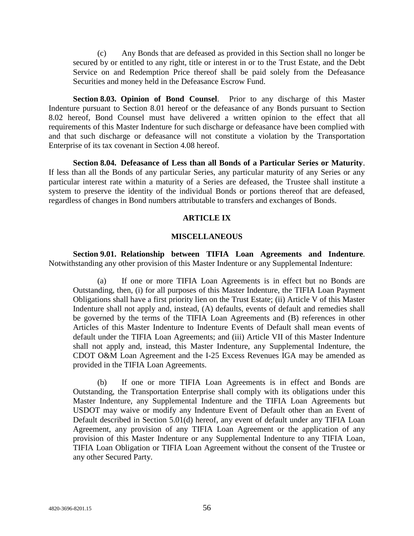(c) Any Bonds that are defeased as provided in this Section shall no longer be secured by or entitled to any right, title or interest in or to the Trust Estate, and the Debt Service on and Redemption Price thereof shall be paid solely from the Defeasance Securities and money held in the Defeasance Escrow Fund.

**Section 8.03. Opinion of Bond Counsel**. Prior to any discharge of this Master Indenture pursuant to Section 8.01 hereof or the defeasance of any Bonds pursuant to Section 8.02 hereof, Bond Counsel must have delivered a written opinion to the effect that all requirements of this Master Indenture for such discharge or defeasance have been complied with and that such discharge or defeasance will not constitute a violation by the Transportation Enterprise of its tax covenant in Section 4.08 hereof.

**Section 8.04. Defeasance of Less than all Bonds of a Particular Series or Maturity**. If less than all the Bonds of any particular Series, any particular maturity of any Series or any particular interest rate within a maturity of a Series are defeased, the Trustee shall institute a system to preserve the identity of the individual Bonds or portions thereof that are defeased, regardless of changes in Bond numbers attributable to transfers and exchanges of Bonds.

### **ARTICLE IX**

#### **MISCELLANEOUS**

**Section 9.01. Relationship between TIFIA Loan Agreements and Indenture**. Notwithstanding any other provision of this Master Indenture or any Supplemental Indenture:

(a) If one or more TIFIA Loan Agreements is in effect but no Bonds are Outstanding, then, (i) for all purposes of this Master Indenture, the TIFIA Loan Payment Obligations shall have a first priority lien on the Trust Estate; (ii) Article V of this Master Indenture shall not apply and, instead, (A) defaults, events of default and remedies shall be governed by the terms of the TIFIA Loan Agreements and (B) references in other Articles of this Master Indenture to Indenture Events of Default shall mean events of default under the TIFIA Loan Agreements; and (iii) Article VII of this Master Indenture shall not apply and, instead, this Master Indenture, any Supplemental Indenture, the CDOT O&M Loan Agreement and the I-25 Excess Revenues IGA may be amended as provided in the TIFIA Loan Agreements.

(b) If one or more TIFIA Loan Agreements is in effect and Bonds are Outstanding, the Transportation Enterprise shall comply with its obligations under this Master Indenture, any Supplemental Indenture and the TIFIA Loan Agreements but USDOT may waive or modify any Indenture Event of Default other than an Event of Default described in Section 5.01(d) hereof, any event of default under any TIFIA Loan Agreement, any provision of any TIFIA Loan Agreement or the application of any provision of this Master Indenture or any Supplemental Indenture to any TIFIA Loan, TIFIA Loan Obligation or TIFIA Loan Agreement without the consent of the Trustee or any other Secured Party.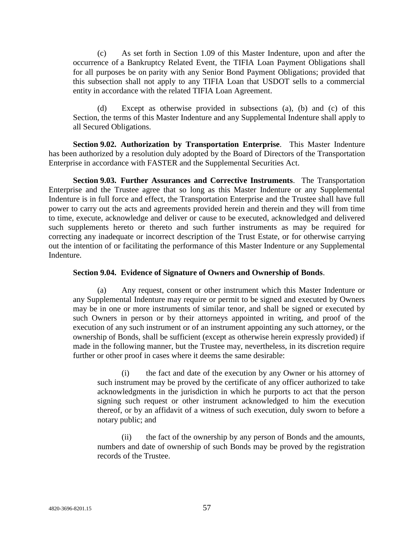(c) As set forth in Section 1.09 of this Master Indenture, upon and after the occurrence of a Bankruptcy Related Event, the TIFIA Loan Payment Obligations shall for all purposes be on parity with any Senior Bond Payment Obligations; provided that this subsection shall not apply to any TIFIA Loan that USDOT sells to a commercial entity in accordance with the related TIFIA Loan Agreement.

(d) Except as otherwise provided in subsections (a), (b) and (c) of this Section, the terms of this Master Indenture and any Supplemental Indenture shall apply to all Secured Obligations.

**Section 9.02. Authorization by Transportation Enterprise**. This Master Indenture has been authorized by a resolution duly adopted by the Board of Directors of the Transportation Enterprise in accordance with FASTER and the Supplemental Securities Act.

**Section 9.03. Further Assurances and Corrective Instruments**. The Transportation Enterprise and the Trustee agree that so long as this Master Indenture or any Supplemental Indenture is in full force and effect, the Transportation Enterprise and the Trustee shall have full power to carry out the acts and agreements provided herein and therein and they will from time to time, execute, acknowledge and deliver or cause to be executed, acknowledged and delivered such supplements hereto or thereto and such further instruments as may be required for correcting any inadequate or incorrect description of the Trust Estate, or for otherwise carrying out the intention of or facilitating the performance of this Master Indenture or any Supplemental Indenture.

## **Section 9.04. Evidence of Signature of Owners and Ownership of Bonds**.

(a) Any request, consent or other instrument which this Master Indenture or any Supplemental Indenture may require or permit to be signed and executed by Owners may be in one or more instruments of similar tenor, and shall be signed or executed by such Owners in person or by their attorneys appointed in writing, and proof of the execution of any such instrument or of an instrument appointing any such attorney, or the ownership of Bonds, shall be sufficient (except as otherwise herein expressly provided) if made in the following manner, but the Trustee may, nevertheless, in its discretion require further or other proof in cases where it deems the same desirable:

(i) the fact and date of the execution by any Owner or his attorney of such instrument may be proved by the certificate of any officer authorized to take acknowledgments in the jurisdiction in which he purports to act that the person signing such request or other instrument acknowledged to him the execution thereof, or by an affidavit of a witness of such execution, duly sworn to before a notary public; and

(ii) the fact of the ownership by any person of Bonds and the amounts, numbers and date of ownership of such Bonds may be proved by the registration records of the Trustee.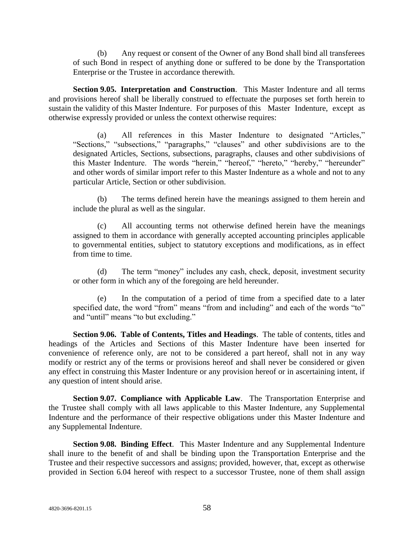(b) Any request or consent of the Owner of any Bond shall bind all transferees of such Bond in respect of anything done or suffered to be done by the Transportation Enterprise or the Trustee in accordance therewith.

**Section 9.05. Interpretation and Construction**. This Master Indenture and all terms and provisions hereof shall be liberally construed to effectuate the purposes set forth herein to sustain the validity of this Master Indenture. For purposes of this Master Indenture, except as otherwise expressly provided or unless the context otherwise requires:

(a) All references in this Master Indenture to designated "Articles," "Sections," "subsections," "paragraphs," "clauses" and other subdivisions are to the designated Articles, Sections, subsections, paragraphs, clauses and other subdivisions of this Master Indenture. The words "herein," "hereof," "hereto," "hereby," "hereunder" and other words of similar import refer to this Master Indenture as a whole and not to any particular Article, Section or other subdivision.

(b) The terms defined herein have the meanings assigned to them herein and include the plural as well as the singular.

(c) All accounting terms not otherwise defined herein have the meanings assigned to them in accordance with generally accepted accounting principles applicable to governmental entities, subject to statutory exceptions and modifications, as in effect from time to time.

(d) The term "money" includes any cash, check, deposit, investment security or other form in which any of the foregoing are held hereunder.

(e) In the computation of a period of time from a specified date to a later specified date, the word "from" means "from and including" and each of the words "to" and "until" means "to but excluding."

**Section 9.06. Table of Contents, Titles and Headings**. The table of contents, titles and headings of the Articles and Sections of this Master Indenture have been inserted for convenience of reference only, are not to be considered a part hereof, shall not in any way modify or restrict any of the terms or provisions hereof and shall never be considered or given any effect in construing this Master Indenture or any provision hereof or in ascertaining intent, if any question of intent should arise.

**Section 9.07. Compliance with Applicable Law**. The Transportation Enterprise and the Trustee shall comply with all laws applicable to this Master Indenture, any Supplemental Indenture and the performance of their respective obligations under this Master Indenture and any Supplemental Indenture.

**Section 9.08. Binding Effect**. This Master Indenture and any Supplemental Indenture shall inure to the benefit of and shall be binding upon the Transportation Enterprise and the Trustee and their respective successors and assigns; provided, however, that, except as otherwise provided in Section 6.04 hereof with respect to a successor Trustee, none of them shall assign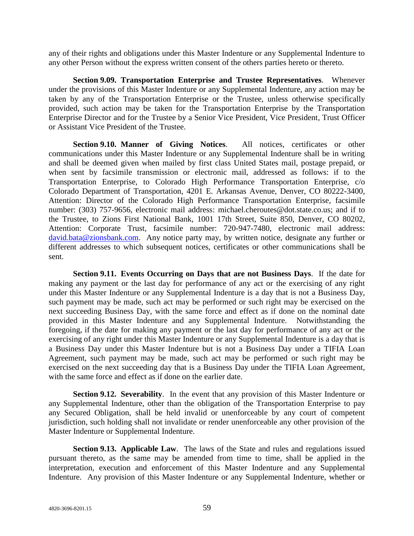any of their rights and obligations under this Master Indenture or any Supplemental Indenture to any other Person without the express written consent of the others parties hereto or thereto.

**Section 9.09. Transportation Enterprise and Trustee Representatives**. Whenever under the provisions of this Master Indenture or any Supplemental Indenture, any action may be taken by any of the Transportation Enterprise or the Trustee, unless otherwise specifically provided, such action may be taken for the Transportation Enterprise by the Transportation Enterprise Director and for the Trustee by a Senior Vice President, Vice President, Trust Officer or Assistant Vice President of the Trustee.

**Section 9.10. Manner of Giving Notices**. All notices, certificates or other communications under this Master Indenture or any Supplemental Indenture shall be in writing and shall be deemed given when mailed by first class United States mail, postage prepaid, or when sent by facsimile transmission or electronic mail, addressed as follows: if to the Transportation Enterprise, to Colorado High Performance Transportation Enterprise, c/o Colorado Department of Transportation, 4201 E. Arkansas Avenue, Denver, CO 80222-3400, Attention: Director of the Colorado High Performance Transportation Enterprise, facsimile number: (303) 757-9656, electronic mail address: michael.cheroutes@dot.state.co.us; and if to the Trustee, to Zions First National Bank, 1001 17th Street, Suite 850, Denver, CO 80202, Attention: Corporate Trust, facsimile number: 720-947-7480, electronic mail address: [david.bata@zionsbank.com.](mailto:david.bata@zionsbank.com) Any notice party may, by written notice, designate any further or different addresses to which subsequent notices, certificates or other communications shall be sent.

**Section 9.11. Events Occurring on Days that are not Business Days**. If the date for making any payment or the last day for performance of any act or the exercising of any right under this Master Indenture or any Supplemental Indenture is a day that is not a Business Day, such payment may be made, such act may be performed or such right may be exercised on the next succeeding Business Day, with the same force and effect as if done on the nominal date provided in this Master Indenture and any Supplemental Indenture. Notwithstanding the foregoing, if the date for making any payment or the last day for performance of any act or the exercising of any right under this Master Indenture or any Supplemental Indenture is a day that is a Business Day under this Master Indenture but is not a Business Day under a TIFIA Loan Agreement, such payment may be made, such act may be performed or such right may be exercised on the next succeeding day that is a Business Day under the TIFIA Loan Agreement, with the same force and effect as if done on the earlier date.

**Section 9.12. Severability**. In the event that any provision of this Master Indenture or any Supplemental Indenture, other than the obligation of the Transportation Enterprise to pay any Secured Obligation, shall be held invalid or unenforceable by any court of competent jurisdiction, such holding shall not invalidate or render unenforceable any other provision of the Master Indenture or Supplemental Indenture.

**Section 9.13. Applicable Law**. The laws of the State and rules and regulations issued pursuant thereto, as the same may be amended from time to time, shall be applied in the interpretation, execution and enforcement of this Master Indenture and any Supplemental Indenture. Any provision of this Master Indenture or any Supplemental Indenture, whether or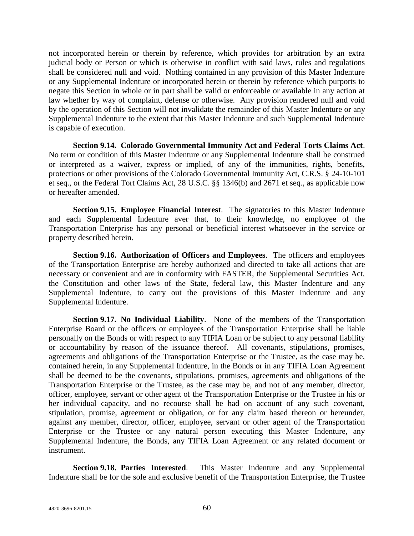not incorporated herein or therein by reference, which provides for arbitration by an extra judicial body or Person or which is otherwise in conflict with said laws, rules and regulations shall be considered null and void. Nothing contained in any provision of this Master Indenture or any Supplemental Indenture or incorporated herein or therein by reference which purports to negate this Section in whole or in part shall be valid or enforceable or available in any action at law whether by way of complaint, defense or otherwise. Any provision rendered null and void by the operation of this Section will not invalidate the remainder of this Master Indenture or any Supplemental Indenture to the extent that this Master Indenture and such Supplemental Indenture is capable of execution.

**Section 9.14. Colorado Governmental Immunity Act and Federal Torts Claims Act**. No term or condition of this Master Indenture or any Supplemental Indenture shall be construed or interpreted as a waiver, express or implied, of any of the immunities, rights, benefits, protections or other provisions of the Colorado Governmental Immunity Act, C.R.S. § 24-10-101 et seq., or the Federal Tort Claims Act, 28 U.S.C. §§ 1346(b) and 2671 et seq., as applicable now or hereafter amended.

**Section 9.15. Employee Financial Interest**. The signatories to this Master Indenture and each Supplemental Indenture aver that, to their knowledge, no employee of the Transportation Enterprise has any personal or beneficial interest whatsoever in the service or property described herein.

**Section 9.16. Authorization of Officers and Employees**. The officers and employees of the Transportation Enterprise are hereby authorized and directed to take all actions that are necessary or convenient and are in conformity with FASTER, the Supplemental Securities Act, the Constitution and other laws of the State, federal law, this Master Indenture and any Supplemental Indenture, to carry out the provisions of this Master Indenture and any Supplemental Indenture.

**Section 9.17. No Individual Liability**. None of the members of the Transportation Enterprise Board or the officers or employees of the Transportation Enterprise shall be liable personally on the Bonds or with respect to any TIFIA Loan or be subject to any personal liability or accountability by reason of the issuance thereof. All covenants, stipulations, promises, agreements and obligations of the Transportation Enterprise or the Trustee, as the case may be, contained herein, in any Supplemental Indenture, in the Bonds or in any TIFIA Loan Agreement shall be deemed to be the covenants, stipulations, promises, agreements and obligations of the Transportation Enterprise or the Trustee, as the case may be, and not of any member, director, officer, employee, servant or other agent of the Transportation Enterprise or the Trustee in his or her individual capacity, and no recourse shall be had on account of any such covenant, stipulation, promise, agreement or obligation, or for any claim based thereon or hereunder, against any member, director, officer, employee, servant or other agent of the Transportation Enterprise or the Trustee or any natural person executing this Master Indenture, any Supplemental Indenture, the Bonds, any TIFIA Loan Agreement or any related document or instrument.

**Section 9.18. Parties Interested**. This Master Indenture and any Supplemental Indenture shall be for the sole and exclusive benefit of the Transportation Enterprise, the Trustee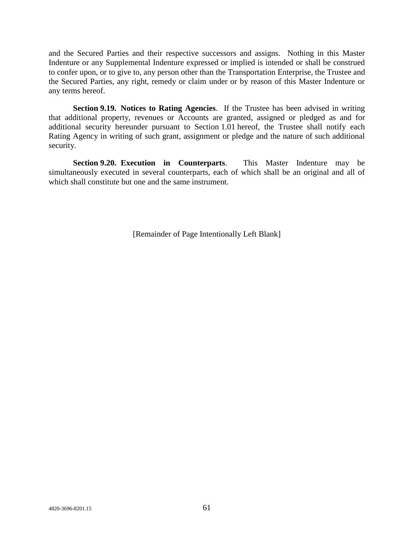and the Secured Parties and their respective successors and assigns. Nothing in this Master Indenture or any Supplemental Indenture expressed or implied is intended or shall be construed to confer upon, or to give to, any person other than the Transportation Enterprise, the Trustee and the Secured Parties, any right, remedy or claim under or by reason of this Master Indenture or any terms hereof.

**Section 9.19. Notices to Rating Agencies**. If the Trustee has been advised in writing that additional property, revenues or Accounts are granted, assigned or pledged as and for additional security hereunder pursuant to Section 1.01 hereof, the Trustee shall notify each Rating Agency in writing of such grant, assignment or pledge and the nature of such additional security.

**Section 9.20. Execution in Counterparts**. This Master Indenture may be simultaneously executed in several counterparts, each of which shall be an original and all of which shall constitute but one and the same instrument.

[Remainder of Page Intentionally Left Blank]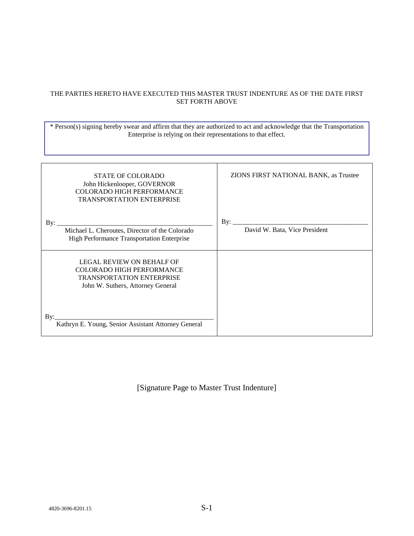### THE PARTIES HERETO HAVE EXECUTED THIS MASTER TRUST INDENTURE AS OF THE DATE FIRST SET FORTH ABOVE

\* Person(s) signing hereby swear and affirm that they are authorized to act and acknowledge that the Transportation Enterprise is relying on their representations to that effect.

| <b>STATE OF COLORADO</b><br>John Hickenlooper, GOVERNOR<br><b>COLORADO HIGH PERFORMANCE</b><br><b>TRANSPORTATION ENTERPRISE</b>                                                                      | ZIONS FIRST NATIONAL BANK, as Trustee       |
|------------------------------------------------------------------------------------------------------------------------------------------------------------------------------------------------------|---------------------------------------------|
| By:<br>Michael L. Cheroutes, Director of the Colorado<br>High Performance Transportation Enterprise                                                                                                  | $\rm\,By:$<br>David W. Bata, Vice President |
| <b>LEGAL REVIEW ON BEHALF OF</b><br><b>COLORADO HIGH PERFORMANCE</b><br>TRANSPORTATION ENTERPRISE<br>John W. Suthers, Attorney General<br>Bv:<br>Kathryn E. Young, Senior Assistant Attorney General |                                             |

[Signature Page to Master Trust Indenture]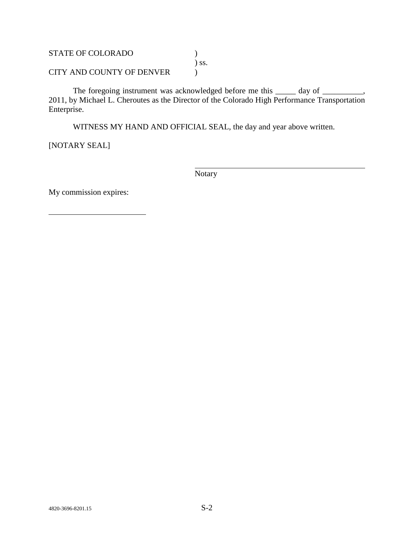STATE OF COLORADO ) ) ss. CITY AND COUNTY OF DENVER  $\qquad \qquad$  )

The foregoing instrument was acknowledged before me this \_\_\_\_\_ day of \_\_\_\_\_\_\_\_, 2011, by Michael L. Cheroutes as the Director of the Colorado High Performance Transportation Enterprise.

WITNESS MY HAND AND OFFICIAL SEAL, the day and year above written.

[NOTARY SEAL]

Notary

My commission expires: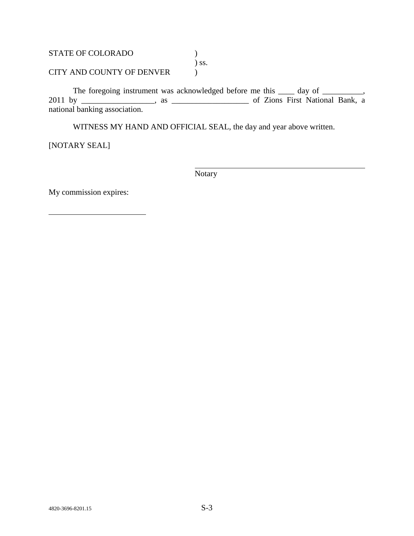STATE OF COLORADO  $)$ ) ss. CITY AND COUNTY OF DENVER  $\qquad \qquad$  )

The foregoing instrument was acknowledged before me this \_\_\_\_ day of \_\_\_\_\_\_\_\_\_, 2011 by \_\_\_\_\_\_\_\_\_\_\_\_\_\_\_\_\_\_, as \_\_\_\_\_\_\_\_\_\_\_\_\_\_\_\_\_\_\_ of Zions First National Bank, a national banking association.

WITNESS MY HAND AND OFFICIAL SEAL, the day and year above written.

[NOTARY SEAL]

Notary

My commission expires: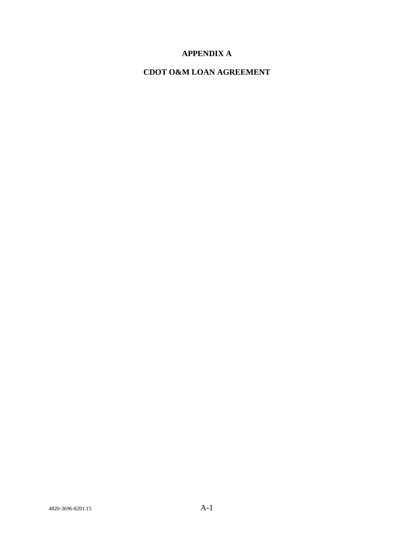# **APPENDIX A**

# **CDOT O&M LOAN AGREEMENT**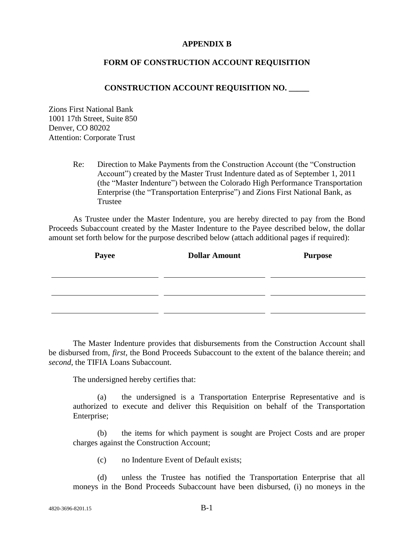## **APPENDIX B**

### **FORM OF CONSTRUCTION ACCOUNT REQUISITION**

### **CONSTRUCTION ACCOUNT REQUISITION NO. \_\_\_\_\_**

Zions First National Bank 1001 17th Street, Suite 850 Denver, CO 80202 Attention: Corporate Trust

> Re: Direction to Make Payments from the Construction Account (the "Construction") Account") created by the Master Trust Indenture dated as of September 1, 2011 (the "Master Indenture") between the Colorado High Performance Transportation Enterprise (the "Transportation Enterprise") and Zions First National Bank, as Trustee

As Trustee under the Master Indenture, you are hereby directed to pay from the Bond Proceeds Subaccount created by the Master Indenture to the Payee described below, the dollar amount set forth below for the purpose described below (attach additional pages if required):

| Payee | <b>Dollar Amount</b> | <b>Purpose</b> |
|-------|----------------------|----------------|
|       |                      |                |
|       |                      |                |
|       |                      |                |

The Master Indenture provides that disbursements from the Construction Account shall be disbursed from, *first*, the Bond Proceeds Subaccount to the extent of the balance therein; and *second*, the TIFIA Loans Subaccount.

The undersigned hereby certifies that:

(a) the undersigned is a Transportation Enterprise Representative and is authorized to execute and deliver this Requisition on behalf of the Transportation Enterprise;

(b) the items for which payment is sought are Project Costs and are proper charges against the Construction Account;

(c) no Indenture Event of Default exists;

(d) unless the Trustee has notified the Transportation Enterprise that all moneys in the Bond Proceeds Subaccount have been disbursed, (i) no moneys in the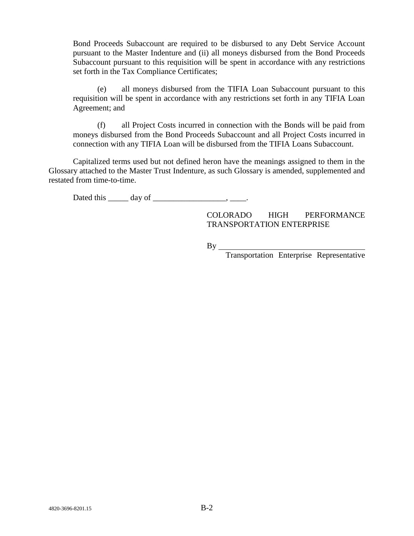Bond Proceeds Subaccount are required to be disbursed to any Debt Service Account pursuant to the Master Indenture and (ii) all moneys disbursed from the Bond Proceeds Subaccount pursuant to this requisition will be spent in accordance with any restrictions set forth in the Tax Compliance Certificates;

(e) all moneys disbursed from the TIFIA Loan Subaccount pursuant to this requisition will be spent in accordance with any restrictions set forth in any TIFIA Loan Agreement; and

(f) all Project Costs incurred in connection with the Bonds will be paid from moneys disbursed from the Bond Proceeds Subaccount and all Project Costs incurred in connection with any TIFIA Loan will be disbursed from the TIFIA Loans Subaccount.

Capitalized terms used but not defined heron have the meanings assigned to them in the Glossary attached to the Master Trust Indenture, as such Glossary is amended, supplemented and restated from time-to-time.

Dated this  $\qquad \qquad \text{day of} \qquad \qquad \text{---}$ 

COLORADO HIGH PERFORMANCE TRANSPORTATION ENTERPRISE

By

Transportation Enterprise Representative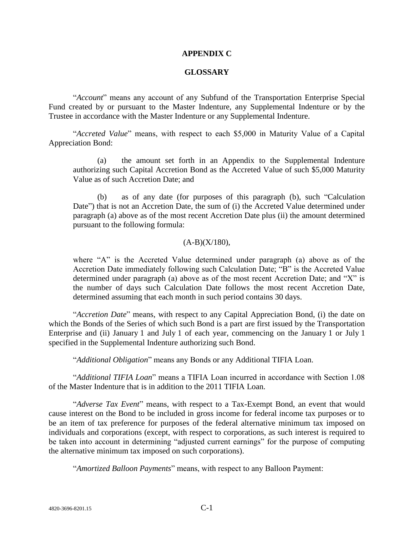#### **APPENDIX C**

#### **GLOSSARY**

"Account" means any account of any Subfund of the Transportation Enterprise Special Fund created by or pursuant to the Master Indenture, any Supplemental Indenture or by the Trustee in accordance with the Master Indenture or any Supplemental Indenture.

"Accreted Value" means, with respect to each \$5,000 in Maturity Value of a Capital Appreciation Bond:

(a) the amount set forth in an Appendix to the Supplemental Indenture authorizing such Capital Accretion Bond as the Accreted Value of such \$5,000 Maturity Value as of such Accretion Date; and

as of any date (for purposes of this paragraph (b), such "Calculation Date") that is not an Accretion Date, the sum of (i) the Accreted Value determined under paragraph (a) above as of the most recent Accretion Date plus (ii) the amount determined pursuant to the following formula:

#### $(A-B)(X/180)$ ,

where  $A$ <sup>n</sup> is the Accreted Value determined under paragraph (a) above as of the Accretion Date immediately following such Calculation Date; "B" is the Accreted Value determined under paragraph (a) above as of the most recent Accretion Date; and  $X$ " is the number of days such Calculation Date follows the most recent Accretion Date, determined assuming that each month in such period contains 30 days.

"Accretion Date" means, with respect to any Capital Appreciation Bond, (i) the date on which the Bonds of the Series of which such Bond is a part are first issued by the Transportation Enterprise and (ii) January 1 and July 1 of each year, commencing on the January 1 or July 1 specified in the Supplemental Indenture authorizing such Bond.

―*Additional Obligation*‖ means any Bonds or any Additional TIFIA Loan.

―*Additional TIFIA Loan*‖ means a TIFIA Loan incurred in accordance with Section 1.08 of the Master Indenture that is in addition to the 2011 TIFIA Loan.

"Adverse Tax Event" means, with respect to a Tax-Exempt Bond, an event that would cause interest on the Bond to be included in gross income for federal income tax purposes or to be an item of tax preference for purposes of the federal alternative minimum tax imposed on individuals and corporations (except, with respect to corporations, as such interest is required to be taken into account in determining "adjusted current earnings" for the purpose of computing the alternative minimum tax imposed on such corporations).

"Amortized Balloon Payments" means, with respect to any Balloon Payment: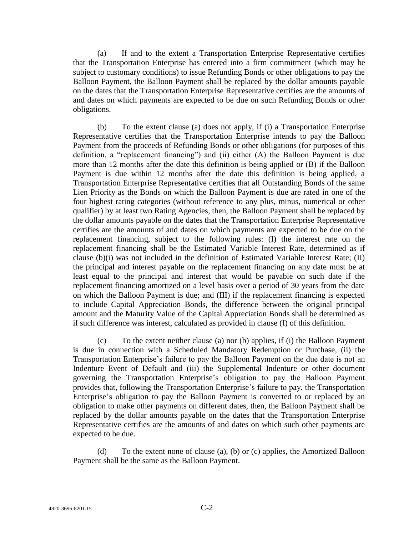(a) If and to the extent a Transportation Enterprise Representative certifies that the Transportation Enterprise has entered into a firm commitment (which may be subject to customary conditions) to issue Refunding Bonds or other obligations to pay the Balloon Payment, the Balloon Payment shall be replaced by the dollar amounts payable on the dates that the Transportation Enterprise Representative certifies are the amounts of and dates on which payments are expected to be due on such Refunding Bonds or other obligations.

(b) To the extent clause (a) does not apply, if (i) a Transportation Enterprise Representative certifies that the Transportation Enterprise intends to pay the Balloon Payment from the proceeds of Refunding Bonds or other obligations (for purposes of this definition, a "replacement financing") and (ii) either  $(A)$  the Balloon Payment is due more than 12 months after the date this definition is being applied or (B) if the Balloon Payment is due within 12 months after the date this definition is being applied, a Transportation Enterprise Representative certifies that all Outstanding Bonds of the same Lien Priority as the Bonds on which the Balloon Payment is due are rated in one of the four highest rating categories (without reference to any plus, minus, numerical or other qualifier) by at least two Rating Agencies, then, the Balloon Payment shall be replaced by the dollar amounts payable on the dates that the Transportation Enterprise Representative certifies are the amounts of and dates on which payments are expected to be due on the replacement financing, subject to the following rules: (I) the interest rate on the replacement financing shall be the Estimated Variable Interest Rate, determined as if clause (b)(i) was not included in the definition of Estimated Variable Interest Rate; (II) the principal and interest payable on the replacement financing on any date must be at least equal to the principal and interest that would be payable on such date if the replacement financing amortized on a level basis over a period of 30 years from the date on which the Balloon Payment is due; and (III) if the replacement financing is expected to include Capital Appreciation Bonds, the difference between the original principal amount and the Maturity Value of the Capital Appreciation Bonds shall be determined as if such difference was interest, calculated as provided in clause (I) of this definition.

(c) To the extent neither clause (a) nor (b) applies, if (i) the Balloon Payment is due in connection with a Scheduled Mandatory Redemption or Purchase, (ii) the Transportation Enterprise's failure to pay the Balloon Payment on the due date is not an Indenture Event of Default and (iii) the Supplemental Indenture or other document governing the Transportation Enterprise's obligation to pay the Balloon Payment provides that, following the Transportation Enterprise's failure to pay, the Transportation Enterprise's obligation to pay the Balloon Payment is converted to or replaced by an obligation to make other payments on different dates, then, the Balloon Payment shall be replaced by the dollar amounts payable on the dates that the Transportation Enterprise Representative certifies are the amounts of and dates on which such other payments are expected to be due.

(d) To the extent none of clause (a), (b) or (c) applies, the Amortized Balloon Payment shall be the same as the Balloon Payment.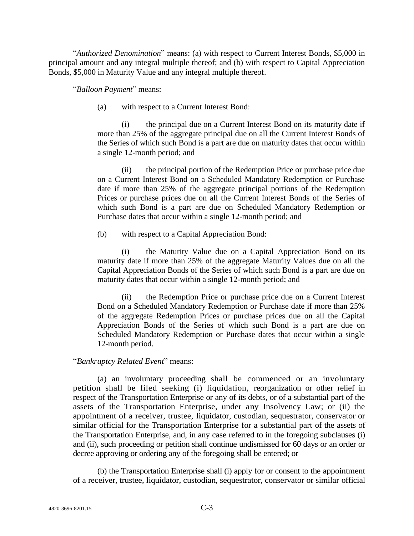―*Authorized Denomination*‖ means: (a) with respect to Current Interest Bonds, \$5,000 in principal amount and any integral multiple thereof; and (b) with respect to Capital Appreciation Bonds, \$5,000 in Maturity Value and any integral multiple thereof.

―*Balloon Payment*‖ means:

(a) with respect to a Current Interest Bond:

(i) the principal due on a Current Interest Bond on its maturity date if more than 25% of the aggregate principal due on all the Current Interest Bonds of the Series of which such Bond is a part are due on maturity dates that occur within a single 12-month period; and

(ii) the principal portion of the Redemption Price or purchase price due on a Current Interest Bond on a Scheduled Mandatory Redemption or Purchase date if more than 25% of the aggregate principal portions of the Redemption Prices or purchase prices due on all the Current Interest Bonds of the Series of which such Bond is a part are due on Scheduled Mandatory Redemption or Purchase dates that occur within a single 12-month period; and

(b) with respect to a Capital Appreciation Bond:

(i) the Maturity Value due on a Capital Appreciation Bond on its maturity date if more than 25% of the aggregate Maturity Values due on all the Capital Appreciation Bonds of the Series of which such Bond is a part are due on maturity dates that occur within a single 12-month period; and

(ii) the Redemption Price or purchase price due on a Current Interest Bond on a Scheduled Mandatory Redemption or Purchase date if more than 25% of the aggregate Redemption Prices or purchase prices due on all the Capital Appreciation Bonds of the Series of which such Bond is a part are due on Scheduled Mandatory Redemption or Purchase dates that occur within a single 12-month period.

## ―*Bankruptcy Related Event*‖ means:

(a) an involuntary proceeding shall be commenced or an involuntary petition shall be filed seeking (i) liquidation, reorganization or other relief in respect of the Transportation Enterprise or any of its debts, or of a substantial part of the assets of the Transportation Enterprise, under any Insolvency Law; or (ii) the appointment of a receiver, trustee, liquidator, custodian, sequestrator, conservator or similar official for the Transportation Enterprise for a substantial part of the assets of the Transportation Enterprise, and, in any case referred to in the foregoing subclauses (i) and (ii), such proceeding or petition shall continue undismissed for 60 days or an order or decree approving or ordering any of the foregoing shall be entered; or

(b) the Transportation Enterprise shall (i) apply for or consent to the appointment of a receiver, trustee, liquidator, custodian, sequestrator, conservator or similar official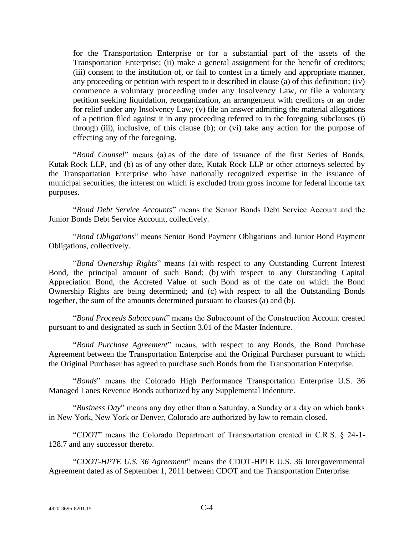for the Transportation Enterprise or for a substantial part of the assets of the Transportation Enterprise; (ii) make a general assignment for the benefit of creditors; (iii) consent to the institution of, or fail to contest in a timely and appropriate manner, any proceeding or petition with respect to it described in clause (a) of this definition; (iv) commence a voluntary proceeding under any Insolvency Law, or file a voluntary petition seeking liquidation, reorganization, an arrangement with creditors or an order for relief under any Insolvency Law; (v) file an answer admitting the material allegations of a petition filed against it in any proceeding referred to in the foregoing subclauses (i) through (iii), inclusive, of this clause (b); or (vi) take any action for the purpose of effecting any of the foregoing.

―*Bond Counsel*‖ means (a) as of the date of issuance of the first Series of Bonds, Kutak Rock LLP, and (b) as of any other date, Kutak Rock LLP or other attorneys selected by the Transportation Enterprise who have nationally recognized expertise in the issuance of municipal securities, the interest on which is excluded from gross income for federal income tax purposes.

―*Bond Debt Service Accounts*‖ means the Senior Bonds Debt Service Account and the Junior Bonds Debt Service Account, collectively.

"Bond Obligations" means Senior Bond Payment Obligations and Junior Bond Payment Obligations, collectively.

―*Bond Ownership Rights*‖ means (a) with respect to any Outstanding Current Interest Bond, the principal amount of such Bond; (b) with respect to any Outstanding Capital Appreciation Bond, the Accreted Value of such Bond as of the date on which the Bond Ownership Rights are being determined; and (c) with respect to all the Outstanding Bonds together, the sum of the amounts determined pursuant to clauses (a) and (b).

―*Bond Proceeds Subaccount*‖ means the Subaccount of the Construction Account created pursuant to and designated as such in Section 3.01 of the Master Indenture.

―*Bond Purchase Agreement*‖ means, with respect to any Bonds, the Bond Purchase Agreement between the Transportation Enterprise and the Original Purchaser pursuant to which the Original Purchaser has agreed to purchase such Bonds from the Transportation Enterprise.

―*Bonds*‖ means the Colorado High Performance Transportation Enterprise U.S. 36 Managed Lanes Revenue Bonds authorized by any Supplemental Indenture.

"Business Day" means any day other than a Saturday, a Sunday or a day on which banks in New York, New York or Denver, Colorado are authorized by law to remain closed.

―*CDOT*‖ means the Colorado Department of Transportation created in C.R.S. § 24-1- 128.7 and any successor thereto.

―*CDOT-HPTE U.S. 36 Agreement*‖ means the CDOT-HPTE U.S. 36 Intergovernmental Agreement dated as of September 1, 2011 between CDOT and the Transportation Enterprise.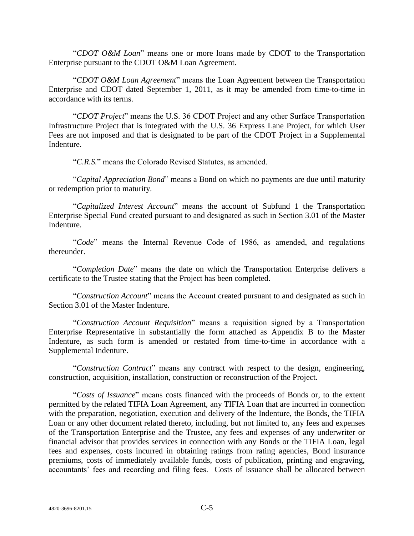"CDOT O&M Loan" means one or more loans made by CDOT to the Transportation Enterprise pursuant to the CDOT O&M Loan Agreement.

―*CDOT O&M Loan Agreement*‖ means the Loan Agreement between the Transportation Enterprise and CDOT dated September 1, 2011, as it may be amended from time-to-time in accordance with its terms.

―*CDOT Project*‖ means the U.S. 36 CDOT Project and any other Surface Transportation Infrastructure Project that is integrated with the U.S. 36 Express Lane Project, for which User Fees are not imposed and that is designated to be part of the CDOT Project in a Supplemental Indenture.

―*C.R.S.*‖ means the Colorado Revised Statutes, as amended.

―*Capital Appreciation Bond*‖ means a Bond on which no payments are due until maturity or redemption prior to maturity.

―*Capitalized Interest Account*‖ means the account of Subfund 1 the Transportation Enterprise Special Fund created pursuant to and designated as such in Section 3.01 of the Master Indenture.

―*Code*‖ means the Internal Revenue Code of 1986, as amended, and regulations thereunder.

―*Completion Date*‖ means the date on which the Transportation Enterprise delivers a certificate to the Trustee stating that the Project has been completed.

―*Construction Account*‖ means the Account created pursuant to and designated as such in Section 3.01 of the Master Indenture.

―*Construction Account Requisition*‖ means a requisition signed by a Transportation Enterprise Representative in substantially the form attached as Appendix B to the Master Indenture, as such form is amended or restated from time-to-time in accordance with a Supplemental Indenture.

―*Construction Contract*‖ means any contract with respect to the design, engineering, construction, acquisition, installation, construction or reconstruction of the Project.

―*Costs of Issuance*‖ means costs financed with the proceeds of Bonds or, to the extent permitted by the related TIFIA Loan Agreement, any TIFIA Loan that are incurred in connection with the preparation, negotiation, execution and delivery of the Indenture, the Bonds, the TIFIA Loan or any other document related thereto, including, but not limited to, any fees and expenses of the Transportation Enterprise and the Trustee, any fees and expenses of any underwriter or financial advisor that provides services in connection with any Bonds or the TIFIA Loan, legal fees and expenses, costs incurred in obtaining ratings from rating agencies, Bond insurance premiums, costs of immediately available funds, costs of publication, printing and engraving, accountants' fees and recording and filing fees. Costs of Issuance shall be allocated between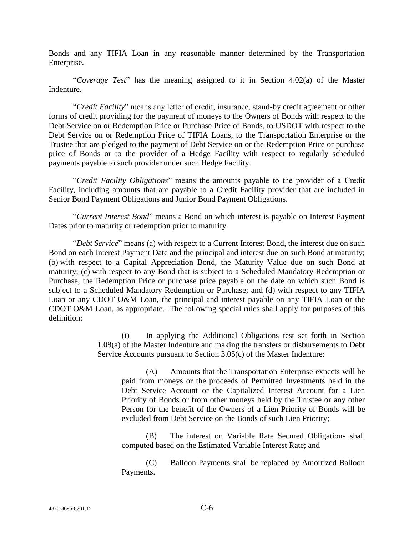Bonds and any TIFIA Loan in any reasonable manner determined by the Transportation Enterprise.

―*Coverage Test*‖ has the meaning assigned to it in Section 4.02(a) of the Master Indenture.

―*Credit Facility*‖ means any letter of credit, insurance, stand-by credit agreement or other forms of credit providing for the payment of moneys to the Owners of Bonds with respect to the Debt Service on or Redemption Price or Purchase Price of Bonds, to USDOT with respect to the Debt Service on or Redemption Price of TIFIA Loans, to the Transportation Enterprise or the Trustee that are pledged to the payment of Debt Service on or the Redemption Price or purchase price of Bonds or to the provider of a Hedge Facility with respect to regularly scheduled payments payable to such provider under such Hedge Facility.

―*Credit Facility Obligations*‖ means the amounts payable to the provider of a Credit Facility, including amounts that are payable to a Credit Facility provider that are included in Senior Bond Payment Obligations and Junior Bond Payment Obligations.

―*Current Interest Bond*‖ means a Bond on which interest is payable on Interest Payment Dates prior to maturity or redemption prior to maturity.

―*Debt Service*‖ means (a) with respect to a Current Interest Bond, the interest due on such Bond on each Interest Payment Date and the principal and interest due on such Bond at maturity; (b) with respect to a Capital Appreciation Bond, the Maturity Value due on such Bond at maturity; (c) with respect to any Bond that is subject to a Scheduled Mandatory Redemption or Purchase, the Redemption Price or purchase price payable on the date on which such Bond is subject to a Scheduled Mandatory Redemption or Purchase; and (d) with respect to any TIFIA Loan or any CDOT O&M Loan, the principal and interest payable on any TIFIA Loan or the CDOT O&M Loan, as appropriate. The following special rules shall apply for purposes of this definition:

> (i) In applying the Additional Obligations test set forth in Section 1.08(a) of the Master Indenture and making the transfers or disbursements to Debt Service Accounts pursuant to Section 3.05(c) of the Master Indenture:

(A) Amounts that the Transportation Enterprise expects will be paid from moneys or the proceeds of Permitted Investments held in the Debt Service Account or the Capitalized Interest Account for a Lien Priority of Bonds or from other moneys held by the Trustee or any other Person for the benefit of the Owners of a Lien Priority of Bonds will be excluded from Debt Service on the Bonds of such Lien Priority;

(B) The interest on Variable Rate Secured Obligations shall computed based on the Estimated Variable Interest Rate; and

(C) Balloon Payments shall be replaced by Amortized Balloon Payments.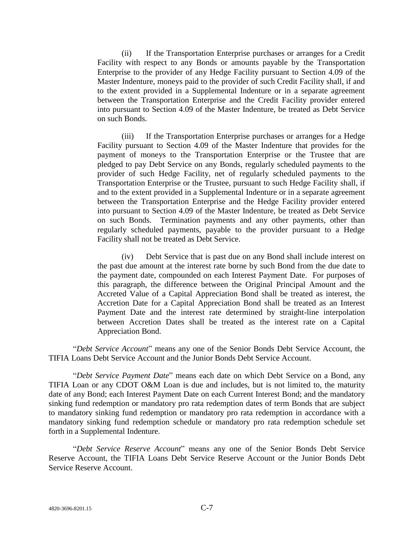(ii) If the Transportation Enterprise purchases or arranges for a Credit Facility with respect to any Bonds or amounts payable by the Transportation Enterprise to the provider of any Hedge Facility pursuant to Section 4.09 of the Master Indenture, moneys paid to the provider of such Credit Facility shall, if and to the extent provided in a Supplemental Indenture or in a separate agreement between the Transportation Enterprise and the Credit Facility provider entered into pursuant to Section 4.09 of the Master Indenture, be treated as Debt Service on such Bonds.

(iii) If the Transportation Enterprise purchases or arranges for a Hedge Facility pursuant to Section 4.09 of the Master Indenture that provides for the payment of moneys to the Transportation Enterprise or the Trustee that are pledged to pay Debt Service on any Bonds, regularly scheduled payments to the provider of such Hedge Facility, net of regularly scheduled payments to the Transportation Enterprise or the Trustee, pursuant to such Hedge Facility shall, if and to the extent provided in a Supplemental Indenture or in a separate agreement between the Transportation Enterprise and the Hedge Facility provider entered into pursuant to Section 4.09 of the Master Indenture, be treated as Debt Service on such Bonds. Termination payments and any other payments, other than regularly scheduled payments, payable to the provider pursuant to a Hedge Facility shall not be treated as Debt Service.

(iv) Debt Service that is past due on any Bond shall include interest on the past due amount at the interest rate borne by such Bond from the due date to the payment date, compounded on each Interest Payment Date. For purposes of this paragraph, the difference between the Original Principal Amount and the Accreted Value of a Capital Appreciation Bond shall be treated as interest, the Accretion Date for a Capital Appreciation Bond shall be treated as an Interest Payment Date and the interest rate determined by straight-line interpolation between Accretion Dates shall be treated as the interest rate on a Capital Appreciation Bond.

―*Debt Service Account*‖ means any one of the Senior Bonds Debt Service Account, the TIFIA Loans Debt Service Account and the Junior Bonds Debt Service Account.

―*Debt Service Payment Date*‖ means each date on which Debt Service on a Bond, any TIFIA Loan or any CDOT O&M Loan is due and includes, but is not limited to, the maturity date of any Bond; each Interest Payment Date on each Current Interest Bond; and the mandatory sinking fund redemption or mandatory pro rata redemption dates of term Bonds that are subject to mandatory sinking fund redemption or mandatory pro rata redemption in accordance with a mandatory sinking fund redemption schedule or mandatory pro rata redemption schedule set forth in a Supplemental Indenture.

―*Debt Service Reserve Account*‖ means any one of the Senior Bonds Debt Service Reserve Account, the TIFIA Loans Debt Service Reserve Account or the Junior Bonds Debt Service Reserve Account.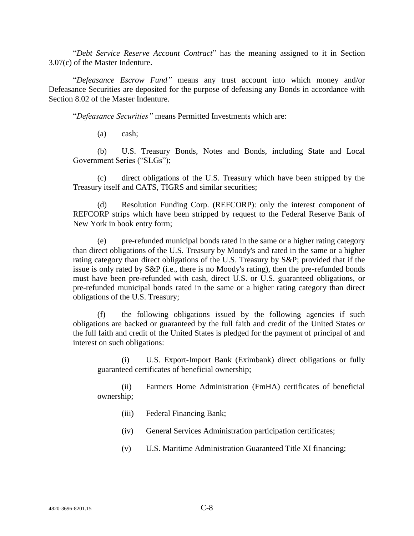―*Debt Service Reserve Account Contract*‖ has the meaning assigned to it in Section 3.07(c) of the Master Indenture.

―*Defeasance Escrow Fund"* means any trust account into which money and/or Defeasance Securities are deposited for the purpose of defeasing any Bonds in accordance with Section 8.02 of the Master Indenture.

―*Defeasance Securities"* means Permitted Investments which are:

(a) cash;

(b) U.S. Treasury Bonds, Notes and Bonds, including State and Local Government Series ("SLGs");

(c) direct obligations of the U.S. Treasury which have been stripped by the Treasury itself and CATS, TIGRS and similar securities;

(d) Resolution Funding Corp. (REFCORP): only the interest component of REFCORP strips which have been stripped by request to the Federal Reserve Bank of New York in book entry form;

(e) pre-refunded municipal bonds rated in the same or a higher rating category than direct obligations of the U.S. Treasury by Moody's and rated in the same or a higher rating category than direct obligations of the U.S. Treasury by S&P; provided that if the issue is only rated by S&P (i.e., there is no Moody's rating), then the pre-refunded bonds must have been pre-refunded with cash, direct U.S. or U.S. guaranteed obligations, or pre-refunded municipal bonds rated in the same or a higher rating category than direct obligations of the U.S. Treasury;

(f) the following obligations issued by the following agencies if such obligations are backed or guaranteed by the full faith and credit of the United States or the full faith and credit of the United States is pledged for the payment of principal of and interest on such obligations:

(i) U.S. Export-Import Bank (Eximbank) direct obligations or fully guaranteed certificates of beneficial ownership;

(ii) Farmers Home Administration (FmHA) certificates of beneficial ownership;

- (iii) Federal Financing Bank;
- (iv) General Services Administration participation certificates;
- (v) U.S. Maritime Administration Guaranteed Title XI financing;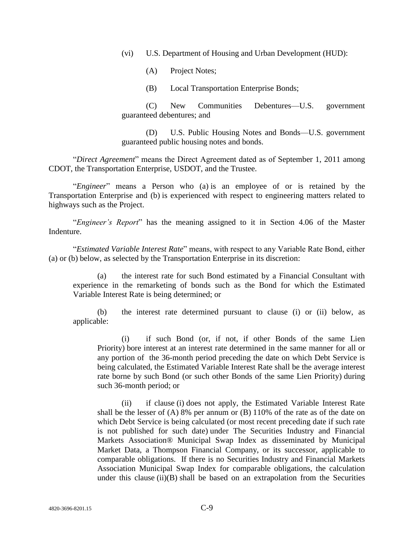(vi) U.S. Department of Housing and Urban Development (HUD):

- (A) Project Notes;
- (B) Local Transportation Enterprise Bonds;

(C) New Communities Debentures—U.S. government guaranteed debentures; and

(D) U.S. Public Housing Notes and Bonds—U.S. government guaranteed public housing notes and bonds.

―*Direct Agreement*‖ means the Direct Agreement dated as of September 1, 2011 among CDOT, the Transportation Enterprise, USDOT, and the Trustee.

―*Engineer*‖ means a Person who (a) is an employee of or is retained by the Transportation Enterprise and (b) is experienced with respect to engineering matters related to highways such as the Project.

―*Engineer's Report*‖ has the meaning assigned to it in Section 4.06 of the Master Indenture.

―*Estimated Variable Interest Rate*‖ means, with respect to any Variable Rate Bond, either (a) or (b) below, as selected by the Transportation Enterprise in its discretion:

(a) the interest rate for such Bond estimated by a Financial Consultant with experience in the remarketing of bonds such as the Bond for which the Estimated Variable Interest Rate is being determined; or

(b) the interest rate determined pursuant to clause (i) or (ii) below, as applicable:

(i) if such Bond (or, if not, if other Bonds of the same Lien Priority) bore interest at an interest rate determined in the same manner for all or any portion of the 36-month period preceding the date on which Debt Service is being calculated, the Estimated Variable Interest Rate shall be the average interest rate borne by such Bond (or such other Bonds of the same Lien Priority) during such 36-month period; or

(ii) if clause (i) does not apply, the Estimated Variable Interest Rate shall be the lesser of (A) 8% per annum or (B) 110% of the rate as of the date on which Debt Service is being calculated (or most recent preceding date if such rate is not published for such date) under The Securities Industry and Financial Markets Association® Municipal Swap Index as disseminated by Municipal Market Data, a Thompson Financial Company, or its successor, applicable to comparable obligations. If there is no Securities Industry and Financial Markets Association Municipal Swap Index for comparable obligations, the calculation under this clause (ii)(B) shall be based on an extrapolation from the Securities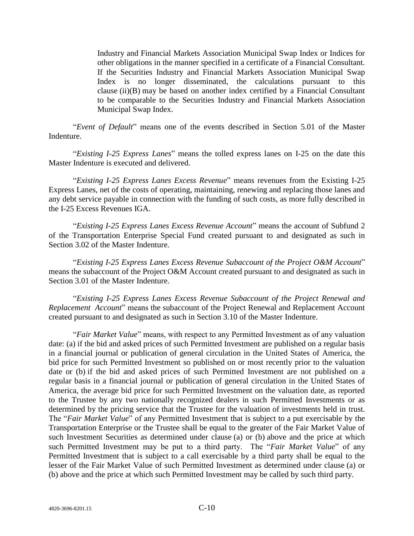Industry and Financial Markets Association Municipal Swap Index or Indices for other obligations in the manner specified in a certificate of a Financial Consultant. If the Securities Industry and Financial Markets Association Municipal Swap Index is no longer disseminated, the calculations pursuant to this clause (ii)(B) may be based on another index certified by a Financial Consultant to be comparable to the Securities Industry and Financial Markets Association Municipal Swap Index.

―*Event of Default*‖ means one of the events described in Section 5.01 of the Master Indenture.

―*Existing I-25 Express Lanes*‖ means the tolled express lanes on I-25 on the date this Master Indenture is executed and delivered.

―*Existing I-25 Express Lanes Excess Revenue*‖ means revenues from the Existing I-25 Express Lanes, net of the costs of operating, maintaining, renewing and replacing those lanes and any debt service payable in connection with the funding of such costs, as more fully described in the I-25 Excess Revenues IGA.

―*Existing I-25 Express Lanes Excess Revenue Account*‖ means the account of Subfund 2 of the Transportation Enterprise Special Fund created pursuant to and designated as such in Section 3.02 of the Master Indenture.

―*Existing I-25 Express Lanes Excess Revenue Subaccount of the Project O&M Account*‖ means the subaccount of the Project O&M Account created pursuant to and designated as such in Section 3.01 of the Master Indenture.

―*Existing I-25 Express Lanes Excess Revenue Subaccount of the Project Renewal and Replacement Account*" means the subaccount of the Project Renewal and Replacement Account created pursuant to and designated as such in Section 3.10 of the Master Indenture.

"Fair Market Value" means, with respect to any Permitted Investment as of any valuation date: (a) if the bid and asked prices of such Permitted Investment are published on a regular basis in a financial journal or publication of general circulation in the United States of America, the bid price for such Permitted Investment so published on or most recently prior to the valuation date or (b) if the bid and asked prices of such Permitted Investment are not published on a regular basis in a financial journal or publication of general circulation in the United States of America, the average bid price for such Permitted Investment on the valuation date, as reported to the Trustee by any two nationally recognized dealers in such Permitted Investments or as determined by the pricing service that the Trustee for the valuation of investments held in trust. The "*Fair Market Value*" of any Permitted Investment that is subject to a put exercisable by the Transportation Enterprise or the Trustee shall be equal to the greater of the Fair Market Value of such Investment Securities as determined under clause (a) or (b) above and the price at which such Permitted Investment may be put to a third party. The "Fair Market Value" of any Permitted Investment that is subject to a call exercisable by a third party shall be equal to the lesser of the Fair Market Value of such Permitted Investment as determined under clause (a) or (b) above and the price at which such Permitted Investment may be called by such third party.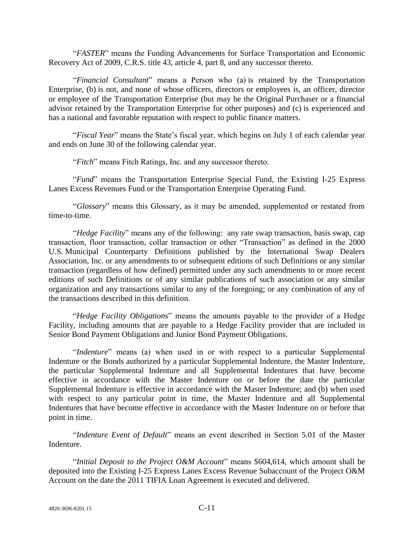―*FASTER*‖ means the Funding Advancements for Surface Transportation and Economic Recovery Act of 2009, C.R.S. title 43, article 4, part 8, and any successor thereto.

―*Financial Consultant*‖ means a Person who (a) is retained by the Transportation Enterprise, (b) is not, and none of whose officers, directors or employees is, an officer, director or employee of the Transportation Enterprise (but may be the Original Purchaser or a financial advisor retained by the Transportation Enterprise for other purposes) and (c) is experienced and has a national and favorable reputation with respect to public finance matters.

"Fiscal Year" means the State's fiscal year, which begins on July 1 of each calendar year and ends on June 30 of the following calendar year.

―*Fitch*‖ means Fitch Ratings, Inc. and any successor thereto.

―*Fund*‖ means the Transportation Enterprise Special Fund, the Existing I-25 Express Lanes Excess Revenues Fund or the Transportation Enterprise Operating Fund.

―*Glossary*‖ means this Glossary, as it may be amended, supplemented or restated from time-to-time.

*Hedge Facility*" means any of the following: any rate swap transaction, basis swap, cap transaction, floor transaction, collar transaction or other "Transaction" as defined in the 2000 U.S. Municipal Counterparty Definitions published by the International Swap Dealers Association, Inc. or any amendments to or subsequent editions of such Definitions or any similar transaction (regardless of how defined) permitted under any such amendments to or more recent editions of such Definitions or of any similar publications of such association or any similar organization and any transactions similar to any of the foregoing; or any combination of any of the transactions described in this definition.

―*Hedge Facility Obligations*‖ means the amounts payable to the provider of a Hedge Facility, including amounts that are payable to a Hedge Facility provider that are included in Senior Bond Payment Obligations and Junior Bond Payment Obligations.

"*Indenture*" means (a) when used in or with respect to a particular Supplemental Indenture or the Bonds authorized by a particular Supplemental Indenture, the Master Indenture, the particular Supplemental Indenture and all Supplemental Indentures that have become effective in accordance with the Master Indenture on or before the date the particular Supplemental Indenture is effective in accordance with the Master Indenture; and (b) when used with respect to any particular point in time, the Master Indenture and all Supplemental Indentures that have become effective in accordance with the Master Indenture on or before that point in time.

"Indenture Event of Default" means an event described in Section 5.01 of the Master Indenture.

"Initial Deposit to the Project O&M Account" means \$604,614, which amount shall be deposited into the Existing I-25 Express Lanes Excess Revenue Subaccount of the Project O&M Account on the date the 2011 TIFIA Loan Agreement is executed and delivered.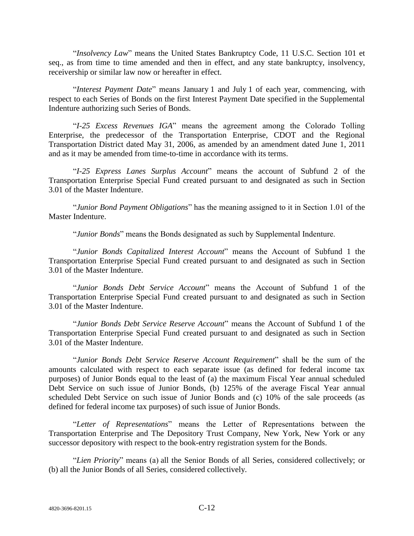―*Insolvency Law*‖ means the United States Bankruptcy Code, 11 U.S.C. Section 101 et seq., as from time to time amended and then in effect, and any state bankruptcy, insolvency, receivership or similar law now or hereafter in effect.

"Interest Payment Date" means January 1 and July 1 of each year, commencing, with respect to each Series of Bonds on the first Interest Payment Date specified in the Supplemental Indenture authorizing such Series of Bonds.

―*I-25 Excess Revenues IGA*‖ means the agreement among the Colorado Tolling Enterprise, the predecessor of the Transportation Enterprise, CDOT and the Regional Transportation District dated May 31, 2006, as amended by an amendment dated June 1, 2011 and as it may be amended from time-to-time in accordance with its terms.

―*I-25 Express Lanes Surplus Account*‖ means the account of Subfund 2 of the Transportation Enterprise Special Fund created pursuant to and designated as such in Section 3.01 of the Master Indenture.

―*Junior Bond Payment Obligations*‖ has the meaning assigned to it in Section 1.01 of the Master Indenture.

"*Junior Bonds*" means the Bonds designated as such by Supplemental Indenture.

―*Junior Bonds Capitalized Interest Account*‖ means the Account of Subfund 1 the Transportation Enterprise Special Fund created pursuant to and designated as such in Section 3.01 of the Master Indenture.

―*Junior Bonds Debt Service Account*‖ means the Account of Subfund 1 of the Transportation Enterprise Special Fund created pursuant to and designated as such in Section 3.01 of the Master Indenture.

―*Junior Bonds Debt Service Reserve Account*‖ means the Account of Subfund 1 of the Transportation Enterprise Special Fund created pursuant to and designated as such in Section 3.01 of the Master Indenture.

―*Junior Bonds Debt Service Reserve Account Requirement*‖ shall be the sum of the amounts calculated with respect to each separate issue (as defined for federal income tax purposes) of Junior Bonds equal to the least of (a) the maximum Fiscal Year annual scheduled Debt Service on such issue of Junior Bonds, (b) 125% of the average Fiscal Year annual scheduled Debt Service on such issue of Junior Bonds and (c) 10% of the sale proceeds (as defined for federal income tax purposes) of such issue of Junior Bonds.

―*Letter of Representations*‖ means the Letter of Representations between the Transportation Enterprise and The Depository Trust Company, New York, New York or any successor depository with respect to the book-entry registration system for the Bonds.

―*Lien Priority*‖ means (a) all the Senior Bonds of all Series, considered collectively; or (b) all the Junior Bonds of all Series, considered collectively.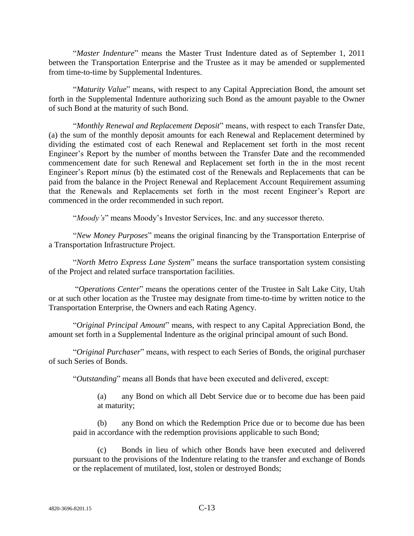"Master Indenture" means the Master Trust Indenture dated as of September 1, 2011 between the Transportation Enterprise and the Trustee as it may be amended or supplemented from time-to-time by Supplemental Indentures.

"Maturity Value" means, with respect to any Capital Appreciation Bond, the amount set forth in the Supplemental Indenture authorizing such Bond as the amount payable to the Owner of such Bond at the maturity of such Bond.

"Monthly Renewal and Replacement Deposit" means, with respect to each Transfer Date, (a) the sum of the monthly deposit amounts for each Renewal and Replacement determined by dividing the estimated cost of each Renewal and Replacement set forth in the most recent Engineer's Report by the number of months between the Transfer Date and the recommended commencement date for such Renewal and Replacement set forth in the in the most recent Engineer's Report *minus* (b) the estimated cost of the Renewals and Replacements that can be paid from the balance in the Project Renewal and Replacement Account Requirement assuming that the Renewals and Replacements set forth in the most recent Engineer's Report are commenced in the order recommended in such report.

"*Moody's*" means Moody's Investor Services, Inc. and any successor thereto.

―*New Money Purposes*‖ means the original financing by the Transportation Enterprise of a Transportation Infrastructure Project.

―*North Metro Express Lane System*‖ means the surface transportation system consisting of the Project and related surface transportation facilities.

―*Operations Center*‖ means the operations center of the Trustee in Salt Lake City, Utah or at such other location as the Trustee may designate from time-to-time by written notice to the Transportation Enterprise, the Owners and each Rating Agency.

―*Original Principal Amount*‖ means, with respect to any Capital Appreciation Bond, the amount set forth in a Supplemental Indenture as the original principal amount of such Bond.

"Original Purchaser" means, with respect to each Series of Bonds, the original purchaser of such Series of Bonds.

―*Outstanding*‖ means all Bonds that have been executed and delivered, except:

(a) any Bond on which all Debt Service due or to become due has been paid at maturity;

(b) any Bond on which the Redemption Price due or to become due has been paid in accordance with the redemption provisions applicable to such Bond;

(c) Bonds in lieu of which other Bonds have been executed and delivered pursuant to the provisions of the Indenture relating to the transfer and exchange of Bonds or the replacement of mutilated, lost, stolen or destroyed Bonds;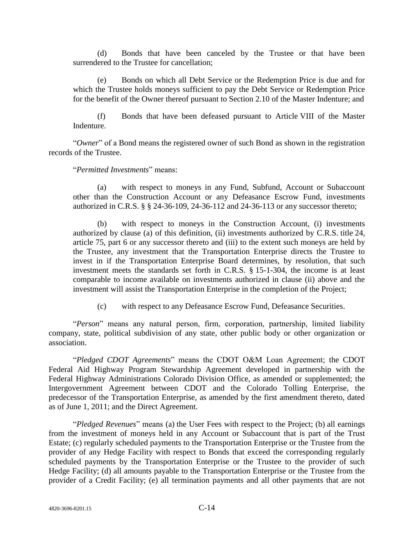(d) Bonds that have been canceled by the Trustee or that have been surrendered to the Trustee for cancellation;

(e) Bonds on which all Debt Service or the Redemption Price is due and for which the Trustee holds moneys sufficient to pay the Debt Service or Redemption Price for the benefit of the Owner thereof pursuant to Section 2.10 of the Master Indenture; and

(f) Bonds that have been defeased pursuant to Article VIII of the Master Indenture.

"Owner" of a Bond means the registered owner of such Bond as shown in the registration records of the Trustee.

―*Permitted Investments*‖ means:

(a) with respect to moneys in any Fund, Subfund, Account or Subaccount other than the Construction Account or any Defeasance Escrow Fund, investments authorized in C.R.S. § § 24-36-109, 24-36-112 and 24-36-113 or any successor thereto;

(b) with respect to moneys in the Construction Account, (i) investments authorized by clause (a) of this definition, (ii) investments authorized by C.R.S. title 24, article 75, part 6 or any successor thereto and (iii) to the extent such moneys are held by the Trustee, any investment that the Transportation Enterprise directs the Trustee to invest in if the Transportation Enterprise Board determines, by resolution, that such investment meets the standards set forth in C.R.S. § 15-1-304, the income is at least comparable to income available on investments authorized in clause (ii) above and the investment will assist the Transportation Enterprise in the completion of the Project;

(c) with respect to any Defeasance Escrow Fund, Defeasance Securities.

"Person" means any natural person, firm, corporation, partnership, limited liability company, state, political subdivision of any state, other public body or other organization or association.

―*Pledged CDOT Agreements*‖ means the CDOT O&M Loan Agreement; the CDOT Federal Aid Highway Program Stewardship Agreement developed in partnership with the Federal Highway Administrations Colorado Division Office, as amended or supplemented; the Intergovernment Agreement between CDOT and the Colorado Tolling Enterprise, the predecessor of the Transportation Enterprise, as amended by the first amendment thereto, dated as of June 1, 2011; and the Direct Agreement.

―*Pledged Revenues*‖ means (a) the User Fees with respect to the Project; (b) all earnings from the investment of moneys held in any Account or Subaccount that is part of the Trust Estate; (c) regularly scheduled payments to the Transportation Enterprise or the Trustee from the provider of any Hedge Facility with respect to Bonds that exceed the corresponding regularly scheduled payments by the Transportation Enterprise or the Trustee to the provider of such Hedge Facility; (d) all amounts payable to the Transportation Enterprise or the Trustee from the provider of a Credit Facility; (e) all termination payments and all other payments that are not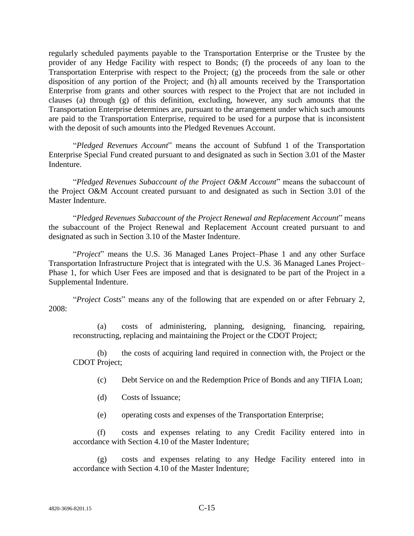regularly scheduled payments payable to the Transportation Enterprise or the Trustee by the provider of any Hedge Facility with respect to Bonds; (f) the proceeds of any loan to the Transportation Enterprise with respect to the Project; (g) the proceeds from the sale or other disposition of any portion of the Project; and (h) all amounts received by the Transportation Enterprise from grants and other sources with respect to the Project that are not included in clauses (a) through (g) of this definition, excluding, however, any such amounts that the Transportation Enterprise determines are, pursuant to the arrangement under which such amounts are paid to the Transportation Enterprise, required to be used for a purpose that is inconsistent with the deposit of such amounts into the Pledged Revenues Account.

―*Pledged Revenues Account*‖ means the account of Subfund 1 of the Transportation Enterprise Special Fund created pursuant to and designated as such in Section 3.01 of the Master Indenture.

―*Pledged Revenues Subaccount of the Project O&M Account*‖ means the subaccount of the Project O&M Account created pursuant to and designated as such in Section 3.01 of the Master Indenture.

―*Pledged Revenues Subaccount of the Project Renewal and Replacement Account*‖ means the subaccount of the Project Renewal and Replacement Account created pursuant to and designated as such in Section 3.10 of the Master Indenture.

―*Project*‖ means the U.S. 36 Managed Lanes Project–Phase 1 and any other Surface Transportation Infrastructure Project that is integrated with the U.S. 36 Managed Lanes Project– Phase 1, for which User Fees are imposed and that is designated to be part of the Project in a Supplemental Indenture.

―*Project Costs*‖ means any of the following that are expended on or after February 2, 2008:

(a) costs of administering, planning, designing, financing, repairing, reconstructing, replacing and maintaining the Project or the CDOT Project;

(b) the costs of acquiring land required in connection with, the Project or the CDOT Project;

(c) Debt Service on and the Redemption Price of Bonds and any TIFIA Loan;

(d) Costs of Issuance;

(e) operating costs and expenses of the Transportation Enterprise;

(f) costs and expenses relating to any Credit Facility entered into in accordance with Section 4.10 of the Master Indenture;

(g) costs and expenses relating to any Hedge Facility entered into in accordance with Section 4.10 of the Master Indenture;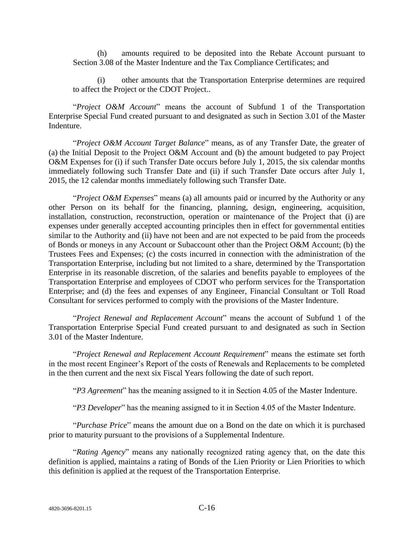(h) amounts required to be deposited into the Rebate Account pursuant to Section 3.08 of the Master Indenture and the Tax Compliance Certificates; and

(i) other amounts that the Transportation Enterprise determines are required to affect the Project or the CDOT Project..

"Project O&M Account" means the account of Subfund 1 of the Transportation Enterprise Special Fund created pursuant to and designated as such in Section 3.01 of the Master Indenture.

―*Project O&M Account Target Balance*‖ means, as of any Transfer Date, the greater of (a) the Initial Deposit to the Project O&M Account and (b) the amount budgeted to pay Project O&M Expenses for (i) if such Transfer Date occurs before July 1, 2015, the six calendar months immediately following such Transfer Date and (ii) if such Transfer Date occurs after July 1, 2015, the 12 calendar months immediately following such Transfer Date.

"*Project O&M Expenses*" means (a) all amounts paid or incurred by the Authority or any other Person on its behalf for the financing, planning, design, engineering, acquisition, installation, construction, reconstruction, operation or maintenance of the Project that (i) are expenses under generally accepted accounting principles then in effect for governmental entities similar to the Authority and (ii) have not been and are not expected to be paid from the proceeds of Bonds or moneys in any Account or Subaccount other than the Project O&M Account; (b) the Trustees Fees and Expenses; (c) the costs incurred in connection with the administration of the Transportation Enterprise, including but not limited to a share, determined by the Transportation Enterprise in its reasonable discretion, of the salaries and benefits payable to employees of the Transportation Enterprise and employees of CDOT who perform services for the Transportation Enterprise; and (d) the fees and expenses of any Engineer, Financial Consultant or Toll Road Consultant for services performed to comply with the provisions of the Master Indenture.

―*Project Renewal and Replacement Account*‖ means the account of Subfund 1 of the Transportation Enterprise Special Fund created pursuant to and designated as such in Section 3.01 of the Master Indenture.

―*Project Renewal and Replacement Account Requirement*‖ means the estimate set forth in the most recent Engineer's Report of the costs of Renewals and Replacements to be completed in the then current and the next six Fiscal Years following the date of such report.

"P3 Agreement" has the meaning assigned to it in Section 4.05 of the Master Indenture.

"P3 Developer" has the meaning assigned to it in Section 4.05 of the Master Indenture.

"*Purchase Price*" means the amount due on a Bond on the date on which it is purchased prior to maturity pursuant to the provisions of a Supplemental Indenture.

"Rating Agency" means any nationally recognized rating agency that, on the date this definition is applied, maintains a rating of Bonds of the Lien Priority or Lien Priorities to which this definition is applied at the request of the Transportation Enterprise.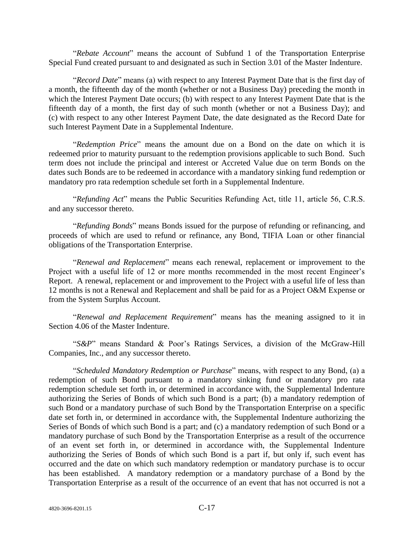―*Rebate Account*‖ means the account of Subfund 1 of the Transportation Enterprise Special Fund created pursuant to and designated as such in Section 3.01 of the Master Indenture.

―*Record Date*‖ means (a) with respect to any Interest Payment Date that is the first day of a month, the fifteenth day of the month (whether or not a Business Day) preceding the month in which the Interest Payment Date occurs; (b) with respect to any Interest Payment Date that is the fifteenth day of a month, the first day of such month (whether or not a Business Day); and (c) with respect to any other Interest Payment Date, the date designated as the Record Date for such Interest Payment Date in a Supplemental Indenture.

―*Redemption Price*‖ means the amount due on a Bond on the date on which it is redeemed prior to maturity pursuant to the redemption provisions applicable to such Bond. Such term does not include the principal and interest or Accreted Value due on term Bonds on the dates such Bonds are to be redeemed in accordance with a mandatory sinking fund redemption or mandatory pro rata redemption schedule set forth in a Supplemental Indenture.

―*Refunding Act*‖ means the Public Securities Refunding Act, title 11, article 56, C.R.S. and any successor thereto.

―*Refunding Bonds*‖ means Bonds issued for the purpose of refunding or refinancing, and proceeds of which are used to refund or refinance, any Bond, TIFIA Loan or other financial obligations of the Transportation Enterprise.

―*Renewal and Replacement*‖ means each renewal, replacement or improvement to the Project with a useful life of 12 or more months recommended in the most recent Engineer's Report. A renewal, replacement or and improvement to the Project with a useful life of less than 12 months is not a Renewal and Replacement and shall be paid for as a Project O&M Expense or from the System Surplus Account.

―*Renewal and Replacement Requirement*‖ means has the meaning assigned to it in Section 4.06 of the Master Indenture.

"S&P" means Standard & Poor's Ratings Services, a division of the McGraw-Hill Companies, Inc., and any successor thereto.

―*Scheduled Mandatory Redemption or Purchase*‖ means, with respect to any Bond, (a) a redemption of such Bond pursuant to a mandatory sinking fund or mandatory pro rata redemption schedule set forth in, or determined in accordance with, the Supplemental Indenture authorizing the Series of Bonds of which such Bond is a part; (b) a mandatory redemption of such Bond or a mandatory purchase of such Bond by the Transportation Enterprise on a specific date set forth in, or determined in accordance with, the Supplemental Indenture authorizing the Series of Bonds of which such Bond is a part; and (c) a mandatory redemption of such Bond or a mandatory purchase of such Bond by the Transportation Enterprise as a result of the occurrence of an event set forth in, or determined in accordance with, the Supplemental Indenture authorizing the Series of Bonds of which such Bond is a part if, but only if, such event has occurred and the date on which such mandatory redemption or mandatory purchase is to occur has been established. A mandatory redemption or a mandatory purchase of a Bond by the Transportation Enterprise as a result of the occurrence of an event that has not occurred is not a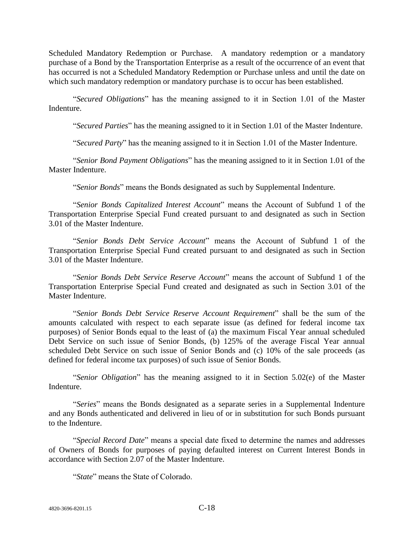Scheduled Mandatory Redemption or Purchase. A mandatory redemption or a mandatory purchase of a Bond by the Transportation Enterprise as a result of the occurrence of an event that has occurred is not a Scheduled Mandatory Redemption or Purchase unless and until the date on which such mandatory redemption or mandatory purchase is to occur has been established.

―*Secured Obligations*‖ has the meaning assigned to it in Section 1.01 of the Master Indenture.

―*Secured Parties*‖ has the meaning assigned to it in Section 1.01 of the Master Indenture.

―*Secured Party*‖ has the meaning assigned to it in Section 1.01 of the Master Indenture.

―*Senior Bond Payment Obligations*‖ has the meaning assigned to it in Section 1.01 of the Master Indenture.

―*Senior Bonds*‖ means the Bonds designated as such by Supplemental Indenture.

―*Senior Bonds Capitalized Interest Account*‖ means the Account of Subfund 1 of the Transportation Enterprise Special Fund created pursuant to and designated as such in Section 3.01 of the Master Indenture.

―*Senior Bonds Debt Service Account*‖ means the Account of Subfund 1 of the Transportation Enterprise Special Fund created pursuant to and designated as such in Section 3.01 of the Master Indenture.

―*Senior Bonds Debt Service Reserve Account*‖ means the account of Subfund 1 of the Transportation Enterprise Special Fund created and designated as such in Section 3.01 of the Master Indenture.

―*Senior Bonds Debt Service Reserve Account Requirement*‖ shall be the sum of the amounts calculated with respect to each separate issue (as defined for federal income tax purposes) of Senior Bonds equal to the least of (a) the maximum Fiscal Year annual scheduled Debt Service on such issue of Senior Bonds, (b) 125% of the average Fiscal Year annual scheduled Debt Service on such issue of Senior Bonds and (c) 10% of the sale proceeds (as defined for federal income tax purposes) of such issue of Senior Bonds.

"Senior Obligation" has the meaning assigned to it in Section 5.02(e) of the Master Indenture.

"Series" means the Bonds designated as a separate series in a Supplemental Indenture and any Bonds authenticated and delivered in lieu of or in substitution for such Bonds pursuant to the Indenture.

"Special Record Date" means a special date fixed to determine the names and addresses of Owners of Bonds for purposes of paying defaulted interest on Current Interest Bonds in accordance with Section 2.07 of the Master Indenture.

―*State*‖ means the State of Colorado.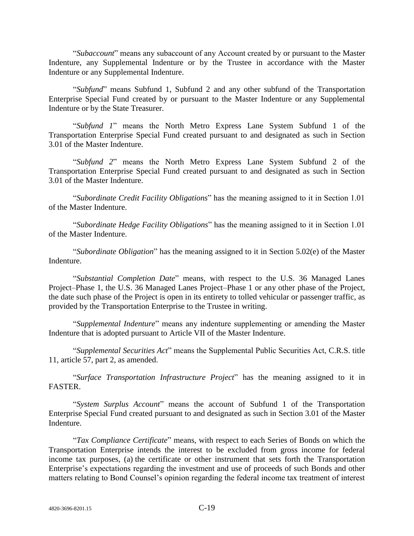―*Subaccount*‖ means any subaccount of any Account created by or pursuant to the Master Indenture, any Supplemental Indenture or by the Trustee in accordance with the Master Indenture or any Supplemental Indenture.

―*Subfund*‖ means Subfund 1, Subfund 2 and any other subfund of the Transportation Enterprise Special Fund created by or pursuant to the Master Indenture or any Supplemental Indenture or by the State Treasurer.

―*Subfund 1*‖ means the North Metro Express Lane System Subfund 1 of the Transportation Enterprise Special Fund created pursuant to and designated as such in Section 3.01 of the Master Indenture.

―*Subfund 2*‖ means the North Metro Express Lane System Subfund 2 of the Transportation Enterprise Special Fund created pursuant to and designated as such in Section 3.01 of the Master Indenture.

―*Subordinate Credit Facility Obligations*‖ has the meaning assigned to it in Section 1.01 of the Master Indenture.

―*Subordinate Hedge Facility Obligations*‖ has the meaning assigned to it in Section 1.01 of the Master Indenture.

"Subordinate Obligation" has the meaning assigned to it in Section 5.02(e) of the Master Indenture.

―*Substantial Completion Date*‖ means, with respect to the U.S. 36 Managed Lanes Project–Phase 1, the U.S. 36 Managed Lanes Project–Phase 1 or any other phase of the Project, the date such phase of the Project is open in its entirety to tolled vehicular or passenger traffic, as provided by the Transportation Enterprise to the Trustee in writing.

"Supplemental Indenture" means any indenture supplementing or amending the Master Indenture that is adopted pursuant to Article VII of the Master Indenture.

―*Supplemental Securities Act*‖ means the Supplemental Public Securities Act, C.R.S. title 11, article 57, part 2, as amended.

―*Surface Transportation Infrastructure Project*‖ has the meaning assigned to it in FASTER.

―*System Surplus Account*‖ means the account of Subfund 1 of the Transportation Enterprise Special Fund created pursuant to and designated as such in Section 3.01 of the Master Indenture.

―*Tax Compliance Certificate*‖ means, with respect to each Series of Bonds on which the Transportation Enterprise intends the interest to be excluded from gross income for federal income tax purposes, (a) the certificate or other instrument that sets forth the Transportation Enterprise's expectations regarding the investment and use of proceeds of such Bonds and other matters relating to Bond Counsel's opinion regarding the federal income tax treatment of interest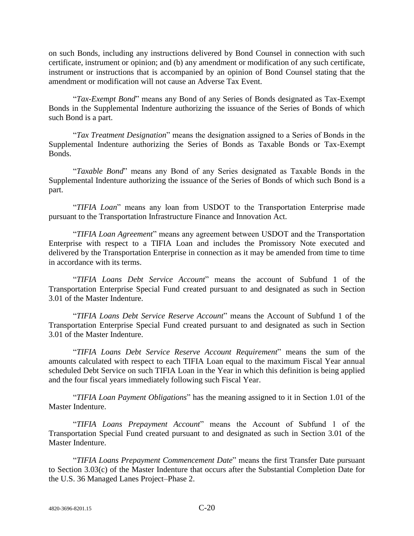on such Bonds, including any instructions delivered by Bond Counsel in connection with such certificate, instrument or opinion; and (b) any amendment or modification of any such certificate, instrument or instructions that is accompanied by an opinion of Bond Counsel stating that the amendment or modification will not cause an Adverse Tax Event.

―*Tax-Exempt Bond*‖ means any Bond of any Series of Bonds designated as Tax-Exempt Bonds in the Supplemental Indenture authorizing the issuance of the Series of Bonds of which such Bond is a part.

―*Tax Treatment Designation*‖ means the designation assigned to a Series of Bonds in the Supplemental Indenture authorizing the Series of Bonds as Taxable Bonds or Tax-Exempt Bonds.

―*Taxable Bond*‖ means any Bond of any Series designated as Taxable Bonds in the Supplemental Indenture authorizing the issuance of the Series of Bonds of which such Bond is a part.

"TIFIA Loan" means any loan from USDOT to the Transportation Enterprise made pursuant to the Transportation Infrastructure Finance and Innovation Act.

―*TIFIA Loan Agreement*‖ means any agreement between USDOT and the Transportation Enterprise with respect to a TIFIA Loan and includes the Promissory Note executed and delivered by the Transportation Enterprise in connection as it may be amended from time to time in accordance with its terms.

―*TIFIA Loans Debt Service Account*‖ means the account of Subfund 1 of the Transportation Enterprise Special Fund created pursuant to and designated as such in Section 3.01 of the Master Indenture.

―*TIFIA Loans Debt Service Reserve Account*‖ means the Account of Subfund 1 of the Transportation Enterprise Special Fund created pursuant to and designated as such in Section 3.01 of the Master Indenture.

―*TIFIA Loans Debt Service Reserve Account Requirement*‖ means the sum of the amounts calculated with respect to each TIFIA Loan equal to the maximum Fiscal Year annual scheduled Debt Service on such TIFIA Loan in the Year in which this definition is being applied and the four fiscal years immediately following such Fiscal Year.

―*TIFIA Loan Payment Obligations*‖ has the meaning assigned to it in Section 1.01 of the Master Indenture.

―*TIFIA Loans Prepayment Account*‖ means the Account of Subfund 1 of the Transportation Special Fund created pursuant to and designated as such in Section 3.01 of the Master Indenture.

―*TIFIA Loans Prepayment Commencement Date*‖ means the first Transfer Date pursuant to Section 3.03(c) of the Master Indenture that occurs after the Substantial Completion Date for the U.S. 36 Managed Lanes Project–Phase 2.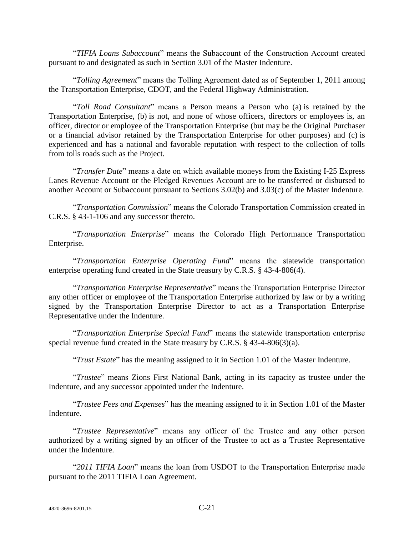―*TIFIA Loans Subaccount*‖ means the Subaccount of the Construction Account created pursuant to and designated as such in Section 3.01 of the Master Indenture.

―*Tolling Agreement*‖ means the Tolling Agreement dated as of September 1, 2011 among the Transportation Enterprise, CDOT, and the Federal Highway Administration.

―*Toll Road Consultant*‖ means a Person means a Person who (a) is retained by the Transportation Enterprise, (b) is not, and none of whose officers, directors or employees is, an officer, director or employee of the Transportation Enterprise (but may be the Original Purchaser or a financial advisor retained by the Transportation Enterprise for other purposes) and (c) is experienced and has a national and favorable reputation with respect to the collection of tolls from tolls roads such as the Project.

"Transfer Date" means a date on which available moneys from the Existing I-25 Express Lanes Revenue Account or the Pledged Revenues Account are to be transferred or disbursed to another Account or Subaccount pursuant to Sections 3.02(b) and 3.03(c) of the Master Indenture.

―*Transportation Commission*‖ means the Colorado Transportation Commission created in C.R.S. § 43-1-106 and any successor thereto.

―*Transportation Enterprise*‖ means the Colorado High Performance Transportation Enterprise.

―*Transportation Enterprise Operating Fund*‖ means the statewide transportation enterprise operating fund created in the State treasury by C.R.S. § 43-4-806(4).

―*Transportation Enterprise Representative*‖ means the Transportation Enterprise Director any other officer or employee of the Transportation Enterprise authorized by law or by a writing signed by the Transportation Enterprise Director to act as a Transportation Enterprise Representative under the Indenture.

―*Transportation Enterprise Special Fund*‖ means the statewide transportation enterprise special revenue fund created in the State treasury by C.R.S. § 43-4-806(3)(a).

"Trust Estate" has the meaning assigned to it in Section 1.01 of the Master Indenture.

―*Trustee*‖ means Zions First National Bank, acting in its capacity as trustee under the Indenture, and any successor appointed under the Indenture.

―*Trustee Fees and Expenses*‖ has the meaning assigned to it in Section 1.01 of the Master Indenture.

―*Trustee Representative*‖ means any officer of the Trustee and any other person authorized by a writing signed by an officer of the Trustee to act as a Trustee Representative under the Indenture.

"2011 TIFIA Loan" means the loan from USDOT to the Transportation Enterprise made pursuant to the 2011 TIFIA Loan Agreement.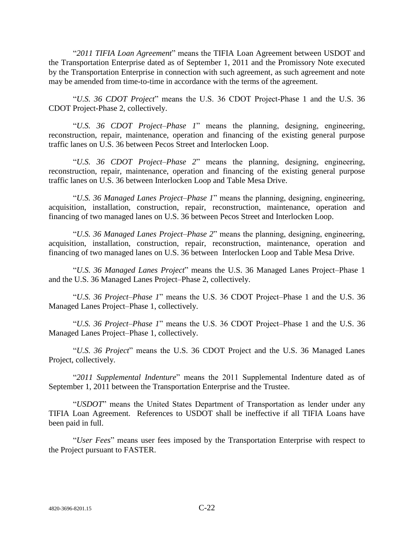"2011 TIFIA Loan Agreement" means the TIFIA Loan Agreement between USDOT and the Transportation Enterprise dated as of September 1, 2011 and the Promissory Note executed by the Transportation Enterprise in connection with such agreement, as such agreement and note may be amended from time-to-time in accordance with the terms of the agreement.

―*U.S. 36 CDOT Project*‖ means the U.S. 36 CDOT Project-Phase 1 and the U.S. 36 CDOT Project-Phase 2, collectively.

―*U.S. 36 CDOT Project–Phase 1*‖ means the planning, designing, engineering, reconstruction, repair, maintenance, operation and financing of the existing general purpose traffic lanes on U.S. 36 between Pecos Street and Interlocken Loop.

―*U.S. 36 CDOT Project–Phase 2*‖ means the planning, designing, engineering, reconstruction, repair, maintenance, operation and financing of the existing general purpose traffic lanes on U.S. 36 between Interlocken Loop and Table Mesa Drive.

―*U.S. 36 Managed Lanes Project–Phase 1*‖ means the planning, designing, engineering, acquisition, installation, construction, repair, reconstruction, maintenance, operation and financing of two managed lanes on U.S. 36 between Pecos Street and Interlocken Loop.

―*U.S. 36 Managed Lanes Project–Phase 2*‖ means the planning, designing, engineering, acquisition, installation, construction, repair, reconstruction, maintenance, operation and financing of two managed lanes on U.S. 36 between Interlocken Loop and Table Mesa Drive.

―*U.S. 36 Managed Lanes Project*‖ means the U.S. 36 Managed Lanes Project–Phase 1 and the U.S. 36 Managed Lanes Project–Phase 2, collectively.

―*U.S. 36 Project–Phase 1*‖ means the U.S. 36 CDOT Project–Phase 1 and the U.S. 36 Managed Lanes Project–Phase 1, collectively.

―*U.S. 36 Project–Phase 1*‖ means the U.S. 36 CDOT Project–Phase 1 and the U.S. 36 Managed Lanes Project–Phase 1, collectively.

―*U.S. 36 Project*‖ means the U.S. 36 CDOT Project and the U.S. 36 Managed Lanes Project, collectively.

―*2011 Supplemental Indenture*‖ means the 2011 Supplemental Indenture dated as of September 1, 2011 between the Transportation Enterprise and the Trustee.

"USDOT" means the United States Department of Transportation as lender under any TIFIA Loan Agreement. References to USDOT shall be ineffective if all TIFIA Loans have been paid in full.

―*User Fees*‖ means user fees imposed by the Transportation Enterprise with respect to the Project pursuant to FASTER.